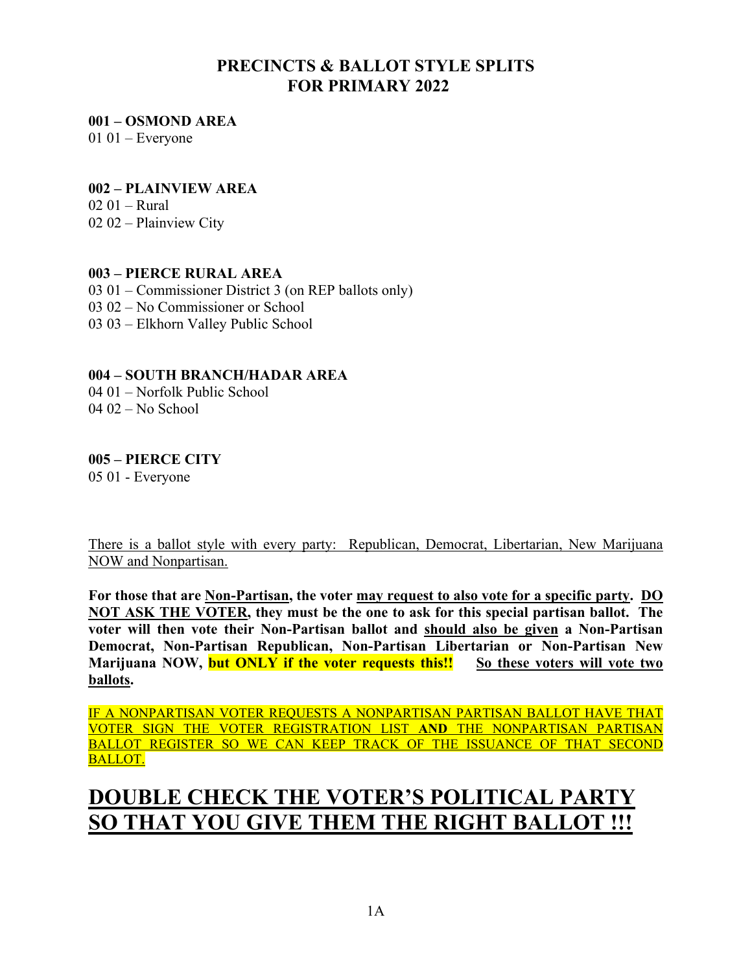# **PRECINCTS & BALLOT STYLE SPLITS FOR PRIMARY 2022**

**001 – OSMOND AREA** 

 $0101$  – Everyone

#### **002 – PLAINVIEW AREA**

02 01 – Rural 02 02 – Plainview City

### **003 – PIERCE RURAL AREA**

03 01 – Commissioner District 3 (on REP ballots only) 03 02 – No Commissioner or School 03 03 – Elkhorn Valley Public School

## **004 – SOUTH BRANCH/HADAR AREA**

04 01 – Norfolk Public School 04 02 – No School

# **005 – PIERCE CITY**

05 01 - Everyone

There is a ballot style with every party: Republican, Democrat, Libertarian, New Marijuana NOW and Nonpartisan.

**For those that are Non-Partisan, the voter may request to also vote for a specific party. DO NOT ASK THE VOTER, they must be the one to ask for this special partisan ballot. The voter will then vote their Non-Partisan ballot and should also be given a Non-Partisan Democrat, Non-Partisan Republican, Non-Partisan Libertarian or Non-Partisan New Marijuana NOW, but ONLY if the voter requests this!! So these voters will vote two ballots.** 

IF A NONPARTISAN VOTER REQUESTS A NONPARTISAN PARTISAN BALLOT HAVE THAT VOTER SIGN THE VOTER REGISTRATION LIST **AND** THE NONPARTISAN PARTISAN BALLOT REGISTER SO WE CAN KEEP TRACK OF THE ISSUANCE OF THAT SECOND BALLOT.

# **DOUBLE CHECK THE VOTER'S POLITICAL PARTY SO THAT YOU GIVE THEM THE RIGHT BALLOT !!!**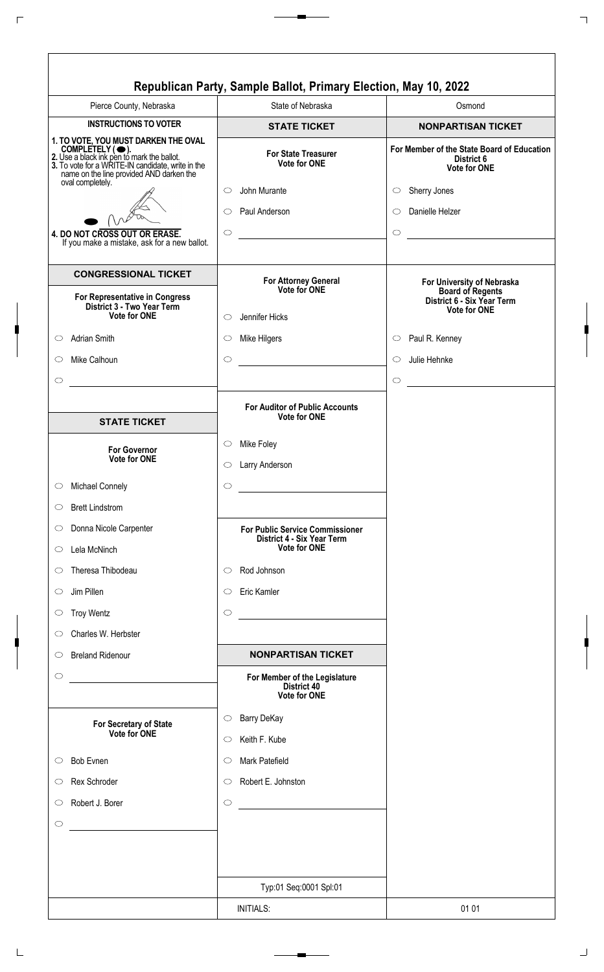|                                                                                                                                                                                                                            | Republican Party, Sample Ballot, Primary Election, May 10, 2022                   |                                                                          |
|----------------------------------------------------------------------------------------------------------------------------------------------------------------------------------------------------------------------------|-----------------------------------------------------------------------------------|--------------------------------------------------------------------------|
| Pierce County, Nebraska                                                                                                                                                                                                    | State of Nebraska                                                                 | Osmond                                                                   |
| <b>INSTRUCTIONS TO VOTER</b>                                                                                                                                                                                               | <b>STATE TICKET</b>                                                               | <b>NONPARTISAN TICKET</b>                                                |
| 1. TO VOTE, YOU MUST DARKEN THE OVAL<br>COMPLETELY (C).<br>2. Use a black ink pen to mark the ballot.<br>3. To vote for a WRITE-IN candidate, write in the<br>name on the line provided AND darken the<br>oval completely. | <b>For State Treasurer</b><br><b>Vote for ONE</b>                                 | For Member of the State Board of Education<br>District 6<br>Vote for ONE |
|                                                                                                                                                                                                                            | John Murante<br>O                                                                 | Sherry Jones<br>$\circ$                                                  |
|                                                                                                                                                                                                                            | Paul Anderson<br>O                                                                | Danielle Helzer<br>$\circ$                                               |
| 4. DO NOT CROSS OUT OR ERASE.<br>If you make a mistake, ask for a new ballot.                                                                                                                                              | $\circ$                                                                           | $\circ$                                                                  |
| <b>CONGRESSIONAL TICKET</b><br>For Representative in Congress                                                                                                                                                              | For Attorney General<br>Vote for ONE                                              | For University of Nebraska<br><b>Board of Regents</b>                    |
| District 3 - Two Year Term<br><b>Vote for ONE</b>                                                                                                                                                                          | Jennifer Hicks<br>$\bigcirc$                                                      | District 6 - Six Year Term<br><b>Vote for ONE</b>                        |
| Adrian Smith<br>$\circ$                                                                                                                                                                                                    | Mike Hilgers<br>$\circlearrowright$                                               | Paul R. Kenney<br>$\circ$                                                |
| Mike Calhoun<br>◯                                                                                                                                                                                                          | $\circ$                                                                           | Julie Hehnke<br>$\circ$                                                  |
| $\circlearrowright$                                                                                                                                                                                                        |                                                                                   | $\circ$<br><u> 1980 - Jan Barbara Barat, prima politik (</u>             |
|                                                                                                                                                                                                                            |                                                                                   |                                                                          |
| <b>STATE TICKET</b>                                                                                                                                                                                                        | <b>For Auditor of Public Accounts</b><br><b>Vote for ONE</b>                      |                                                                          |
|                                                                                                                                                                                                                            | Mike Foley<br>$\circ$                                                             |                                                                          |
| <b>For Governor</b><br><b>Vote for ONE</b>                                                                                                                                                                                 | Larry Anderson<br>O                                                               |                                                                          |
| <b>Michael Connely</b><br>$\circlearrowright$                                                                                                                                                                              | $\circ$                                                                           |                                                                          |
| <b>Brett Lindstrom</b><br>$\circ$                                                                                                                                                                                          |                                                                                   |                                                                          |
| Donna Nicole Carpenter<br>$\circ$                                                                                                                                                                                          | <b>For Public Service Commissioner</b>                                            |                                                                          |
| Lela McNinch<br>$\circ$                                                                                                                                                                                                    | District 4 - Six Year Term<br><b>Vote for ONE</b>                                 |                                                                          |
|                                                                                                                                                                                                                            |                                                                                   |                                                                          |
| Theresa Thibodeau<br>$\circ$                                                                                                                                                                                               | Rod Johnson<br>$\circ$                                                            |                                                                          |
| Jim Pillen<br>$\circ$                                                                                                                                                                                                      | Eric Kamler<br>$\circlearrowright$                                                |                                                                          |
| <b>Troy Wentz</b><br>$\circ$                                                                                                                                                                                               | $\circ$<br><u> 1980 - Johann Barn, mars an t-Amerikaansk komponister (</u>        |                                                                          |
| Charles W. Herbster<br>$\circ$                                                                                                                                                                                             |                                                                                   |                                                                          |
| <b>Breland Ridenour</b><br>$\circ$                                                                                                                                                                                         | <b>NONPARTISAN TICKET</b>                                                         |                                                                          |
| $\circ$<br><u> 1989 - Andrea State Barbara, político e a f</u>                                                                                                                                                             | For Member of the Legislature<br><b>District 40</b><br>Vote for ONE               |                                                                          |
| For Secretary of State<br>Vote for ONE                                                                                                                                                                                     | <b>Barry DeKay</b><br>$\circlearrowright$<br>Keith F. Kube<br>$\circlearrowright$ |                                                                          |
| <b>Bob Evnen</b><br>$\circ$                                                                                                                                                                                                | Mark Patefield<br>$\circlearrowright$                                             |                                                                          |
| Rex Schroder<br>$\circ$                                                                                                                                                                                                    | Robert E. Johnston<br>$\circlearrowright$                                         |                                                                          |
| Robert J. Borer<br>$\circ$                                                                                                                                                                                                 | $\circ$                                                                           |                                                                          |
|                                                                                                                                                                                                                            |                                                                                   |                                                                          |
| $\circ$<br><u> 1980 - Johann Barbara, martxa al</u>                                                                                                                                                                        |                                                                                   |                                                                          |
|                                                                                                                                                                                                                            |                                                                                   |                                                                          |
|                                                                                                                                                                                                                            | Typ:01 Seq:0001 Spl:01                                                            |                                                                          |
|                                                                                                                                                                                                                            | <b>INITIALS:</b>                                                                  | 01 01                                                                    |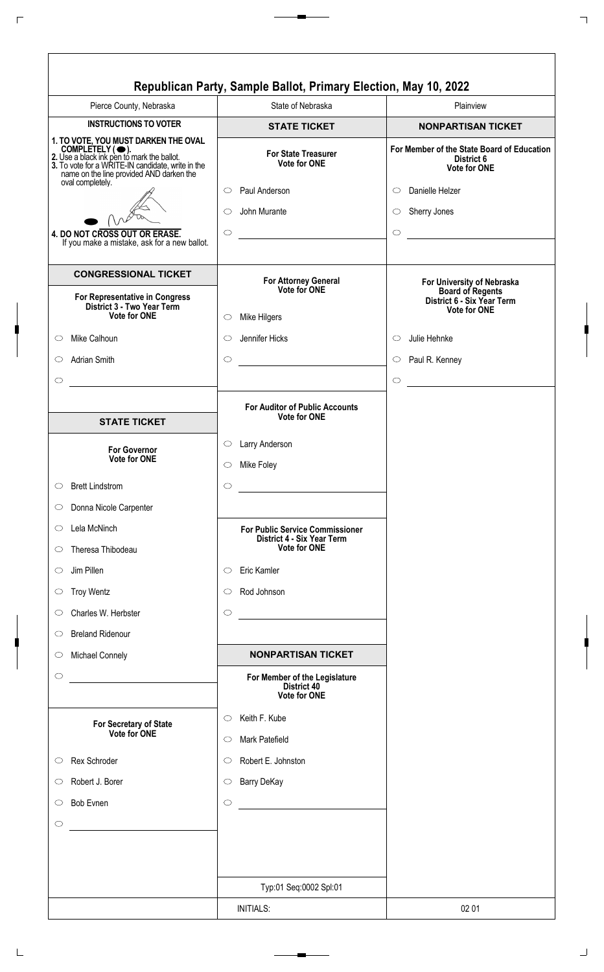|                                                                                                                                                                                                        | Republican Party, Sample Ballot, Primary Election, May 10, 2022     |                                                                                 |
|--------------------------------------------------------------------------------------------------------------------------------------------------------------------------------------------------------|---------------------------------------------------------------------|---------------------------------------------------------------------------------|
| Pierce County, Nebraska                                                                                                                                                                                | State of Nebraska                                                   | Plainview                                                                       |
| <b>INSTRUCTIONS TO VOTER</b>                                                                                                                                                                           | <b>STATE TICKET</b>                                                 | <b>NONPARTISAN TICKET</b>                                                       |
| 1. TO VOTE, YOU MUST DARKEN THE OVAL<br>COMPLETELY (O).<br>2. Use a black ink pen to mark the ballot.<br>3. To vote for a WRITE-IN candidate, write in the<br>name on the line provided AND darken the | <b>For State Treasurer</b><br><b>Vote for ONE</b>                   | For Member of the State Board of Education<br>District 6<br><b>Vote for ONE</b> |
| oval completely.                                                                                                                                                                                       | Paul Anderson<br>$\circ$                                            | Danielle Helzer<br>$\circ$                                                      |
|                                                                                                                                                                                                        | John Murante<br>$\circlearrowright$                                 | Sherry Jones<br>$\circ$                                                         |
| 4. DO NOT CROSS OUT OR ERASE.<br>If you make a mistake, ask for a new ballot.                                                                                                                          | $\circ$                                                             | $\circ$                                                                         |
| <b>CONGRESSIONAL TICKET</b>                                                                                                                                                                            | For Attorney General<br>Vote for ONE                                | For University of Nebraska<br><b>Board of Regents</b>                           |
| For Representative in Congress<br>District 3 - Two Year Term<br><b>Vote for ONE</b>                                                                                                                    | Mike Hilgers<br>$\circ$                                             | District 6 - Six Year Term<br><b>Vote for ONE</b>                               |
| Mike Calhoun<br>$\circ$                                                                                                                                                                                | Jennifer Hicks<br>$\circlearrowright$                               | Julie Hehnke<br>$\circ$                                                         |
| <b>Adrian Smith</b><br>$\circ$                                                                                                                                                                         | $\circ$                                                             | Paul R. Kenney<br>$\circ$                                                       |
| $\circlearrowright$                                                                                                                                                                                    |                                                                     | $\circ$<br><u> 1980 - Jan Barbara III, martx</u>                                |
|                                                                                                                                                                                                        | <b>For Auditor of Public Accounts</b><br><b>Vote for ONE</b>        |                                                                                 |
| <b>STATE TICKET</b>                                                                                                                                                                                    |                                                                     |                                                                                 |
| <b>For Governor</b><br><b>Vote for ONE</b>                                                                                                                                                             | Larry Anderson<br>$\circlearrowright$<br>Mike Foley<br>$\circ$      |                                                                                 |
| <b>Brett Lindstrom</b><br>$\circ$                                                                                                                                                                      | $\circ$                                                             |                                                                                 |
| Donna Nicole Carpenter<br>$\circ$                                                                                                                                                                      |                                                                     |                                                                                 |
| Lela McNinch<br>$\circ$                                                                                                                                                                                | <b>For Public Service Commissioner</b>                              |                                                                                 |
| Theresa Thibodeau<br>$\circ$                                                                                                                                                                           | District 4 - Six Year Term<br><b>Vote for ONE</b>                   |                                                                                 |
|                                                                                                                                                                                                        |                                                                     |                                                                                 |
| Jim Pillen<br>$\circ$                                                                                                                                                                                  | Eric Kamler<br>$\circ$                                              |                                                                                 |
| <b>Troy Wentz</b><br>$\circlearrowright$                                                                                                                                                               | Rod Johnson<br>$\circlearrowright$                                  |                                                                                 |
| Charles W. Herbster<br>$\circ$                                                                                                                                                                         | $\circ$                                                             |                                                                                 |
| <b>Breland Ridenour</b><br>$\circ$                                                                                                                                                                     |                                                                     |                                                                                 |
| Michael Connely<br>$\circ$                                                                                                                                                                             | <b>NONPARTISAN TICKET</b>                                           |                                                                                 |
| $\circlearrowright$                                                                                                                                                                                    | For Member of the Legislature<br><b>District 40</b><br>Vote for ONE |                                                                                 |
| For Secretary of State<br>Vote for ONE                                                                                                                                                                 | Keith F. Kube<br>$\circ$<br>Mark Patefield<br>$\circ$               |                                                                                 |
| Rex Schroder<br>$\circ$                                                                                                                                                                                | Robert E. Johnston<br>$\circ$                                       |                                                                                 |
|                                                                                                                                                                                                        |                                                                     |                                                                                 |
| Robert J. Borer<br>$\circlearrowright$                                                                                                                                                                 | <b>Barry DeKay</b><br>$\circlearrowright$                           |                                                                                 |
| <b>Bob Evnen</b><br>$\circlearrowright$                                                                                                                                                                | $\circ$<br><u> 1980 - Johann Barbara, martxa alemani</u> ar a       |                                                                                 |
| $\circlearrowright$                                                                                                                                                                                    |                                                                     |                                                                                 |
|                                                                                                                                                                                                        | Typ:01 Seq:0002 Spl:01                                              |                                                                                 |
|                                                                                                                                                                                                        | <b>INITIALS:</b>                                                    | 02 01                                                                           |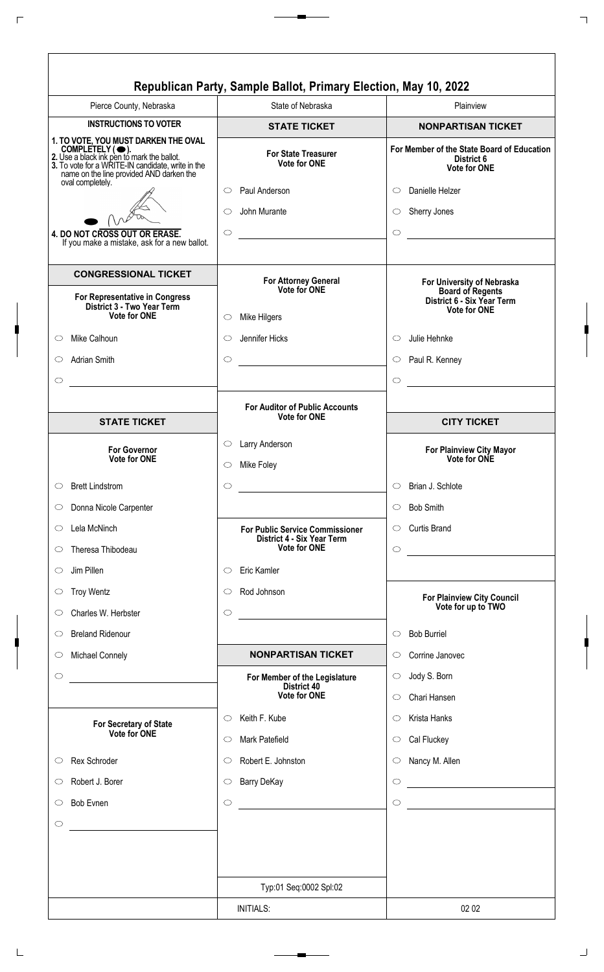|                                                                                                                                                                                                                            | Republican Party, Sample Ballot, Primary Election, May 10, 2022 |                                                                                        |  |
|----------------------------------------------------------------------------------------------------------------------------------------------------------------------------------------------------------------------------|-----------------------------------------------------------------|----------------------------------------------------------------------------------------|--|
| Pierce County, Nebraska                                                                                                                                                                                                    | State of Nebraska                                               | Plainview                                                                              |  |
| <b>INSTRUCTIONS TO VOTER</b>                                                                                                                                                                                               | <b>STATE TICKET</b>                                             | <b>NONPARTISAN TICKET</b>                                                              |  |
| 1. TO VOTE, YOU MUST DARKEN THE OVAL<br>COMPLETELY (C).<br>2. Use a black ink pen to mark the ballot.<br>3. To vote for a WRITE-IN candidate, write in the<br>name on the line provided AND darken the<br>oval completely. | <b>For State Treasurer</b><br><b>Vote for ONE</b>               | For Member of the State Board of Education<br>District 6<br><b>Vote for ONE</b>        |  |
|                                                                                                                                                                                                                            | Paul Anderson<br>$\circ$                                        | Danielle Helzer<br>$\circ$                                                             |  |
|                                                                                                                                                                                                                            | John Murante<br>$\bigcirc$                                      | Sherry Jones<br>$\circ$                                                                |  |
| 4. DO NOT CROSS OUT OR ERASE.<br>If you make a mistake, ask for a new ballot.                                                                                                                                              | $\circ$                                                         | $\circ$                                                                                |  |
| <b>CONGRESSIONAL TICKET</b>                                                                                                                                                                                                | For Attorney General<br>Vote for ONE                            | For University of Nebraska<br><b>Board of Regents</b>                                  |  |
| For Representative in Congress<br>District 3 - Two Year Term<br>Vote for ONE                                                                                                                                               | Mike Hilgers<br>O                                               | District 6 - Six Year Term<br><b>Vote for ONE</b>                                      |  |
| Mike Calhoun<br>$\circ$                                                                                                                                                                                                    | Jennifer Hicks<br>$\circ$                                       | Julie Hehnke<br>$\circ$                                                                |  |
| <b>Adrian Smith</b><br>◯                                                                                                                                                                                                   | $\circ$<br><u> 1980 - Jan Barbara Barat, manala</u>             | Paul R. Kenney<br>$\circ$                                                              |  |
| $\circlearrowright$                                                                                                                                                                                                        |                                                                 | $\circ$                                                                                |  |
|                                                                                                                                                                                                                            | <b>For Auditor of Public Accounts</b>                           |                                                                                        |  |
| <b>STATE TICKET</b>                                                                                                                                                                                                        | <b>Vote for ONE</b>                                             | <b>CITY TICKET</b>                                                                     |  |
| <b>For Governor</b>                                                                                                                                                                                                        | Larry Anderson<br>$\circ$                                       |                                                                                        |  |
| <b>Vote for ONE</b>                                                                                                                                                                                                        | Mike Foley<br>O                                                 | For Plainview City Mayor<br>Vote for ONE                                               |  |
| <b>Brett Lindstrom</b><br>$\circlearrowright$                                                                                                                                                                              | $\circ$                                                         | Brian J. Schlote<br>$\circ$                                                            |  |
| Donna Nicole Carpenter<br>$\circ$                                                                                                                                                                                          |                                                                 | <b>Bob Smith</b><br>$\circ$                                                            |  |
| Lela McNinch<br>O                                                                                                                                                                                                          | <b>For Public Service Commissioner</b>                          | <b>Curtis Brand</b><br>$\circ$                                                         |  |
| Theresa Thibodeau<br>$\circ$                                                                                                                                                                                               | District 4 - Six Year Term<br><b>Vote for ONE</b>               | $\circ$                                                                                |  |
| Jim Pillen<br>$\circ$                                                                                                                                                                                                      | Eric Kamler<br>$\circ$                                          |                                                                                        |  |
| <b>Troy Wentz</b><br>$\circ$                                                                                                                                                                                               | Rod Johnson<br>$\circlearrowright$                              |                                                                                        |  |
| Charles W. Herbster<br>$\circ$                                                                                                                                                                                             | $\circ$                                                         | <b>For Plainview City Council</b><br>Vote for up to TWO                                |  |
| <b>Breland Ridenour</b><br>$\circ$                                                                                                                                                                                         |                                                                 | <b>Bob Burriel</b><br>$\circ$                                                          |  |
| <b>Michael Connely</b><br>$\circ$                                                                                                                                                                                          | <b>NONPARTISAN TICKET</b>                                       | Corrine Janovec<br>$\circ$                                                             |  |
| $\circ$<br><u> 1980 - Andrea Stadt Britain, amerikansk politik (</u>                                                                                                                                                       | For Member of the Legislature                                   | Jody S. Born<br>$\circ$                                                                |  |
|                                                                                                                                                                                                                            | District 40<br>Vote for ONE                                     | Chari Hansen<br>$\circ$                                                                |  |
|                                                                                                                                                                                                                            | Keith F. Kube<br>O                                              | Krista Hanks<br>O                                                                      |  |
| For Secretary of State<br>Vote for ONE                                                                                                                                                                                     | Mark Patefield<br>$\circ$                                       | Cal Fluckey<br>$\circ$                                                                 |  |
| Rex Schroder<br>$\circ$                                                                                                                                                                                                    | Robert E. Johnston<br>$\circ$                                   | Nancy M. Allen<br>$\circ$                                                              |  |
| Robert J. Borer<br>$\circ$                                                                                                                                                                                                 | <b>Barry DeKay</b><br>$\circ$                                   | <u> 1980 - Johann Barn, mars an t-Amerikaansk kommunister (</u><br>$\circlearrowright$ |  |
| <b>Bob Evnen</b><br>$\circ$                                                                                                                                                                                                | $\circlearrowright$                                             | $\circ$                                                                                |  |
| $\circlearrowright$                                                                                                                                                                                                        |                                                                 |                                                                                        |  |
|                                                                                                                                                                                                                            |                                                                 |                                                                                        |  |
|                                                                                                                                                                                                                            |                                                                 |                                                                                        |  |
|                                                                                                                                                                                                                            | Typ:01 Seq:0002 Spl:02                                          |                                                                                        |  |
|                                                                                                                                                                                                                            | <b>INITIALS:</b>                                                | 02 02                                                                                  |  |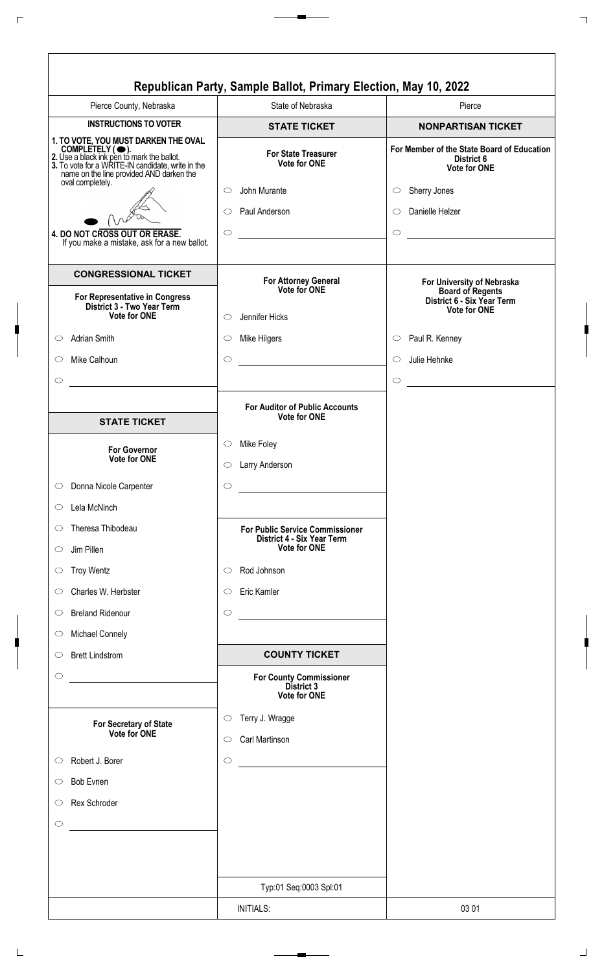| <b>NONPARTISAN TICKET</b><br>For Member of the State Board of Education<br>District 6<br>Vote for ONE<br>For University of Nebraska<br><b>Board of Regents</b><br>District 6 - Six Year Term<br><b>Vote for ONE</b> |
|---------------------------------------------------------------------------------------------------------------------------------------------------------------------------------------------------------------------|
|                                                                                                                                                                                                                     |
|                                                                                                                                                                                                                     |
|                                                                                                                                                                                                                     |
|                                                                                                                                                                                                                     |
|                                                                                                                                                                                                                     |
|                                                                                                                                                                                                                     |
|                                                                                                                                                                                                                     |
|                                                                                                                                                                                                                     |
|                                                                                                                                                                                                                     |
|                                                                                                                                                                                                                     |
|                                                                                                                                                                                                                     |
| <u> 1980 - Jan Barat, politik e</u>                                                                                                                                                                                 |
|                                                                                                                                                                                                                     |
|                                                                                                                                                                                                                     |
|                                                                                                                                                                                                                     |
|                                                                                                                                                                                                                     |
|                                                                                                                                                                                                                     |
|                                                                                                                                                                                                                     |
|                                                                                                                                                                                                                     |
|                                                                                                                                                                                                                     |
|                                                                                                                                                                                                                     |
|                                                                                                                                                                                                                     |
|                                                                                                                                                                                                                     |
|                                                                                                                                                                                                                     |
|                                                                                                                                                                                                                     |
|                                                                                                                                                                                                                     |
|                                                                                                                                                                                                                     |
|                                                                                                                                                                                                                     |
|                                                                                                                                                                                                                     |
|                                                                                                                                                                                                                     |
|                                                                                                                                                                                                                     |
|                                                                                                                                                                                                                     |
|                                                                                                                                                                                                                     |
|                                                                                                                                                                                                                     |
|                                                                                                                                                                                                                     |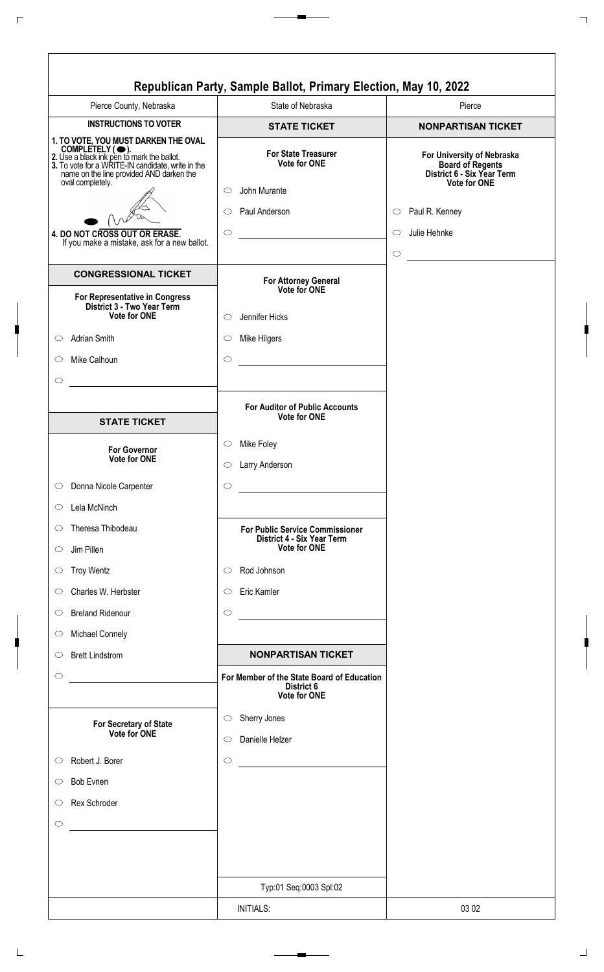|                                                                                                                                                                                                                                                                                                             | Republican Party, Sample Ballot, Primary Election, May 10, 2022                                                        |                                                                                                                                                                 |
|-------------------------------------------------------------------------------------------------------------------------------------------------------------------------------------------------------------------------------------------------------------------------------------------------------------|------------------------------------------------------------------------------------------------------------------------|-----------------------------------------------------------------------------------------------------------------------------------------------------------------|
| Pierce County, Nebraska                                                                                                                                                                                                                                                                                     | State of Nebraska                                                                                                      | Pierce                                                                                                                                                          |
| <b>INSTRUCTIONS TO VOTER</b>                                                                                                                                                                                                                                                                                | <b>STATE TICKET</b>                                                                                                    | <b>NONPARTISAN TICKET</b>                                                                                                                                       |
| 1. TO VOTE, YOU MUST DARKEN THE OVAL<br>COMPLETELY (C).<br>2. Use a black ink pen to mark the ballot.<br>3. To vote for a WRITE-IN candidate, write in the<br>name on the line provided AND darken the<br>oval completely.<br>4. DO NOT CROSS OUT OR ERASE.<br>If you make a mistake, ask for a new ballot. | <b>For State Treasurer</b><br><b>Vote for ONE</b><br>John Murante<br>$\bigcirc$<br>Paul Anderson<br>$\circ$<br>$\circ$ | For University of Nebraska<br><b>Board of Regents</b><br>District 6 - Six Year Term<br><b>Vote for ONE</b><br>$\circ$ Paul R. Kenney<br>Julie Hehnke<br>$\circ$ |
| <b>CONGRESSIONAL TICKET</b>                                                                                                                                                                                                                                                                                 |                                                                                                                        | $\circ$                                                                                                                                                         |
| For Representative in Congress<br>District 3 - Two Year Term<br>Vote for ONE<br><b>Adrian Smith</b><br>$\circ$                                                                                                                                                                                              | For Attorney General<br>Vote for ONE<br>Jennifer Hicks<br>$\circ$<br>Mike Hilgers<br>$\circ$                           |                                                                                                                                                                 |
| Mike Calhoun<br>$\circ$<br>$\circ$                                                                                                                                                                                                                                                                          | $\circ$<br><u> 1990 - Jan Barbara Barat, p</u>                                                                         |                                                                                                                                                                 |
| <b>STATE TICKET</b>                                                                                                                                                                                                                                                                                         | <b>For Auditor of Public Accounts</b><br><b>Vote for ONE</b>                                                           |                                                                                                                                                                 |
| <b>For Governor</b><br>Vote for ONE                                                                                                                                                                                                                                                                         | Mike Foley<br>$\circ$<br>Larry Anderson<br>$\circ$                                                                     |                                                                                                                                                                 |
| Donna Nicole Carpenter<br>$\circ$                                                                                                                                                                                                                                                                           | $\circ$                                                                                                                |                                                                                                                                                                 |
| Lela McNinch<br>$\circ$                                                                                                                                                                                                                                                                                     |                                                                                                                        |                                                                                                                                                                 |
| Theresa Thibodeau<br>$\circ$<br>Jim Pillen<br>$\circ$                                                                                                                                                                                                                                                       | <b>For Public Service Commissioner</b><br>District 4 - Six Year Term<br><b>Vote for ONE</b>                            |                                                                                                                                                                 |
| <b>Troy Wentz</b><br>$\circ$                                                                                                                                                                                                                                                                                | Rod Johnson<br>$\circ$                                                                                                 |                                                                                                                                                                 |
| Charles W. Herbster<br>$\circ$                                                                                                                                                                                                                                                                              | Eric Kamler<br>$\circlearrowright$                                                                                     |                                                                                                                                                                 |
| <b>Breland Ridenour</b><br>$\circ$                                                                                                                                                                                                                                                                          | $\circ$                                                                                                                |                                                                                                                                                                 |
| <b>Michael Connely</b><br>$\circ$                                                                                                                                                                                                                                                                           |                                                                                                                        |                                                                                                                                                                 |
| <b>Brett Lindstrom</b><br>$\circ$                                                                                                                                                                                                                                                                           | <b>NONPARTISAN TICKET</b>                                                                                              |                                                                                                                                                                 |
| $\circ$<br><u> 1989 - Jan Barbara Barbara, masa ka</u>                                                                                                                                                                                                                                                      | For Member of the State Board of Education<br>District 6<br><b>Vote for ONE</b>                                        |                                                                                                                                                                 |
| For Secretary of State<br>Vote for ONE                                                                                                                                                                                                                                                                      | Sherry Jones<br>$\circ$<br>Danielle Helzer<br>$\circlearrowright$                                                      |                                                                                                                                                                 |
| Robert J. Borer<br>$\circ$                                                                                                                                                                                                                                                                                  | $\circ$                                                                                                                |                                                                                                                                                                 |
| <b>Bob Evnen</b><br>$\circ$                                                                                                                                                                                                                                                                                 |                                                                                                                        |                                                                                                                                                                 |
| Rex Schroder<br>$\circlearrowright$                                                                                                                                                                                                                                                                         |                                                                                                                        |                                                                                                                                                                 |
| $\circ$<br><u> 1980 - Johann Barnett, fransk politiker (</u>                                                                                                                                                                                                                                                |                                                                                                                        |                                                                                                                                                                 |
|                                                                                                                                                                                                                                                                                                             | Typ:01 Seq:0003 Spl:02                                                                                                 |                                                                                                                                                                 |
|                                                                                                                                                                                                                                                                                                             | <b>INITIALS:</b>                                                                                                       | 03 02                                                                                                                                                           |

L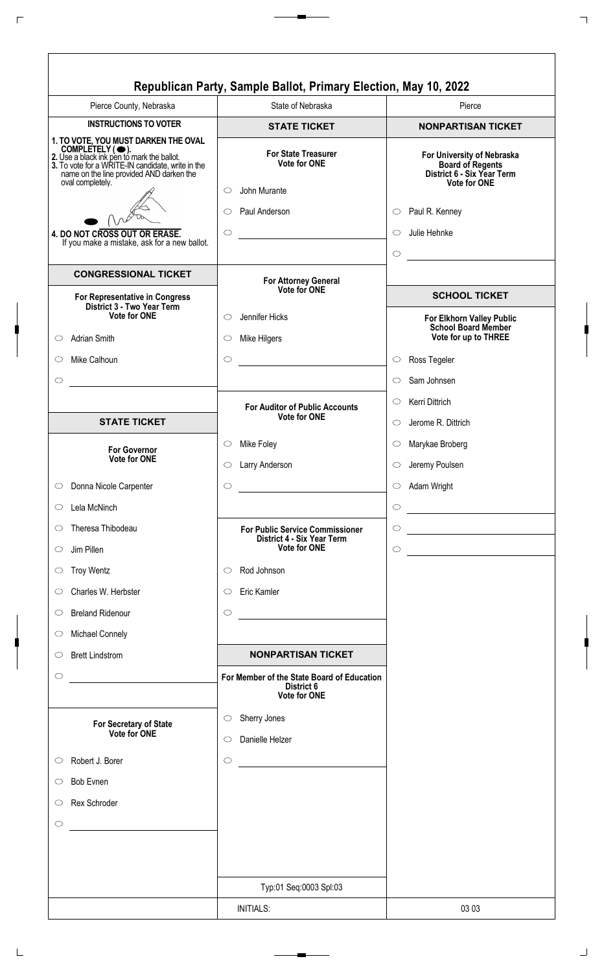| Pierce County, Nebraska                                                                                                                                                                                                    | State of Nebraska                                                                                  | Pierce                                                                                                                               |
|----------------------------------------------------------------------------------------------------------------------------------------------------------------------------------------------------------------------------|----------------------------------------------------------------------------------------------------|--------------------------------------------------------------------------------------------------------------------------------------|
| <b>INSTRUCTIONS TO VOTER</b>                                                                                                                                                                                               | <b>STATE TICKET</b>                                                                                | <b>NONPARTISAN TICKET</b>                                                                                                            |
| 1. TO VOTE, YOU MUST DARKEN THE OVAL<br>COMPLETELY (C).<br>2. Use a black ink pen to mark the ballot.<br>3. To vote for a WRITE-IN candidate, write in the<br>name on the line provided AND darken the<br>oval completely. | <b>For State Treasurer</b><br><b>Vote for ONE</b><br>John Murante<br>$\circ$<br>Paul Anderson<br>O | For University of Nebraska<br><b>Board of Regents</b><br>District 6 - Six Year Term<br><b>Vote for ONE</b><br>$\circ$ Paul R. Kenney |
| 4. DO NOT CROSS OUT OR ERASE.                                                                                                                                                                                              | $\circ$                                                                                            | Julie Hehnke<br>$\circ$                                                                                                              |
| If you make a mistake, ask for a new ballot.                                                                                                                                                                               |                                                                                                    | $\bigcirc$                                                                                                                           |
| <b>CONGRESSIONAL TICKET</b>                                                                                                                                                                                                |                                                                                                    |                                                                                                                                      |
| For Representative in Congress                                                                                                                                                                                             | For Attorney General<br>Vote for ONE                                                               | <b>SCHOOL TICKET</b>                                                                                                                 |
| District 3 - Two Year Term<br>Vote for ONE                                                                                                                                                                                 | Jennifer Hicks<br>$\circ$                                                                          | For Elkhorn Valley Public                                                                                                            |
| Adrian Smith<br>$\circ$                                                                                                                                                                                                    | Mike Hilgers<br>$\circ$                                                                            | <b>School Board Member</b><br>Vote for up to THREE                                                                                   |
| Mike Calhoun<br>$\circ$                                                                                                                                                                                                    | $\bigcirc$                                                                                         | Ross Tegeler<br>$\circ$                                                                                                              |
| $\circlearrowright$                                                                                                                                                                                                        |                                                                                                    | Sam Johnsen<br>$\circ$                                                                                                               |
|                                                                                                                                                                                                                            |                                                                                                    | Kerri Dittrich<br>$\circ$                                                                                                            |
| <b>STATE TICKET</b>                                                                                                                                                                                                        | <b>For Auditor of Public Accounts</b><br><b>Vote for ONE</b>                                       | Jerome R. Dittrich<br>$\circ$                                                                                                        |
| <b>For Governor</b>                                                                                                                                                                                                        | Mike Foley<br>$\circ$                                                                              | Marykae Broberg<br>$\circ$                                                                                                           |
| <b>Vote for ONE</b>                                                                                                                                                                                                        | Larry Anderson<br>O                                                                                | Jeremy Poulsen<br>$\circ$                                                                                                            |
| Donna Nicole Carpenter<br>$\circlearrowright$                                                                                                                                                                              | $\circ$                                                                                            | Adam Wright<br>$\circ$                                                                                                               |
| Lela McNinch<br>$\circ$                                                                                                                                                                                                    |                                                                                                    | $\bigcirc$<br><u> 1980 - Johann Barbara, martxa a</u>                                                                                |
| Theresa Thibodeau<br>$\circ$                                                                                                                                                                                               | <b>For Public Service Commissioner</b>                                                             | $\circ$                                                                                                                              |
| Jim Pillen<br>$\circ$                                                                                                                                                                                                      | District 4 - Six Year Term<br><b>Vote for ONE</b>                                                  | $\circ$<br><u> 1980 - Johann Barbara, martxa alemaniar a</u>                                                                         |
| <b>Troy Wentz</b><br>$\circ$                                                                                                                                                                                               | Rod Johnson<br>$\circ$                                                                             |                                                                                                                                      |
| Charles W. Herbster<br>$\circ$                                                                                                                                                                                             | Eric Kamler<br>$\circ$                                                                             |                                                                                                                                      |
| <b>Breland Ridenour</b><br>$\circ$                                                                                                                                                                                         | $\circ$<br><u> 1980 - Johann Barn, mars an t-Amerikaansk kommunister (</u>                         |                                                                                                                                      |
| <b>Michael Connely</b><br>$\circ$                                                                                                                                                                                          |                                                                                                    |                                                                                                                                      |
| <b>Brett Lindstrom</b><br>$\circ$                                                                                                                                                                                          | <b>NONPARTISAN TICKET</b>                                                                          |                                                                                                                                      |
| $\circ$<br><u> 1989 - Andrea State Barbara, política establece</u>                                                                                                                                                         | For Member of the State Board of Education<br>District 6<br><b>Vote for ONE</b>                    |                                                                                                                                      |
| For Secretary of State<br>Vote for ONE                                                                                                                                                                                     | Sherry Jones<br>$\circ$<br>Danielle Helzer<br>$\circ$                                              |                                                                                                                                      |
| Robert J. Borer<br>$\circ$                                                                                                                                                                                                 | $\circ$                                                                                            |                                                                                                                                      |
| <b>Bob Evnen</b><br>O                                                                                                                                                                                                      |                                                                                                    |                                                                                                                                      |
| Rex Schroder<br>$\circ$                                                                                                                                                                                                    |                                                                                                    |                                                                                                                                      |
| $\circlearrowright$                                                                                                                                                                                                        |                                                                                                    |                                                                                                                                      |
|                                                                                                                                                                                                                            | Typ:01 Seq:0003 Spl:03                                                                             |                                                                                                                                      |
|                                                                                                                                                                                                                            | <b>INITIALS:</b>                                                                                   | 03 03                                                                                                                                |
|                                                                                                                                                                                                                            |                                                                                                    |                                                                                                                                      |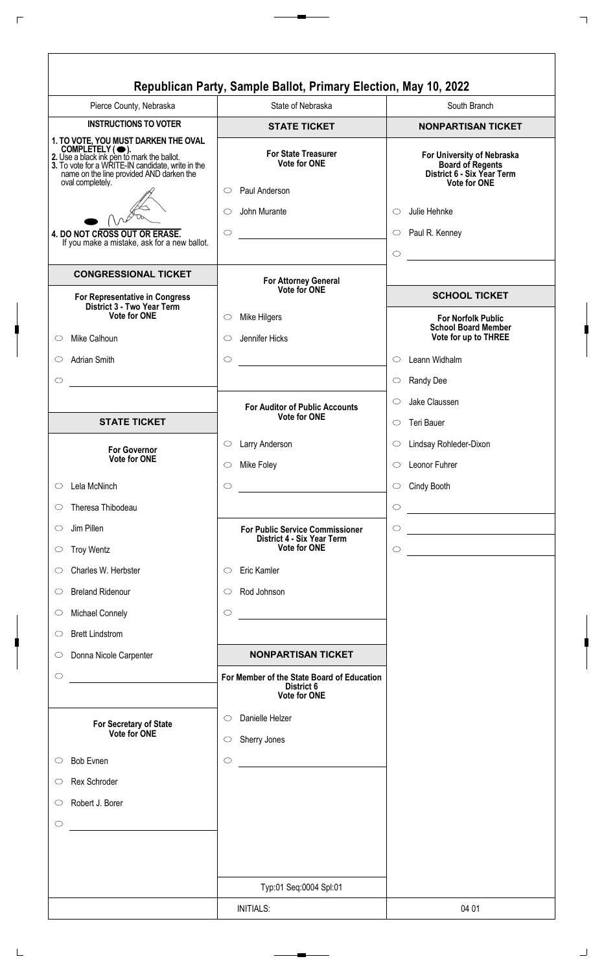| Pierce County, Nebraska                                                                              | State of Nebraska                                                               | South Branch                                                                                               |
|------------------------------------------------------------------------------------------------------|---------------------------------------------------------------------------------|------------------------------------------------------------------------------------------------------------|
| <b>INSTRUCTIONS TO VOTER</b>                                                                         | <b>STATE TICKET</b>                                                             | <b>NONPARTISAN TICKET</b>                                                                                  |
| 1. TO VOTE, YOU MUST DARKEN THE OVAL<br>name on the line provided AND darken the<br>oval completely. | <b>For State Treasurer</b><br><b>Vote for ONE</b><br>Paul Anderson<br>$\circ$   | For University of Nebraska<br><b>Board of Regents</b><br>District 6 - Six Year Term<br><b>Vote for ONE</b> |
|                                                                                                      | John Murante<br>O                                                               | Julie Hehnke<br>$\circ$                                                                                    |
| 4. DO NOT CROSS OUT OR ERASE.                                                                        | $\circ$                                                                         | $\circ$ Paul R. Kenney                                                                                     |
| If you make a mistake, ask for a new ballot.                                                         |                                                                                 | $\bigcirc$<br><u> 1990 - Johann Barnett, f</u>                                                             |
| <b>CONGRESSIONAL TICKET</b>                                                                          | For Attorney General<br>Vote for ONE                                            | <b>SCHOOL TICKET</b>                                                                                       |
| For Representative in Congress<br>District 3 - Two Year Term<br>Vote for ONE                         |                                                                                 |                                                                                                            |
|                                                                                                      | Mike Hilgers<br>O                                                               | <b>For Norfolk Public</b><br><b>School Board Member</b>                                                    |
| Mike Calhoun<br>$\circ$                                                                              | Jennifer Hicks<br>$\circlearrowright$                                           | Vote for up to THREE                                                                                       |
| <b>Adrian Smith</b><br>$\circ$                                                                       | $\circ$<br><u> 1990 - Jan Barbara III, martx</u>                                | $\circ$ Leann Widhalm                                                                                      |
| $\circ$                                                                                              |                                                                                 | Randy Dee<br>$\circlearrowright$                                                                           |
|                                                                                                      | <b>For Auditor of Public Accounts</b><br><b>Vote for ONE</b>                    | Jake Claussen<br>$\circ$                                                                                   |
| <b>STATE TICKET</b>                                                                                  |                                                                                 | $\circ$ Teri Bauer                                                                                         |
| <b>For Governor</b><br><b>Vote for ONE</b>                                                           | Larry Anderson<br>$\circ$                                                       | Lindsay Rohleder-Dixon<br>$\circ$                                                                          |
|                                                                                                      | Mike Foley<br>$\circ$                                                           | Leonor Fuhrer<br>$\circ$                                                                                   |
| Lela McNinch<br>$\circ$                                                                              | $\circ$                                                                         | Cindy Booth<br>$\bigcirc$                                                                                  |
| Theresa Thibodeau<br>O                                                                               |                                                                                 | $\circ$                                                                                                    |
| Jim Pillen<br>$\circ$                                                                                | <b>For Public Service Commissioner</b><br>District 4 - Six Year Term            | $\circ$                                                                                                    |
| <b>Troy Wentz</b><br>$\circ$                                                                         | Vote for ONE                                                                    | $\circ$                                                                                                    |
| Charles W. Herbster<br>$\circ$                                                                       | Eric Kamler<br>$\circ$                                                          |                                                                                                            |
| <b>Breland Ridenour</b><br>$\circ$                                                                   | Rod Johnson<br>$\circlearrowright$                                              |                                                                                                            |
| Michael Connely<br>$\circ$                                                                           | $\circ$                                                                         |                                                                                                            |
| <b>Brett Lindstrom</b><br>$\circ$                                                                    |                                                                                 |                                                                                                            |
| Donna Nicole Carpenter<br>$\circ$                                                                    | <b>NONPARTISAN TICKET</b>                                                       |                                                                                                            |
| $\circ$                                                                                              | For Member of the State Board of Education<br>District 6<br><b>Vote for ONE</b> |                                                                                                            |
| For Secretary of State<br>Vote for ONE                                                               | Danielle Helzer<br>$\circ$<br>Sherry Jones<br>$\circ$                           |                                                                                                            |
| <b>Bob Evnen</b><br>$\circ$                                                                          | $\circ$                                                                         |                                                                                                            |
| Rex Schroder<br>$\circ$                                                                              |                                                                                 |                                                                                                            |
| Robert J. Borer<br>$\circ$                                                                           |                                                                                 |                                                                                                            |
| $\circ$                                                                                              |                                                                                 |                                                                                                            |
|                                                                                                      |                                                                                 |                                                                                                            |
|                                                                                                      | Typ:01 Seq:0004 Spl:01                                                          |                                                                                                            |
|                                                                                                      | <b>INITIALS:</b>                                                                | 04 01                                                                                                      |
|                                                                                                      |                                                                                 |                                                                                                            |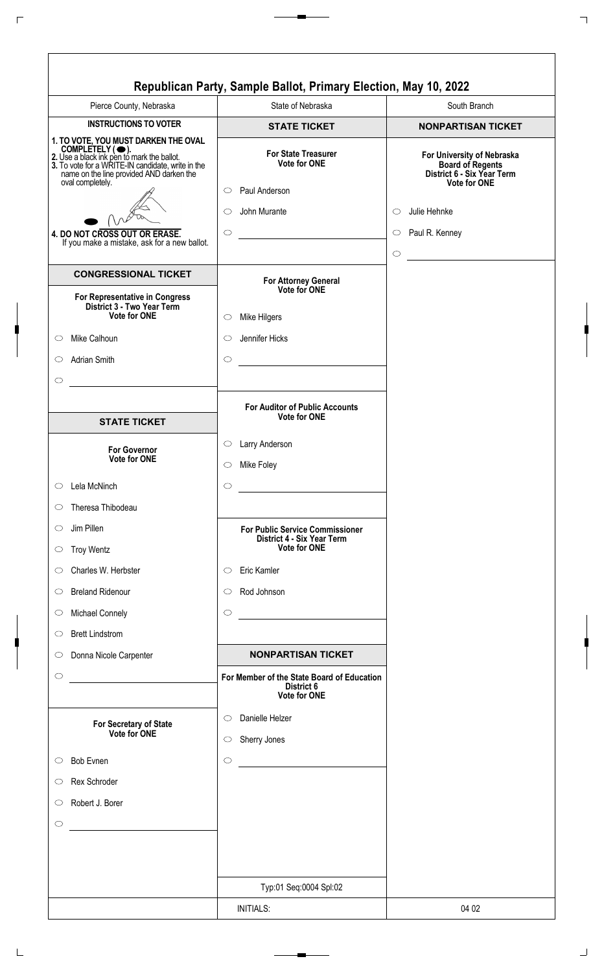|                                                                                                                                                                                                                            | Republican Party, Sample Ballot, Primary Election, May 10, 2022                                    |                                                                                                                                       |
|----------------------------------------------------------------------------------------------------------------------------------------------------------------------------------------------------------------------------|----------------------------------------------------------------------------------------------------|---------------------------------------------------------------------------------------------------------------------------------------|
| Pierce County, Nebraska                                                                                                                                                                                                    | State of Nebraska                                                                                  | South Branch                                                                                                                          |
| <b>INSTRUCTIONS TO VOTER</b>                                                                                                                                                                                               | <b>STATE TICKET</b>                                                                                | <b>NONPARTISAN TICKET</b>                                                                                                             |
| 1. TO VOTE, YOU MUST DARKEN THE OVAL<br>COMPLETELY (C).<br>2. Use a black ink pen to mark the ballot.<br>3. To vote for a WRITE-IN candidate, write in the<br>name on the line provided AND darken the<br>oval completely. | <b>For State Treasurer</b><br><b>Vote for ONE</b><br>Paul Anderson<br>$\circ$<br>John Murante<br>O | For University of Nebraska<br><b>Board of Regents</b><br>District 6 - Six Year Term<br><b>Vote for ONE</b><br>Julie Hehnke<br>$\circ$ |
|                                                                                                                                                                                                                            |                                                                                                    |                                                                                                                                       |
| 4. DO NOT CROSS OUT OR ERASE.<br>If you make a mistake, ask for a new ballot.                                                                                                                                              | $\circ$                                                                                            | $\circ$ Paul R. Kenney                                                                                                                |
|                                                                                                                                                                                                                            |                                                                                                    | $\circ$                                                                                                                               |
| <b>CONGRESSIONAL TICKET</b><br>For Representative in Congress                                                                                                                                                              | For Attorney General<br>Vote for ONE                                                               |                                                                                                                                       |
| District 3 - Two Year Term<br><b>Vote for ONE</b>                                                                                                                                                                          | Mike Hilgers<br>$\circ$                                                                            |                                                                                                                                       |
| Mike Calhoun<br>$\circ$                                                                                                                                                                                                    | Jennifer Hicks<br>$\circ$                                                                          |                                                                                                                                       |
| Adrian Smith<br>$\circ$                                                                                                                                                                                                    | $\bigcirc$                                                                                         |                                                                                                                                       |
|                                                                                                                                                                                                                            |                                                                                                    |                                                                                                                                       |
| $\circ$                                                                                                                                                                                                                    |                                                                                                    |                                                                                                                                       |
|                                                                                                                                                                                                                            | <b>For Auditor of Public Accounts</b><br><b>Vote for ONE</b>                                       |                                                                                                                                       |
| <b>STATE TICKET</b>                                                                                                                                                                                                        |                                                                                                    |                                                                                                                                       |
| <b>For Governor</b><br><b>Vote for ONE</b>                                                                                                                                                                                 | Larry Anderson<br>$\circ$                                                                          |                                                                                                                                       |
|                                                                                                                                                                                                                            | Mike Foley<br>$\circ$                                                                              |                                                                                                                                       |
| Lela McNinch<br>$\circ$                                                                                                                                                                                                    | $\circ$                                                                                            |                                                                                                                                       |
| Theresa Thibodeau<br>$\circ$                                                                                                                                                                                               |                                                                                                    |                                                                                                                                       |
| Jim Pillen<br>$\circ$                                                                                                                                                                                                      | <b>For Public Service Commissioner</b><br>District 4 - Six Year Term                               |                                                                                                                                       |
| <b>Troy Wentz</b><br>$\circ$                                                                                                                                                                                               | <b>Vote for ONE</b>                                                                                |                                                                                                                                       |
| Charles W. Herbster<br>$\circ$                                                                                                                                                                                             | Eric Kamler<br>$\circ$                                                                             |                                                                                                                                       |
| <b>Breland Ridenour</b><br>$\circ$                                                                                                                                                                                         | Rod Johnson<br>$\circlearrowright$                                                                 |                                                                                                                                       |
| <b>Michael Connely</b><br>$\circ$                                                                                                                                                                                          | $\circ$<br><u> 1980 - Johann Barbara, martxa amerikan per</u>                                      |                                                                                                                                       |
| <b>Brett Lindstrom</b><br>$\circ$                                                                                                                                                                                          |                                                                                                    |                                                                                                                                       |
| Donna Nicole Carpenter<br>$\circ$                                                                                                                                                                                          | <b>NONPARTISAN TICKET</b>                                                                          |                                                                                                                                       |
| $\circ$                                                                                                                                                                                                                    | For Member of the State Board of Education<br>District 6<br>Vote for ONE                           |                                                                                                                                       |
| For Secretary of State<br>Vote for ONE                                                                                                                                                                                     | Danielle Helzer<br>$\circlearrowright$<br>Sherry Jones<br>$\circ$                                  |                                                                                                                                       |
| <b>Bob Evnen</b><br>$\circ$                                                                                                                                                                                                | $\circ$                                                                                            |                                                                                                                                       |
| Rex Schroder<br>$\circ$                                                                                                                                                                                                    |                                                                                                    |                                                                                                                                       |
| Robert J. Borer<br>$\circ$                                                                                                                                                                                                 |                                                                                                    |                                                                                                                                       |
| $\circ$                                                                                                                                                                                                                    |                                                                                                    |                                                                                                                                       |
|                                                                                                                                                                                                                            |                                                                                                    |                                                                                                                                       |
|                                                                                                                                                                                                                            | Typ:01 Seq:0004 Spl:02                                                                             |                                                                                                                                       |
|                                                                                                                                                                                                                            | <b>INITIALS:</b>                                                                                   | 04 02                                                                                                                                 |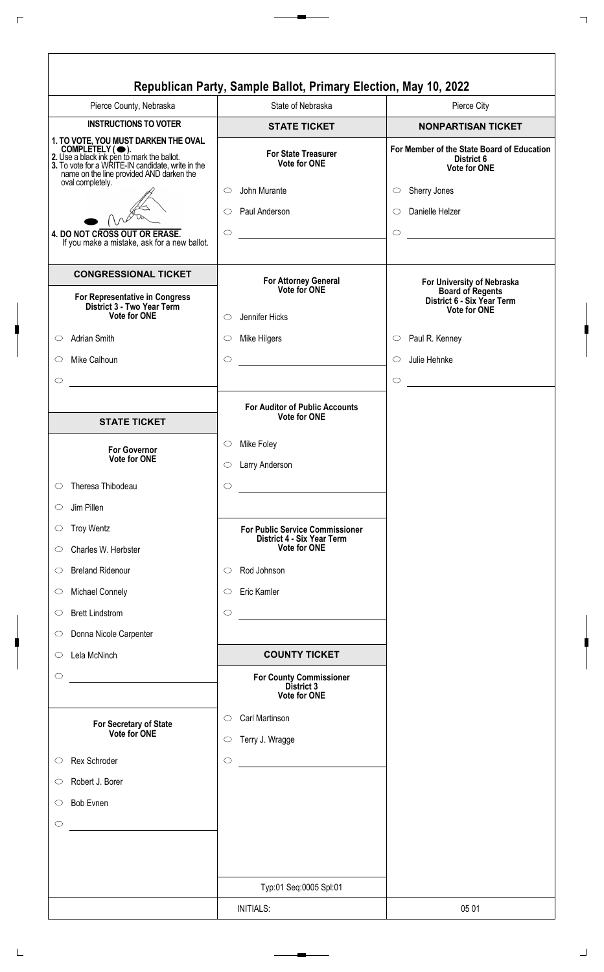|                                                                                                                                                                                                        | Republican Party, Sample Ballot, Primary Election, May 10, 2022      |                                                                          |
|--------------------------------------------------------------------------------------------------------------------------------------------------------------------------------------------------------|----------------------------------------------------------------------|--------------------------------------------------------------------------|
| Pierce County, Nebraska                                                                                                                                                                                | State of Nebraska                                                    | Pierce City                                                              |
| <b>INSTRUCTIONS TO VOTER</b>                                                                                                                                                                           | <b>STATE TICKET</b>                                                  | <b>NONPARTISAN TICKET</b>                                                |
| 1. TO VOTE, YOU MUST DARKEN THE OVAL<br>COMPLETELY (C).<br>2. Use a black ink pen to mark the ballot.<br>3. To vote for a WRITE-IN candidate, write in the<br>name on the line provided AND darken the | <b>For State Treasurer</b><br><b>Vote for ONE</b>                    | For Member of the State Board of Education<br>District 6<br>Vote for ONE |
| oval completely.                                                                                                                                                                                       | John Murante<br>◯                                                    | Sherry Jones<br>$\circ$                                                  |
|                                                                                                                                                                                                        | Paul Anderson<br>O                                                   | Danielle Helzer<br>$\circ$                                               |
| 4. DO NOT CROSS OUT OR ERASE.                                                                                                                                                                          | $\circ$                                                              | $\bigcirc$                                                               |
| If you make a mistake, ask for a new ballot.                                                                                                                                                           |                                                                      |                                                                          |
| <b>CONGRESSIONAL TICKET</b><br>For Representative in Congress                                                                                                                                          | For Attorney General<br>Vote for ONE                                 | For University of Nebraska<br><b>Board of Regents</b>                    |
| District 3 - Two Year Term<br>Vote for ONE                                                                                                                                                             | Jennifer Hicks<br>$\bigcirc$                                         | District 6 - Six Year Term<br><b>Vote for ONE</b>                        |
|                                                                                                                                                                                                        |                                                                      |                                                                          |
| <b>Adrian Smith</b><br>$\circ$                                                                                                                                                                         | Mike Hilgers<br>$\circlearrowright$                                  | Paul R. Kenney<br>$\circ$                                                |
| Mike Calhoun<br>$\bigcirc$                                                                                                                                                                             | $\circ$                                                              | Julie Hehnke<br>$\circ$                                                  |
| $\circ$                                                                                                                                                                                                |                                                                      | $\circ$                                                                  |
|                                                                                                                                                                                                        | <b>For Auditor of Public Accounts</b><br><b>Vote for ONE</b>         |                                                                          |
| <b>STATE TICKET</b>                                                                                                                                                                                    |                                                                      |                                                                          |
| <b>For Governor</b><br><b>Vote for ONE</b>                                                                                                                                                             | Mike Foley<br>$\circ$                                                |                                                                          |
|                                                                                                                                                                                                        | Larry Anderson<br>$\circ$                                            |                                                                          |
| Theresa Thibodeau<br>$\circ$                                                                                                                                                                           | $\circ$                                                              |                                                                          |
| Jim Pillen<br>$\circ$                                                                                                                                                                                  |                                                                      |                                                                          |
| <b>Troy Wentz</b><br>$\circ$                                                                                                                                                                           | <b>For Public Service Commissioner</b><br>District 4 - Six Year Term |                                                                          |
| Charles W. Herbster<br>$\circ$                                                                                                                                                                         | <b>Vote for ONE</b>                                                  |                                                                          |
| <b>Breland Ridenour</b><br>$\circ$                                                                                                                                                                     | Rod Johnson<br>O                                                     |                                                                          |
| Michael Connely<br>$\circ$                                                                                                                                                                             | Eric Kamler<br>$\circlearrowright$                                   |                                                                          |
| <b>Brett Lindstrom</b><br>$\circ$                                                                                                                                                                      | $\circ$                                                              |                                                                          |
| Donna Nicole Carpenter<br>$\circlearrowright$                                                                                                                                                          |                                                                      |                                                                          |
| Lela McNinch<br>$\circ$                                                                                                                                                                                | <b>COUNTY TICKET</b>                                                 |                                                                          |
| $\circlearrowright$                                                                                                                                                                                    | <b>For County Commissioner</b><br>District 3<br><b>Vote for ONE</b>  |                                                                          |
| For Secretary of State<br>Vote for ONE                                                                                                                                                                 | Carl Martinson<br>$\circlearrowright$<br>Terry J. Wragge<br>$\circ$  |                                                                          |
| Rex Schroder<br>$\circ$                                                                                                                                                                                | $\circ$                                                              |                                                                          |
| Robert J. Borer<br>$\circ$                                                                                                                                                                             |                                                                      |                                                                          |
| <b>Bob Evnen</b><br>$\circlearrowright$                                                                                                                                                                |                                                                      |                                                                          |
| $\circ$                                                                                                                                                                                                |                                                                      |                                                                          |
|                                                                                                                                                                                                        |                                                                      |                                                                          |
|                                                                                                                                                                                                        | Typ:01 Seq:0005 Spl:01                                               |                                                                          |
|                                                                                                                                                                                                        | <b>INITIALS:</b>                                                     | 05 01                                                                    |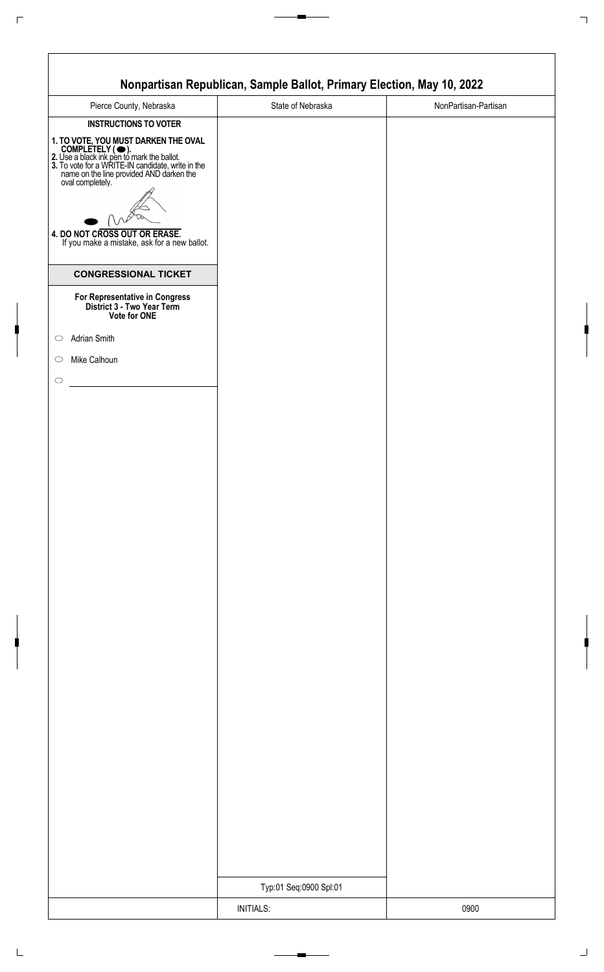|                                                                                                                                                                                                                                                                                                                        | Nonpartisan Republican, Sample Ballot, Primary Election, May 10, 2022 |                      |
|------------------------------------------------------------------------------------------------------------------------------------------------------------------------------------------------------------------------------------------------------------------------------------------------------------------------|-----------------------------------------------------------------------|----------------------|
| Pierce County, Nebraska                                                                                                                                                                                                                                                                                                | State of Nebraska                                                     | NonPartisan-Partisan |
| <b>INSTRUCTIONS TO VOTER</b>                                                                                                                                                                                                                                                                                           |                                                                       |                      |
| 1. TO VOTE, YOU MUST DARKEN THE OVAL<br>COMPLETELY ( $\bigcirc$ ).<br>2. Use a black ink pen to mark the ballot.<br>3. To vote for a WRITE-IN candidate, write in the<br>name on the line provided AND darken the<br>oval completely.<br>4. DO NOT CROSS OUT OR ERASE.<br>If you make a mistake, ask for a new ballot. |                                                                       |                      |
| <b>CONGRESSIONAL TICKET</b>                                                                                                                                                                                                                                                                                            |                                                                       |                      |
| For Representative in Congress<br>District 3 - Two Year Term<br>Vote for ONE                                                                                                                                                                                                                                           |                                                                       |                      |
| Adrian Smith<br>$\circ$                                                                                                                                                                                                                                                                                                |                                                                       |                      |
| Mike Calhoun<br>$\circ$                                                                                                                                                                                                                                                                                                |                                                                       |                      |
| $\bigcirc$                                                                                                                                                                                                                                                                                                             |                                                                       |                      |
|                                                                                                                                                                                                                                                                                                                        |                                                                       |                      |
|                                                                                                                                                                                                                                                                                                                        |                                                                       |                      |
|                                                                                                                                                                                                                                                                                                                        |                                                                       |                      |
|                                                                                                                                                                                                                                                                                                                        |                                                                       |                      |
|                                                                                                                                                                                                                                                                                                                        |                                                                       |                      |
|                                                                                                                                                                                                                                                                                                                        |                                                                       |                      |
|                                                                                                                                                                                                                                                                                                                        |                                                                       |                      |
|                                                                                                                                                                                                                                                                                                                        |                                                                       |                      |
|                                                                                                                                                                                                                                                                                                                        |                                                                       |                      |
|                                                                                                                                                                                                                                                                                                                        |                                                                       |                      |
|                                                                                                                                                                                                                                                                                                                        |                                                                       |                      |
|                                                                                                                                                                                                                                                                                                                        |                                                                       |                      |
|                                                                                                                                                                                                                                                                                                                        |                                                                       |                      |
|                                                                                                                                                                                                                                                                                                                        |                                                                       |                      |
|                                                                                                                                                                                                                                                                                                                        |                                                                       |                      |
|                                                                                                                                                                                                                                                                                                                        |                                                                       |                      |
|                                                                                                                                                                                                                                                                                                                        |                                                                       |                      |
|                                                                                                                                                                                                                                                                                                                        | Typ:01 Seq:0900 Spl:01                                                |                      |
|                                                                                                                                                                                                                                                                                                                        | <b>INITIALS:</b>                                                      | 0900                 |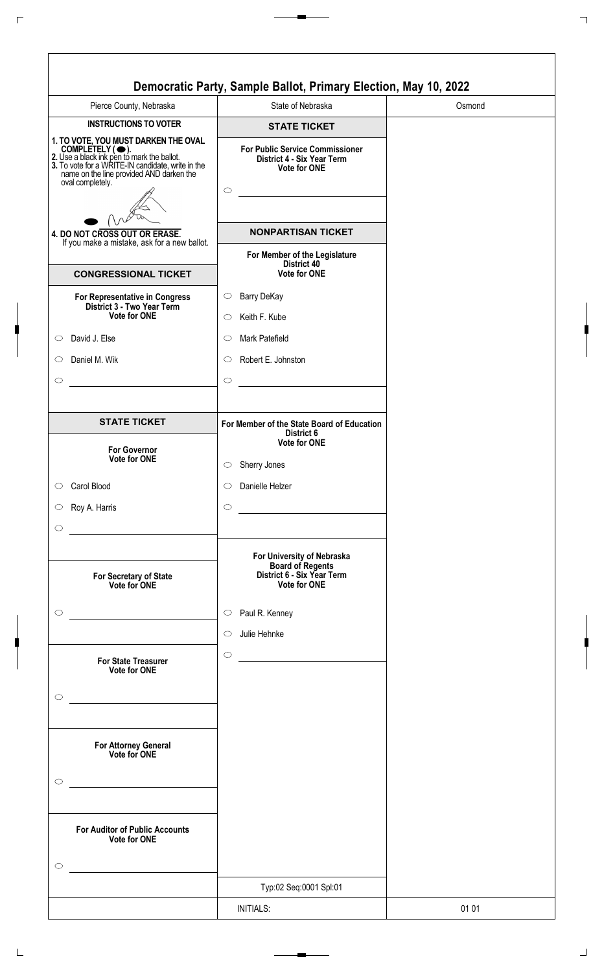| Pierce County, Nebraska                                                                                                                                                                                                    | State of Nebraska                                                                                                                                                                 |  |
|----------------------------------------------------------------------------------------------------------------------------------------------------------------------------------------------------------------------------|-----------------------------------------------------------------------------------------------------------------------------------------------------------------------------------|--|
| <b>INSTRUCTIONS TO VOTER</b>                                                                                                                                                                                               | <b>STATE TICKET</b>                                                                                                                                                               |  |
| 1. TO VOTE, YOU MUST DARKEN THE OVAL<br>COMPLETELY (C).<br>2. Use a black ink pen to mark the ballot.<br>3. To vote for a WRITE-IN candidate, write in the<br>name on the line provided AND darken the<br>oval completely. | <b>For Public Service Commissioner</b><br>District 4 - Six Year Term<br>Vote for ONE<br>$\circ$                                                                                   |  |
| 4. DO NOT CROSS OUT OR ERASE.<br>If you make a mistake, ask for a new ballot.                                                                                                                                              | <b>NONPARTISAN TICKET</b>                                                                                                                                                         |  |
| <b>CONGRESSIONAL TICKET</b>                                                                                                                                                                                                | For Member of the Legislature<br>District 40<br><b>Vote for ONE</b>                                                                                                               |  |
| For Representative in Congress<br>District 3 - Two Year Term                                                                                                                                                               | <b>Barry DeKay</b><br>$\circ$                                                                                                                                                     |  |
| Vote for ONE                                                                                                                                                                                                               | Keith F. Kube<br>$\circ$                                                                                                                                                          |  |
| David J. Else<br>$\circ$                                                                                                                                                                                                   | Mark Patefield<br>$\circ$                                                                                                                                                         |  |
| Daniel M. Wik<br>$\circ$                                                                                                                                                                                                   | Robert E. Johnston<br>$\circ$                                                                                                                                                     |  |
| $\circ$                                                                                                                                                                                                                    | $\circ$                                                                                                                                                                           |  |
| <b>STATE TICKET</b>                                                                                                                                                                                                        | For Member of the State Board of Education<br>District 6                                                                                                                          |  |
| <b>For Governor</b><br>Vote for ONE                                                                                                                                                                                        | <b>Vote for ONE</b><br>Sherry Jones<br>$\circ$                                                                                                                                    |  |
| Carol Blood<br>$\circ$                                                                                                                                                                                                     | Danielle Helzer<br>$\circ$                                                                                                                                                        |  |
| Roy A. Harris<br>$\circ$                                                                                                                                                                                                   | $\circ$                                                                                                                                                                           |  |
| $\circ$                                                                                                                                                                                                                    |                                                                                                                                                                                   |  |
| For Secretary of State<br>Vote for ONE                                                                                                                                                                                     | the control of the control of the control of the control of the control of<br>For University of Nebraska<br>Board of Regents<br>District 6 - Six Year Term<br><b>Vote for ONE</b> |  |
| $\circ$                                                                                                                                                                                                                    | Paul R. Kenney<br>$\circ$                                                                                                                                                         |  |
|                                                                                                                                                                                                                            | Julie Hehnke<br>$\circ$                                                                                                                                                           |  |
| <b>For State Treasurer</b><br>Vote for ONE                                                                                                                                                                                 | $\circ$                                                                                                                                                                           |  |
| $\bigcirc$                                                                                                                                                                                                                 |                                                                                                                                                                                   |  |
| the control of the control of the control of the control of the control of<br>For Attorney General<br>Vote for ONE<br>$\circlearrowright$                                                                                  |                                                                                                                                                                                   |  |
| <b>For Auditor of Public Accounts</b><br>Vote for ONE<br>$\circ$                                                                                                                                                           |                                                                                                                                                                                   |  |
|                                                                                                                                                                                                                            | Typ:02 Seq:0001 Spl:01                                                                                                                                                            |  |
|                                                                                                                                                                                                                            | <b>INITIALS:</b>                                                                                                                                                                  |  |

٦

 $\overline{\Gamma}$ 

 $\sqrt{ }$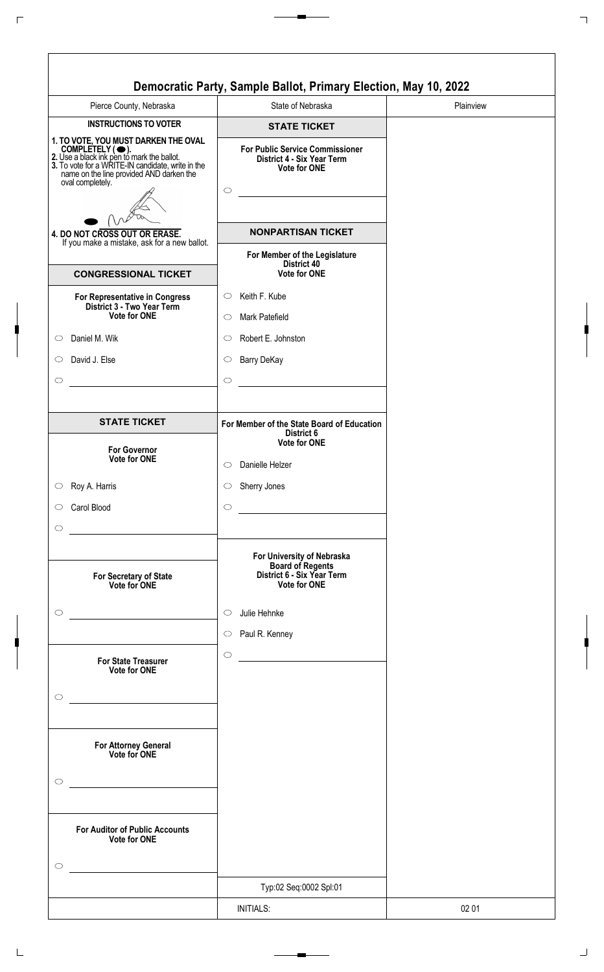|                                                                                                                                                                                                                            | Democratic Party, Sample Ballot, Primary Election, May 10, 2022                                                                                                                         |           |
|----------------------------------------------------------------------------------------------------------------------------------------------------------------------------------------------------------------------------|-----------------------------------------------------------------------------------------------------------------------------------------------------------------------------------------|-----------|
| Pierce County, Nebraska                                                                                                                                                                                                    | State of Nebraska                                                                                                                                                                       | Plainview |
| <b>INSTRUCTIONS TO VOTER</b>                                                                                                                                                                                               | <b>STATE TICKET</b>                                                                                                                                                                     |           |
| 1. TO VOTE, YOU MUST DARKEN THE OVAL<br>COMPLETELY (C).<br>2. Use a black ink pen to mark the ballot.<br>3. To vote for a WRITE-IN candidate, write in the<br>name on the line provided AND darken the<br>oval completely. | <b>For Public Service Commissioner</b><br>District 4 - Six Year Term<br>Vote for ONE<br>$\circ$                                                                                         |           |
| 4. DO NOT CROSS OUT OR ERASE.<br>If you make a mistake, ask for a new ballot.                                                                                                                                              | <b>NONPARTISAN TICKET</b>                                                                                                                                                               |           |
| <b>CONGRESSIONAL TICKET</b>                                                                                                                                                                                                | For Member of the Legislature<br>District 40<br><b>Vote for ONE</b>                                                                                                                     |           |
| For Representative in Congress<br>District 3 - Two Year Term                                                                                                                                                               | Keith F. Kube<br>$\circ$                                                                                                                                                                |           |
| Vote for ONE                                                                                                                                                                                                               | Mark Patefield<br>$\circ$                                                                                                                                                               |           |
| Daniel M. Wik<br>$\circ$                                                                                                                                                                                                   | Robert E. Johnston<br>◯                                                                                                                                                                 |           |
| David J. Else<br>$\circ$                                                                                                                                                                                                   | <b>Barry DeKay</b><br>$\circ$                                                                                                                                                           |           |
| $\circ$                                                                                                                                                                                                                    | $\circ$                                                                                                                                                                                 |           |
| <b>STATE TICKET</b>                                                                                                                                                                                                        | For Member of the State Board of Education<br>District 6                                                                                                                                |           |
| <b>For Governor</b><br>Vote for ONE                                                                                                                                                                                        | <b>Vote for ONE</b><br>Danielle Helzer<br>◯                                                                                                                                             |           |
| Roy A. Harris<br>$\circ$                                                                                                                                                                                                   | Sherry Jones<br>$\circlearrowright$                                                                                                                                                     |           |
| Carol Blood<br>$\circ$                                                                                                                                                                                                     | $\circ$<br>$\mathcal{L}^{\mathcal{L}}(\mathcal{L}^{\mathcal{L}})$ and $\mathcal{L}^{\mathcal{L}}(\mathcal{L}^{\mathcal{L}})$ and $\mathcal{L}^{\mathcal{L}}(\mathcal{L}^{\mathcal{L}})$ |           |
| $\circ$                                                                                                                                                                                                                    | <u> 1980 - Johann Barn, amerikan bestemanns og forskellige og det blev til store og det blev til store og det blev</u>                                                                  |           |
| For Secretary of State<br>Vote for ONE                                                                                                                                                                                     | For University of Nebraska<br>Board of Regents<br>District 6 - Six Year Term<br><b>Vote for ONE</b>                                                                                     |           |
| $\circ$                                                                                                                                                                                                                    | Julie Hehnke<br>$\circ$<br>Paul R. Kenney<br>$\circ$                                                                                                                                    |           |
| <b>For State Treasurer</b><br>Vote for ONE<br>$\circ$                                                                                                                                                                      | $\circ$                                                                                                                                                                                 |           |
| <u> 1980 - Johann Barn, mars an t-Amerikaansk politiker (</u><br>For Attorney General<br>Vote for ONE<br>$\circlearrowright$                                                                                               |                                                                                                                                                                                         |           |
| <b>For Auditor of Public Accounts</b><br>Vote for ONE<br>$\circ$                                                                                                                                                           |                                                                                                                                                                                         |           |
|                                                                                                                                                                                                                            | Typ:02 Seq:0002 Spl:01                                                                                                                                                                  |           |
|                                                                                                                                                                                                                            | <b>INITIALS:</b>                                                                                                                                                                        | 02 01     |

٦

 $\overline{\Gamma}$ 

 $\sqrt{ }$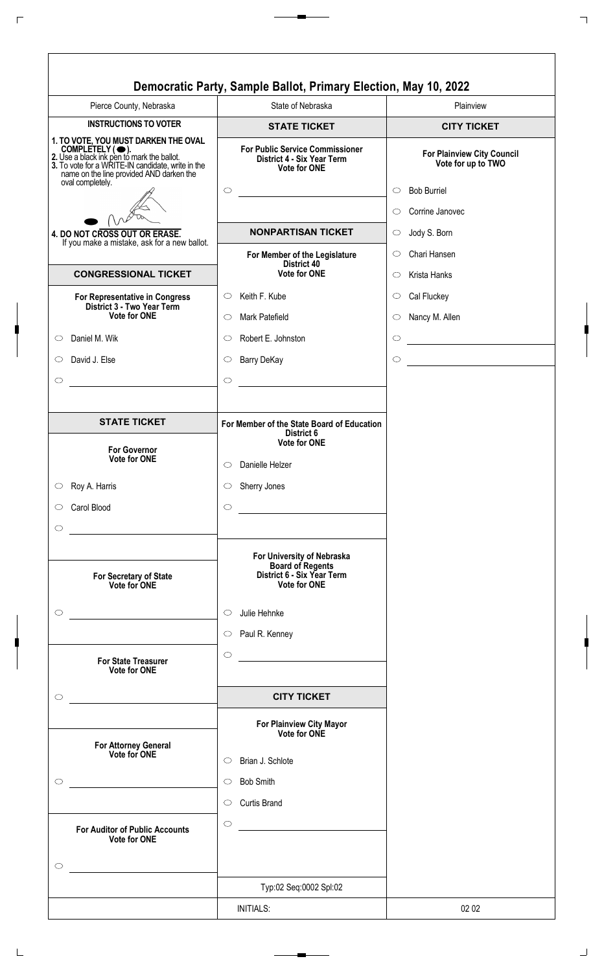|                                                                                                                                                                                                                            | State of Nebraska                                                                                                                   | Plainview                                          |
|----------------------------------------------------------------------------------------------------------------------------------------------------------------------------------------------------------------------------|-------------------------------------------------------------------------------------------------------------------------------------|----------------------------------------------------|
| <b>INSTRUCTIONS TO VOTER</b>                                                                                                                                                                                               | <b>STATE TICKET</b>                                                                                                                 | <b>CITY TICKET</b>                                 |
| 1. TO VOTE, YOU MUST DARKEN THE OVAL<br>COMPLETELY (C).<br>2. Use a black ink pen to mark the ballot.<br>3. To vote for a WRITE-IN candidate, write in the<br>name on the line provided AND darken the<br>oval completely. | <b>For Public Service Commissioner</b><br>District 4 - Six Year Term<br><b>Vote for ONE</b>                                         | For Plainview City Council<br>Vote for up to TWO   |
|                                                                                                                                                                                                                            | $\bigcirc$<br><u> 1989 - Johann Barn, mars et al. 1989 - Anna ann an t-Anna ann an t-Anna ann an t-Anna ann an t-Anna ann an t-</u> | <b>Bob Burriel</b><br>$\circ$                      |
|                                                                                                                                                                                                                            |                                                                                                                                     | Corrine Janovec<br>$\bigcirc$                      |
| 4. DO NOT CROSS OUT OR ERASE.                                                                                                                                                                                              | <b>NONPARTISAN TICKET</b>                                                                                                           | Jody S. Born<br>$\circ$                            |
| If you make a mistake, ask for a new ballot.                                                                                                                                                                               | For Member of the Legislature                                                                                                       | Chari Hansen<br>$\circ$                            |
| <b>CONGRESSIONAL TICKET</b>                                                                                                                                                                                                | District 40<br><b>Vote for ONE</b>                                                                                                  | Krista Hanks<br>$\circ$                            |
| For Representative in Congress                                                                                                                                                                                             | Keith F. Kube<br>$\circ$                                                                                                            | Cal Fluckey<br>$\circlearrowright$                 |
| District 3 - Two Year Term<br>Vote for ONE                                                                                                                                                                                 | Mark Patefield<br>$\circ$                                                                                                           | Nancy M. Allen<br>$\circ$                          |
| Daniel M. Wik<br>$\circ$                                                                                                                                                                                                   | Robert E. Johnston<br>$\circ$                                                                                                       | $\circ$                                            |
| David J. Else<br>$\circ$                                                                                                                                                                                                   | $\circ$                                                                                                                             | <u> 1980 - Johann Barbara, martxa a</u><br>$\circ$ |
|                                                                                                                                                                                                                            | <b>Barry DeKay</b>                                                                                                                  | <u> 1980 - Johann Barbara, martxa a</u>            |
| $\circ$<br><u> 1989 - Jan Stern Stern Stern Stern Stern Stern Stern Stern Stern Stern Stern Stern Stern Stern Stern Stern St</u>                                                                                           | $\circ$<br><u> 1989 - Jan Stein Stein Stein Stein Stein Stein Stein Stein Stein Stein Stein Stein Stein Stein Stein Stein S</u>     |                                                    |
|                                                                                                                                                                                                                            |                                                                                                                                     |                                                    |
| <b>STATE TICKET</b>                                                                                                                                                                                                        | For Member of the State Board of Education<br>District 6<br><b>Vote for ONE</b>                                                     |                                                    |
| <b>For Governor</b><br><b>Vote for ONE</b>                                                                                                                                                                                 | Danielle Helzer<br>$\circ$                                                                                                          |                                                    |
| Roy A. Harris<br>$\circ$                                                                                                                                                                                                   | Sherry Jones<br>$\circ$                                                                                                             |                                                    |
| Carol Blood<br>$\circ$                                                                                                                                                                                                     | $\circ$                                                                                                                             |                                                    |
| $\circ$                                                                                                                                                                                                                    |                                                                                                                                     |                                                    |
| For Secretary of State<br>Vote for ONE                                                                                                                                                                                     | For University of Nebraska<br><b>Board of Regents</b><br>District 6 - Six Year Term<br><b>Vote for ONE</b>                          |                                                    |
| $\circ$                                                                                                                                                                                                                    | Julie Hehnke<br>$\circ$                                                                                                             |                                                    |
|                                                                                                                                                                                                                            | $\circ$<br>Paul R. Kenney                                                                                                           |                                                    |
| <b>For State Treasurer</b>                                                                                                                                                                                                 | $\circ$                                                                                                                             |                                                    |
|                                                                                                                                                                                                                            |                                                                                                                                     |                                                    |
| <b>Vote for ONE</b>                                                                                                                                                                                                        |                                                                                                                                     |                                                    |
|                                                                                                                                                                                                                            | <b>CITY TICKET</b>                                                                                                                  |                                                    |
| $\circ$                                                                                                                                                                                                                    |                                                                                                                                     |                                                    |
|                                                                                                                                                                                                                            | For Plainview City Mayor<br>Vote for ONE                                                                                            |                                                    |
| <b>For Attorney General</b><br>Vote for ONE                                                                                                                                                                                | Brian J. Schlote<br>$\circ$                                                                                                         |                                                    |
| $\circ$                                                                                                                                                                                                                    | <b>Bob Smith</b><br>$\circ$                                                                                                         |                                                    |
|                                                                                                                                                                                                                            | $\circ$                                                                                                                             |                                                    |
|                                                                                                                                                                                                                            | <b>Curtis Brand</b>                                                                                                                 |                                                    |
| <b>For Auditor of Public Accounts</b><br>Vote for ONE                                                                                                                                                                      | $\circ$                                                                                                                             |                                                    |
|                                                                                                                                                                                                                            |                                                                                                                                     |                                                    |
| ◯                                                                                                                                                                                                                          | Typ:02 Seq:0002 Spl:02                                                                                                              |                                                    |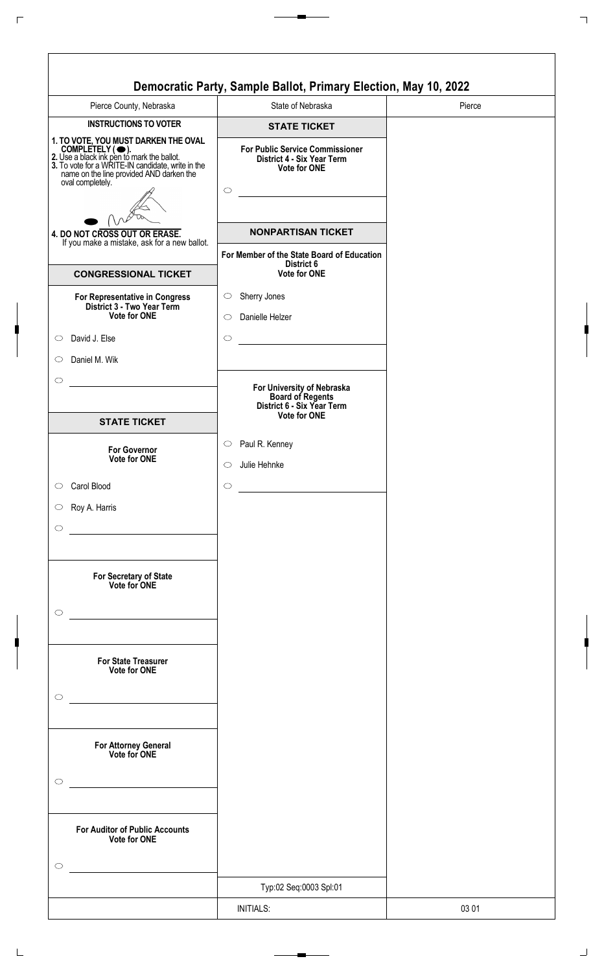| Pierce County, Nebraska                                                                                                                                                                                                    | State of Nebraska                                                                               |
|----------------------------------------------------------------------------------------------------------------------------------------------------------------------------------------------------------------------------|-------------------------------------------------------------------------------------------------|
| <b>INSTRUCTIONS TO VOTER</b>                                                                                                                                                                                               | <b>STATE TICKET</b>                                                                             |
| 1. TO VOTE, YOU MUST DARKEN THE OVAL<br>COMPLETELY (C).<br>2. Use a black ink pen to mark the ballot.<br>3. To vote for a WRITE-IN candidate, write in the<br>name on the line provided AND darken the<br>oval completely. | <b>For Public Service Commissioner</b><br>District 4 - Six Year Term<br>Vote for ONE<br>$\circ$ |
| 4. DO NOT CROSS OUT OR ERASE.                                                                                                                                                                                              | <b>NONPARTISAN TICKET</b>                                                                       |
| If you make a mistake, ask for a new ballot.                                                                                                                                                                               |                                                                                                 |
| <b>CONGRESSIONAL TICKET</b>                                                                                                                                                                                                | For Member of the State Board of Education<br>District 6<br><b>Vote for ONE</b>                 |
| For Representative in Congress<br>District 3 - Two Year Term                                                                                                                                                               | Sherry Jones<br>$\circ$                                                                         |
| <b>Vote for ONE</b>                                                                                                                                                                                                        | Danielle Helzer<br>$\circ$                                                                      |
| David J. Else<br>$\circ$<br>Daniel M. Wik<br>$\circ$                                                                                                                                                                       | $\circ$                                                                                         |
| $\circ$                                                                                                                                                                                                                    | For University of Nebraska<br><b>Board of Regents</b><br>District 6 - Six Year Term             |
| <b>STATE TICKET</b>                                                                                                                                                                                                        | <b>Vote for ONE</b>                                                                             |
| <b>For Governor</b><br>Vote for ONE                                                                                                                                                                                        | Paul R. Kenney<br>$\circ$                                                                       |
|                                                                                                                                                                                                                            | Julie Hehnke<br>$\circ$                                                                         |
| Carol Blood<br>$\circ$                                                                                                                                                                                                     | $\circ$                                                                                         |
| Roy A. Harris<br>$\circ$<br>$\circ$                                                                                                                                                                                        |                                                                                                 |
| For Secretary of State<br>Vote for ONE<br>$\circ$                                                                                                                                                                          |                                                                                                 |
| For State Treasurer<br>Vote for ONE<br>$\circ$                                                                                                                                                                             |                                                                                                 |
| the control of the control of the control of the control of<br>For Attorney General<br>Vote for ONE<br>O<br><u> 1980 - Johann Barbara, martxa a</u>                                                                        |                                                                                                 |
| <b>For Auditor of Public Accounts</b><br>Vote for ONE<br>◯                                                                                                                                                                 |                                                                                                 |
|                                                                                                                                                                                                                            | Typ:02 Seq:0003 Spl:01                                                                          |
|                                                                                                                                                                                                                            |                                                                                                 |
|                                                                                                                                                                                                                            | <b>INITIALS:</b>                                                                                |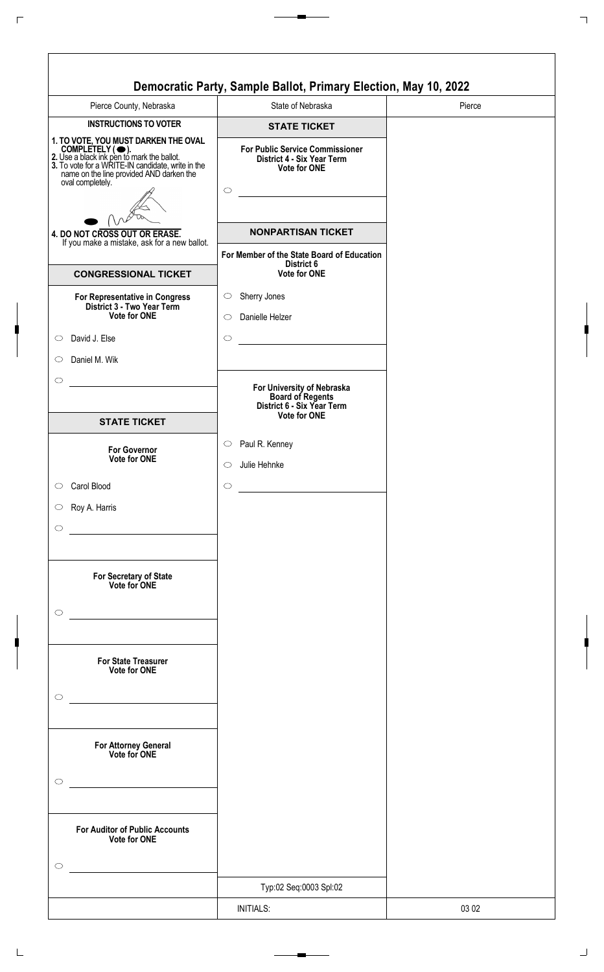| Pierce County, Nebraska                                                                                                                                                                                                    | State of Nebraska                                                                                          |
|----------------------------------------------------------------------------------------------------------------------------------------------------------------------------------------------------------------------------|------------------------------------------------------------------------------------------------------------|
| <b>INSTRUCTIONS TO VOTER</b>                                                                                                                                                                                               | <b>STATE TICKET</b>                                                                                        |
| 1. TO VOTE, YOU MUST DARKEN THE OVAL<br>COMPLETELY (C).<br>2. Use a black ink pen to mark the ballot.<br>3. To vote for a WRITE-IN candidate, write in the<br>name on the line provided AND darken the<br>oval completely. | <b>For Public Service Commissioner</b><br>District 4 - Six Year Term<br>Vote for ONE<br>$\circ$            |
|                                                                                                                                                                                                                            | <b>NONPARTISAN TICKET</b>                                                                                  |
| 4. DO NOT CROSS OUT OR ERASE.<br>If you make a mistake, ask for a new ballot.                                                                                                                                              |                                                                                                            |
| <b>CONGRESSIONAL TICKET</b>                                                                                                                                                                                                | For Member of the State Board of Education<br>District 6<br><b>Vote for ONE</b>                            |
| For Representative in Congress<br>District 3 - Two Year Term                                                                                                                                                               | Sherry Jones<br>$\circ$                                                                                    |
| <b>Vote for ONE</b>                                                                                                                                                                                                        | Danielle Helzer<br>$\circ$                                                                                 |
| David J. Else<br>$\circ$                                                                                                                                                                                                   | $\circ$                                                                                                    |
| Daniel M. Wik<br>$\circ$                                                                                                                                                                                                   |                                                                                                            |
| $\circ$                                                                                                                                                                                                                    | For University of Nebraska<br><b>Board of Regents</b><br>District 6 - Six Year Term<br><b>Vote for ONE</b> |
| <b>STATE TICKET</b>                                                                                                                                                                                                        |                                                                                                            |
| <b>For Governor</b><br>Vote for ONE                                                                                                                                                                                        | Paul R. Kenney<br>$\circ$                                                                                  |
|                                                                                                                                                                                                                            | Julie Hehnke<br>$\circ$                                                                                    |
| Carol Blood<br>$\circ$                                                                                                                                                                                                     | $\circ$                                                                                                    |
| Roy A. Harris<br>$\circ$<br>$\circ$                                                                                                                                                                                        |                                                                                                            |
|                                                                                                                                                                                                                            |                                                                                                            |
| For Secretary of State<br>Vote for ONE                                                                                                                                                                                     |                                                                                                            |
| $\circlearrowright$                                                                                                                                                                                                        |                                                                                                            |
|                                                                                                                                                                                                                            |                                                                                                            |
| For State Treasurer<br>Vote for ONE                                                                                                                                                                                        |                                                                                                            |
|                                                                                                                                                                                                                            |                                                                                                            |
| $\circ$                                                                                                                                                                                                                    |                                                                                                            |
| the control of the control of the control of the<br>For Attorney General<br>Vote for ONE                                                                                                                                   |                                                                                                            |
| O                                                                                                                                                                                                                          |                                                                                                            |
| <u> 1980 - Johann Barbara, martxa a</u>                                                                                                                                                                                    |                                                                                                            |
| <b>For Auditor of Public Accounts</b><br>Vote for ONE                                                                                                                                                                      |                                                                                                            |
| ◯                                                                                                                                                                                                                          |                                                                                                            |
|                                                                                                                                                                                                                            | Typ:02 Seq:0003 Spl:02                                                                                     |
|                                                                                                                                                                                                                            | <b>INITIALS:</b>                                                                                           |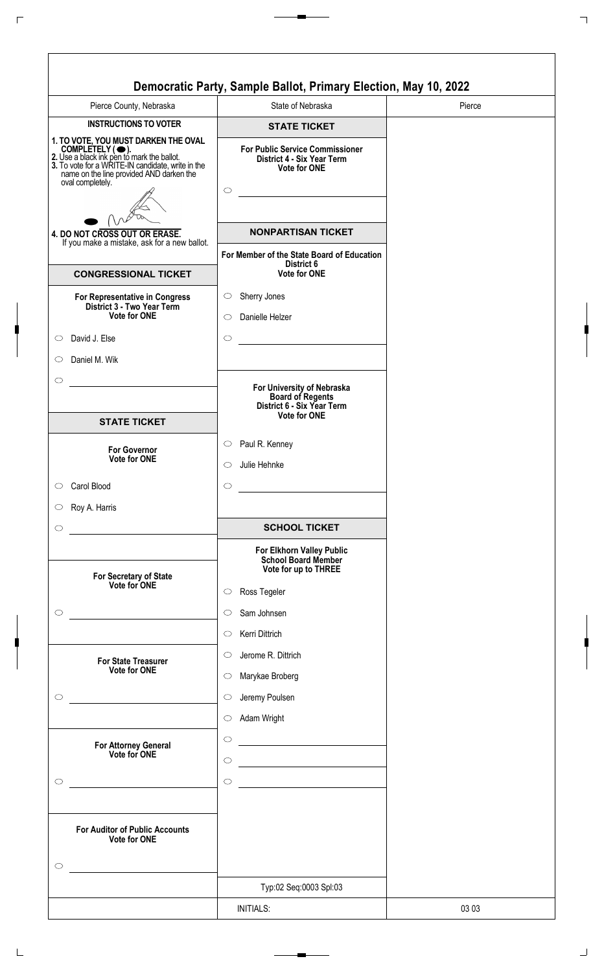|                                                                                                                                                                                                                                       | Democratic Party, Sample Ballot, Primary Election, May 10, 2022                                        |        |
|---------------------------------------------------------------------------------------------------------------------------------------------------------------------------------------------------------------------------------------|--------------------------------------------------------------------------------------------------------|--------|
| Pierce County, Nebraska                                                                                                                                                                                                               | State of Nebraska                                                                                      | Pierce |
| <b>INSTRUCTIONS TO VOTER</b>                                                                                                                                                                                                          | <b>STATE TICKET</b>                                                                                    |        |
| 1. TO VOTE, YOU MUST DARKEN THE OVAL<br>COMPLETELY ( $\bigcirc$ ).<br>2. Use a black ink pen to mark the ballot.<br>3. To vote for a WRITE-IN candidate, write in the<br>name on the line provided AND darken the<br>oval completely. | <b>For Public Service Commissioner</b><br>District 4 - Six Year Term<br><b>Vote for ONE</b><br>$\circ$ |        |
|                                                                                                                                                                                                                                       | <b>NONPARTISAN TICKET</b>                                                                              |        |
| 4. DO NOT CROSS OUT OR ERASE.<br>If you make a mistake, ask for a new ballot.                                                                                                                                                         |                                                                                                        |        |
| <b>CONGRESSIONAL TICKET</b>                                                                                                                                                                                                           | For Member of the State Board of Education<br>District 6<br><b>Vote for ONE</b>                        |        |
| For Representative in Congress                                                                                                                                                                                                        | Sherry Jones<br>$\circ$                                                                                |        |
| District 3 - Two Year Term<br>Vote for ONE                                                                                                                                                                                            | Danielle Helzer<br>$\bigcirc$                                                                          |        |
| David J. Else                                                                                                                                                                                                                         | $\circlearrowright$                                                                                    |        |
| Daniel M. Wik                                                                                                                                                                                                                         |                                                                                                        |        |
| <b>STATE TICKET</b>                                                                                                                                                                                                                   | For University of Nebraska<br>Board of Regents<br>District 6 - Six Year Term<br><b>Vote for ONE</b>    |        |
|                                                                                                                                                                                                                                       | Paul R. Kenney<br>$\circ$                                                                              |        |
| <b>For Governor</b><br><b>Vote for ONE</b>                                                                                                                                                                                            | Julie Hehnke<br>O                                                                                      |        |
|                                                                                                                                                                                                                                       |                                                                                                        |        |
| Carol Blood                                                                                                                                                                                                                           | $\circlearrowright$                                                                                    |        |
| Roy A. Harris                                                                                                                                                                                                                         |                                                                                                        |        |
|                                                                                                                                                                                                                                       | <b>SCHOOL TICKET</b>                                                                                   |        |
|                                                                                                                                                                                                                                       | For Elkhorn Valley Public<br>School Board Member                                                       |        |
|                                                                                                                                                                                                                                       | Vote for up to THREE                                                                                   |        |
| For Secretary of State<br>Vote for ONE                                                                                                                                                                                                | Ross Tegeler<br>$\circlearrowright$                                                                    |        |
|                                                                                                                                                                                                                                       | Sam Johnsen<br>$\circ$                                                                                 |        |
|                                                                                                                                                                                                                                       | Kerri Dittrich<br>$\circlearrowright$                                                                  |        |
|                                                                                                                                                                                                                                       |                                                                                                        |        |
| <b>For State Treasurer</b><br>Vote for ONE                                                                                                                                                                                            | Jerome R. Dittrich<br>$\circ$                                                                          |        |
|                                                                                                                                                                                                                                       | Marykae Broberg<br>$\circ$                                                                             |        |
|                                                                                                                                                                                                                                       | Jeremy Poulsen<br>$\circlearrowright$                                                                  |        |
|                                                                                                                                                                                                                                       | Adam Wright<br>$\circ$                                                                                 |        |
|                                                                                                                                                                                                                                       | $\circ$                                                                                                |        |
| <b>For Attorney General</b><br>Vote for ONE                                                                                                                                                                                           | $\circ$                                                                                                |        |
|                                                                                                                                                                                                                                       |                                                                                                        |        |
|                                                                                                                                                                                                                                       | $\circ$                                                                                                |        |
| <b>For Auditor of Public Accounts</b><br>Vote for ONE                                                                                                                                                                                 |                                                                                                        |        |
|                                                                                                                                                                                                                                       | Typ:02 Seq:0003 Spl:03                                                                                 |        |
|                                                                                                                                                                                                                                       | <b>INITIALS:</b>                                                                                       | 03 03  |
|                                                                                                                                                                                                                                       |                                                                                                        |        |

 $\Gamma$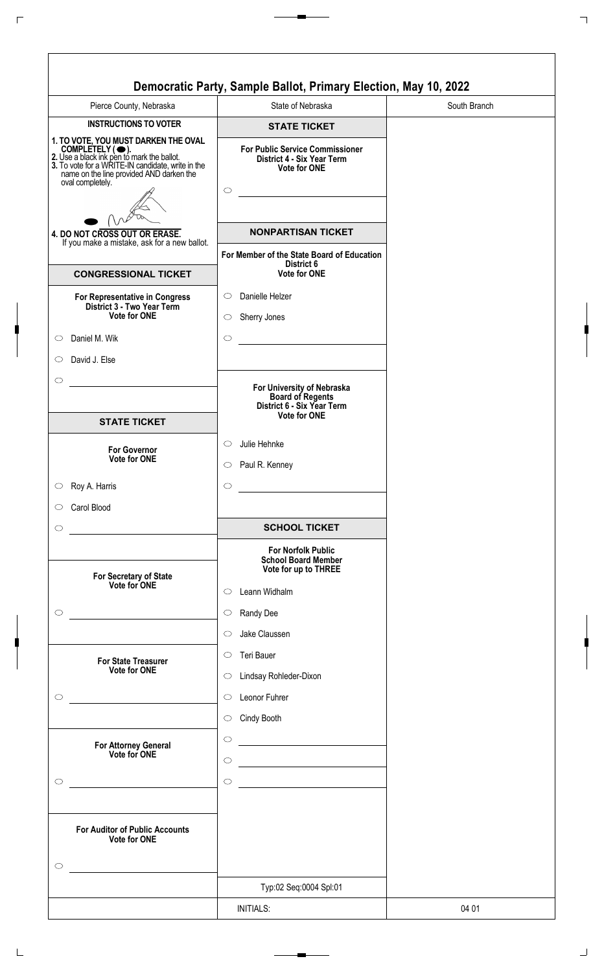| Pierce County, Nebraska                                                                                                                                                                                                    | State of Nebraska                                                                                          | South Branch |
|----------------------------------------------------------------------------------------------------------------------------------------------------------------------------------------------------------------------------|------------------------------------------------------------------------------------------------------------|--------------|
| <b>INSTRUCTIONS TO VOTER</b>                                                                                                                                                                                               | <b>STATE TICKET</b>                                                                                        |              |
| 1. TO VOTE, YOU MUST DARKEN THE OVAL<br>COMPLETELY (C).<br>2. Use a black ink pen to mark the ballot.<br>3. To vote for a WRITE-IN candidate, write in the<br>name on the line provided AND darken the<br>oval completely. | <b>For Public Service Commissioner</b><br>District 4 - Six Year Term<br><b>Vote for ONE</b><br>$\circ$     |              |
|                                                                                                                                                                                                                            |                                                                                                            |              |
| 4. DO NOT CROSS OUT OR ERASE.<br>If you make a mistake, ask for a new ballot.                                                                                                                                              | <b>NONPARTISAN TICKET</b>                                                                                  |              |
| <b>CONGRESSIONAL TICKET</b>                                                                                                                                                                                                | For Member of the State Board of Education<br>District 6<br><b>Vote for ONE</b>                            |              |
| For Representative in Congress                                                                                                                                                                                             | Danielle Helzer<br>$\circ$                                                                                 |              |
| District 3 - Two Year Term<br>Vote for ONE                                                                                                                                                                                 | Sherry Jones<br>$\circ$                                                                                    |              |
| Daniel M. Wik                                                                                                                                                                                                              | $\circ$                                                                                                    |              |
| David J. Else                                                                                                                                                                                                              |                                                                                                            |              |
|                                                                                                                                                                                                                            |                                                                                                            |              |
|                                                                                                                                                                                                                            | For University of Nebraska<br><b>Board of Regents</b><br>District 6 - Six Year Term<br><b>Vote for ONE</b> |              |
| <b>STATE TICKET</b>                                                                                                                                                                                                        |                                                                                                            |              |
| <b>For Governor</b>                                                                                                                                                                                                        | Julie Hehnke<br>$\circ$                                                                                    |              |
| Vote for ONE                                                                                                                                                                                                               | Paul R. Kenney<br>$\circ$                                                                                  |              |
| Roy A. Harris                                                                                                                                                                                                              | $\circ$                                                                                                    |              |
| Carol Blood                                                                                                                                                                                                                |                                                                                                            |              |
|                                                                                                                                                                                                                            | <b>SCHOOL TICKET</b>                                                                                       |              |
|                                                                                                                                                                                                                            | <b>For Norfolk Public</b>                                                                                  |              |
|                                                                                                                                                                                                                            | <b>School Board Member</b><br>Vote for up to THREE                                                         |              |
| For Secretary of State<br>Vote for ONE                                                                                                                                                                                     | Leann Widhalm<br>$\circ$                                                                                   |              |
|                                                                                                                                                                                                                            |                                                                                                            |              |
|                                                                                                                                                                                                                            | Randy Dee<br>$\circlearrowright$                                                                           |              |
|                                                                                                                                                                                                                            | Jake Claussen<br>$\circ$                                                                                   |              |
| <b>For State Treasurer</b>                                                                                                                                                                                                 | Teri Bauer<br>$\circ$                                                                                      |              |
| Vote for ONE                                                                                                                                                                                                               | Lindsay Rohleder-Dixon<br>$\circ$                                                                          |              |
|                                                                                                                                                                                                                            | Leonor Fuhrer<br>$\circ$                                                                                   |              |
|                                                                                                                                                                                                                            | Cindy Booth<br>$\circ$                                                                                     |              |
|                                                                                                                                                                                                                            | $\circ$                                                                                                    |              |
| For Attorney General<br>Vote for ONE                                                                                                                                                                                       | $\circ$                                                                                                    |              |
|                                                                                                                                                                                                                            |                                                                                                            |              |
|                                                                                                                                                                                                                            | $\circ$                                                                                                    |              |
| <b>For Auditor of Public Accounts</b><br>Vote for ONE                                                                                                                                                                      |                                                                                                            |              |
| ◯                                                                                                                                                                                                                          |                                                                                                            |              |
|                                                                                                                                                                                                                            | Typ:02 Seq:0004 Spl:01                                                                                     |              |
|                                                                                                                                                                                                                            |                                                                                                            |              |
|                                                                                                                                                                                                                            | <b>INITIALS:</b>                                                                                           | 04 01        |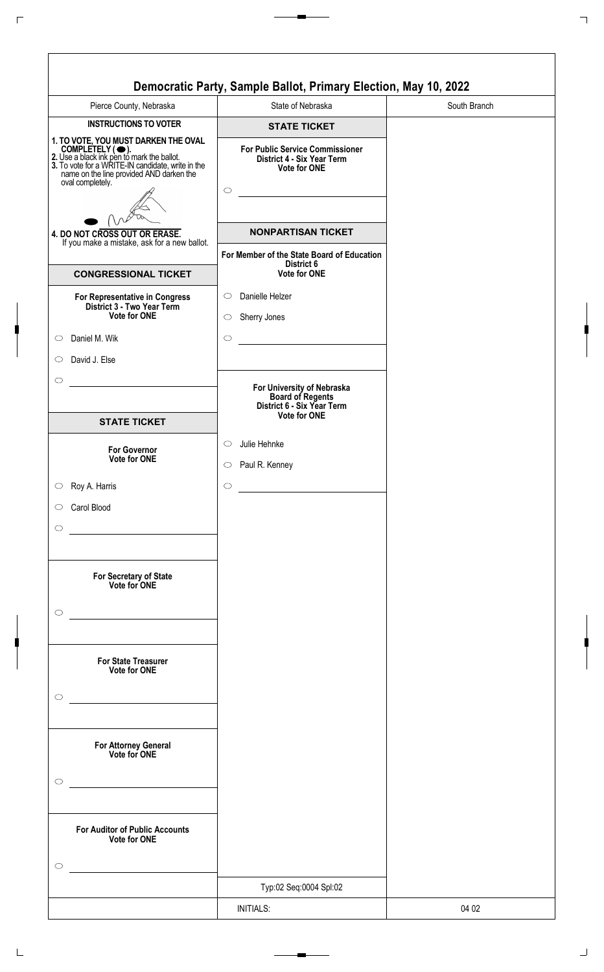| <b>INSTRUCTIONS TO VOTER</b><br><b>STATE TICKET</b><br><b>For Public Service Commissioner</b><br>District 4 - Six Year Term<br><b>Vote for ONE</b><br>$\circ$<br><b>NONPARTISAN TICKET</b><br>4. DO NOT CROSS OUT OR ERASE.<br>For Member of the State Board of Education<br>District 6<br>Vote for ONE<br>Danielle Helzer<br>$\circ$<br>Vote for ONE<br>Sherry Jones<br>$\circ$<br>$\circ$<br>For University of Nebraska<br><b>Board of Regents</b><br>District 6 - Six Year Term<br><b>Vote for ONE</b><br><b>STATE TICKET</b><br>Julie Hehnke<br>$\circ$<br><b>For Governor</b><br><b>Vote for ONE</b><br>Paul R. Kenney<br>$\circ$<br>Roy A. Harris<br>$\circ$<br>Carol Blood<br>For Secretary of State<br>Vote for ONE<br><b>For State Treasurer</b><br><b>Vote for ONE</b><br><u> 1980 - Johann Barn, mars an t-Amerikaansk politiker (</u><br>For Attorney General<br>Vote for ONE<br>Vote for ONE<br>Typ:02 Seq:0004 Spl:02 | Pierce County, Nebraska                                                                                                                                                                                                    | State of Nebraska | South Branch |
|-------------------------------------------------------------------------------------------------------------------------------------------------------------------------------------------------------------------------------------------------------------------------------------------------------------------------------------------------------------------------------------------------------------------------------------------------------------------------------------------------------------------------------------------------------------------------------------------------------------------------------------------------------------------------------------------------------------------------------------------------------------------------------------------------------------------------------------------------------------------------------------------------------------------------------------|----------------------------------------------------------------------------------------------------------------------------------------------------------------------------------------------------------------------------|-------------------|--------------|
|                                                                                                                                                                                                                                                                                                                                                                                                                                                                                                                                                                                                                                                                                                                                                                                                                                                                                                                                     |                                                                                                                                                                                                                            |                   |              |
|                                                                                                                                                                                                                                                                                                                                                                                                                                                                                                                                                                                                                                                                                                                                                                                                                                                                                                                                     | 1. TO VOTE, YOU MUST DARKEN THE OVAL<br>COMPLETELY (C).<br>2. Use a black ink pen to mark the ballot.<br>3. To vote for a WRITE-IN candidate, write in the<br>name on the line provided AND darken the<br>oval completely. |                   |              |
|                                                                                                                                                                                                                                                                                                                                                                                                                                                                                                                                                                                                                                                                                                                                                                                                                                                                                                                                     |                                                                                                                                                                                                                            |                   |              |
|                                                                                                                                                                                                                                                                                                                                                                                                                                                                                                                                                                                                                                                                                                                                                                                                                                                                                                                                     | If you make a mistake, ask for a new ballot.                                                                                                                                                                               |                   |              |
|                                                                                                                                                                                                                                                                                                                                                                                                                                                                                                                                                                                                                                                                                                                                                                                                                                                                                                                                     | <b>CONGRESSIONAL TICKET</b>                                                                                                                                                                                                |                   |              |
|                                                                                                                                                                                                                                                                                                                                                                                                                                                                                                                                                                                                                                                                                                                                                                                                                                                                                                                                     | For Representative in Congress<br>District 3 - Two Year Term                                                                                                                                                               |                   |              |
|                                                                                                                                                                                                                                                                                                                                                                                                                                                                                                                                                                                                                                                                                                                                                                                                                                                                                                                                     | Daniel M. Wik                                                                                                                                                                                                              |                   |              |
|                                                                                                                                                                                                                                                                                                                                                                                                                                                                                                                                                                                                                                                                                                                                                                                                                                                                                                                                     | David J. Else<br>$\circ$                                                                                                                                                                                                   |                   |              |
|                                                                                                                                                                                                                                                                                                                                                                                                                                                                                                                                                                                                                                                                                                                                                                                                                                                                                                                                     | $\circ$                                                                                                                                                                                                                    |                   |              |
|                                                                                                                                                                                                                                                                                                                                                                                                                                                                                                                                                                                                                                                                                                                                                                                                                                                                                                                                     |                                                                                                                                                                                                                            |                   |              |
|                                                                                                                                                                                                                                                                                                                                                                                                                                                                                                                                                                                                                                                                                                                                                                                                                                                                                                                                     |                                                                                                                                                                                                                            |                   |              |
|                                                                                                                                                                                                                                                                                                                                                                                                                                                                                                                                                                                                                                                                                                                                                                                                                                                                                                                                     | $\circ$                                                                                                                                                                                                                    |                   |              |
|                                                                                                                                                                                                                                                                                                                                                                                                                                                                                                                                                                                                                                                                                                                                                                                                                                                                                                                                     | $\circ$                                                                                                                                                                                                                    |                   |              |
|                                                                                                                                                                                                                                                                                                                                                                                                                                                                                                                                                                                                                                                                                                                                                                                                                                                                                                                                     | $\circ$                                                                                                                                                                                                                    |                   |              |
|                                                                                                                                                                                                                                                                                                                                                                                                                                                                                                                                                                                                                                                                                                                                                                                                                                                                                                                                     |                                                                                                                                                                                                                            |                   |              |
|                                                                                                                                                                                                                                                                                                                                                                                                                                                                                                                                                                                                                                                                                                                                                                                                                                                                                                                                     | $\circ$                                                                                                                                                                                                                    |                   |              |
|                                                                                                                                                                                                                                                                                                                                                                                                                                                                                                                                                                                                                                                                                                                                                                                                                                                                                                                                     |                                                                                                                                                                                                                            |                   |              |
|                                                                                                                                                                                                                                                                                                                                                                                                                                                                                                                                                                                                                                                                                                                                                                                                                                                                                                                                     | $\circ$                                                                                                                                                                                                                    |                   |              |
|                                                                                                                                                                                                                                                                                                                                                                                                                                                                                                                                                                                                                                                                                                                                                                                                                                                                                                                                     | $\circlearrowright$                                                                                                                                                                                                        |                   |              |
|                                                                                                                                                                                                                                                                                                                                                                                                                                                                                                                                                                                                                                                                                                                                                                                                                                                                                                                                     |                                                                                                                                                                                                                            |                   |              |
|                                                                                                                                                                                                                                                                                                                                                                                                                                                                                                                                                                                                                                                                                                                                                                                                                                                                                                                                     | <b>For Auditor of Public Accounts</b>                                                                                                                                                                                      |                   |              |
|                                                                                                                                                                                                                                                                                                                                                                                                                                                                                                                                                                                                                                                                                                                                                                                                                                                                                                                                     | $\circ$                                                                                                                                                                                                                    |                   |              |
|                                                                                                                                                                                                                                                                                                                                                                                                                                                                                                                                                                                                                                                                                                                                                                                                                                                                                                                                     |                                                                                                                                                                                                                            | <b>INITIALS:</b>  | 04 02        |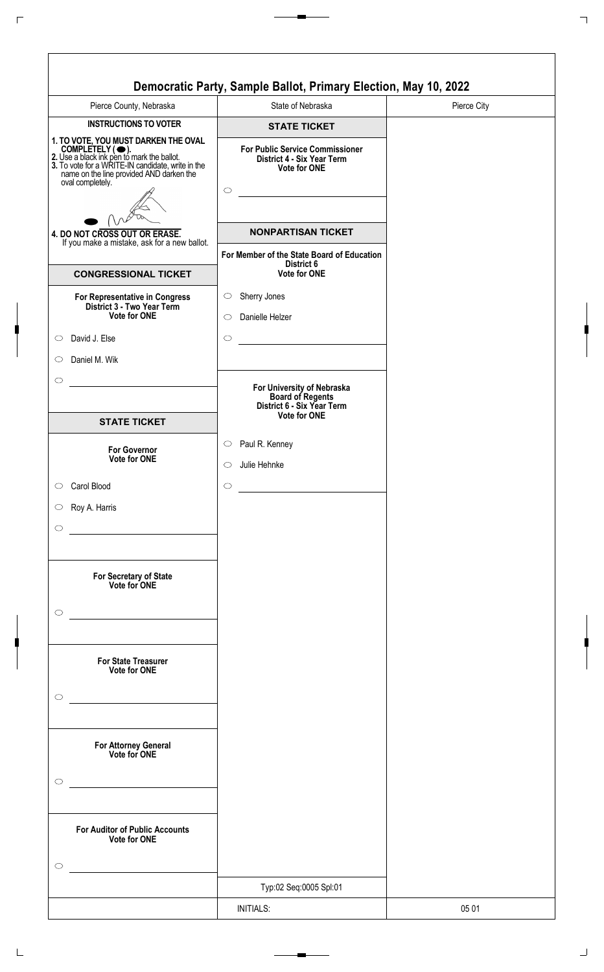| Pierce County, Nebraska                                                                                                                                                                                                    | State of Nebraska                                                                                          | Pierce City |
|----------------------------------------------------------------------------------------------------------------------------------------------------------------------------------------------------------------------------|------------------------------------------------------------------------------------------------------------|-------------|
| <b>INSTRUCTIONS TO VOTER</b>                                                                                                                                                                                               | <b>STATE TICKET</b>                                                                                        |             |
| 1. TO VOTE, YOU MUST DARKEN THE OVAL<br>COMPLETELY (C).<br>2. Use a black ink pen to mark the ballot.<br>3. To vote for a WRITE-IN candidate, write in the<br>name on the line provided AND darken the<br>oval completely. | <b>For Public Service Commissioner</b><br>District 4 - Six Year Term<br><b>Vote for ONE</b><br>$\circ$     |             |
|                                                                                                                                                                                                                            | <b>NONPARTISAN TICKET</b>                                                                                  |             |
| 4. DO NOT CROSS OUT OR ERASE.<br>If you make a mistake, ask for a new ballot.                                                                                                                                              |                                                                                                            |             |
| <b>CONGRESSIONAL TICKET</b>                                                                                                                                                                                                | For Member of the State Board of Education<br>District 6<br><b>Vote for ONE</b>                            |             |
|                                                                                                                                                                                                                            | Sherry Jones<br>$\circ$                                                                                    |             |
| For Representative in Congress<br>District 3 - Two Year Term<br>Vote for ONE                                                                                                                                               | Danielle Helzer<br>$\circ$                                                                                 |             |
|                                                                                                                                                                                                                            |                                                                                                            |             |
| David J. Else                                                                                                                                                                                                              | $\circ$                                                                                                    |             |
| Daniel M. Wik                                                                                                                                                                                                              |                                                                                                            |             |
|                                                                                                                                                                                                                            | For University of Nebraska<br><b>Board of Regents</b><br>District 6 - Six Year Term<br><b>Vote for ONE</b> |             |
| <b>STATE TICKET</b>                                                                                                                                                                                                        |                                                                                                            |             |
| <b>For Governor</b>                                                                                                                                                                                                        | Paul R. Kenney<br>$\circ$                                                                                  |             |
| Vote for ONE                                                                                                                                                                                                               | Julie Hehnke<br>$\circ$                                                                                    |             |
| Carol Blood                                                                                                                                                                                                                | $\circ$                                                                                                    |             |
| Roy A. Harris                                                                                                                                                                                                              |                                                                                                            |             |
|                                                                                                                                                                                                                            |                                                                                                            |             |
|                                                                                                                                                                                                                            |                                                                                                            |             |
| For Secretary of State<br>Vote for ONE                                                                                                                                                                                     |                                                                                                            |             |
|                                                                                                                                                                                                                            |                                                                                                            |             |
|                                                                                                                                                                                                                            |                                                                                                            |             |
| <b>For State Treasurer</b>                                                                                                                                                                                                 |                                                                                                            |             |
| <b>Vote for ONE</b>                                                                                                                                                                                                        |                                                                                                            |             |
|                                                                                                                                                                                                                            |                                                                                                            |             |
|                                                                                                                                                                                                                            |                                                                                                            |             |
| the control of the control of the control of the control of<br>For Attorney General<br>Vote for ONE                                                                                                                        |                                                                                                            |             |
|                                                                                                                                                                                                                            |                                                                                                            |             |
|                                                                                                                                                                                                                            |                                                                                                            |             |
| <b>For Auditor of Public Accounts</b><br>Vote for ONE                                                                                                                                                                      |                                                                                                            |             |
|                                                                                                                                                                                                                            |                                                                                                            |             |
|                                                                                                                                                                                                                            | Typ:02 Seq:0005 Spl:01                                                                                     |             |
|                                                                                                                                                                                                                            | <b>INITIALS:</b>                                                                                           | 05 01       |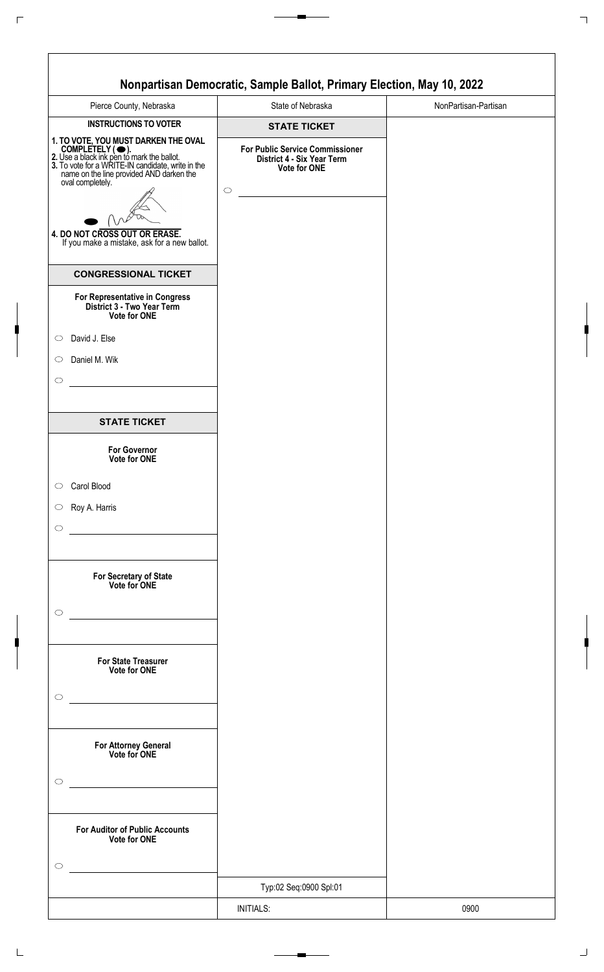| Pierce County, Nebraska                                                                                                                                                                                   | State of Nebraska                                                                           | NonPartisan-Partisan |
|-----------------------------------------------------------------------------------------------------------------------------------------------------------------------------------------------------------|---------------------------------------------------------------------------------------------|----------------------|
| <b>INSTRUCTIONS TO VOTER</b>                                                                                                                                                                              | <b>STATE TICKET</b>                                                                         |                      |
| 1. TO VOTE, YOU MUST DARKEN THE OVAL<br>COMPLETELY ( •• ).<br>2. Use a black ink pen to mark the ballot.<br>3. To vote for a WRITE-IN candidate, write in the<br>name on the line provided AND darken the | <b>For Public Service Commissioner</b><br>District 4 - Six Year Term<br><b>Vote for ONE</b> |                      |
| oval completely.                                                                                                                                                                                          | $\circ$                                                                                     |                      |
| 4. DO NOT CROSS OUT OR ERASE.<br>If you make a mistake, ask for a new ballot.                                                                                                                             |                                                                                             |                      |
| <b>CONGRESSIONAL TICKET</b>                                                                                                                                                                               |                                                                                             |                      |
| For Representative in Congress<br>District 3 - Two Year Term<br>Vote for ONE                                                                                                                              |                                                                                             |                      |
| David J. Else                                                                                                                                                                                             |                                                                                             |                      |
| Daniel M. Wik                                                                                                                                                                                             |                                                                                             |                      |
|                                                                                                                                                                                                           |                                                                                             |                      |
| <b>STATE TICKET</b>                                                                                                                                                                                       |                                                                                             |                      |
| <b>For Governor</b><br><b>Vote for ONE</b>                                                                                                                                                                |                                                                                             |                      |
| Carol Blood                                                                                                                                                                                               |                                                                                             |                      |
| Roy A. Harris                                                                                                                                                                                             |                                                                                             |                      |
|                                                                                                                                                                                                           |                                                                                             |                      |
| For Secretary of State<br>Vote for ONE                                                                                                                                                                    |                                                                                             |                      |
|                                                                                                                                                                                                           |                                                                                             |                      |
| <b>For State Treasurer</b><br>Vote for ONE                                                                                                                                                                |                                                                                             |                      |
|                                                                                                                                                                                                           |                                                                                             |                      |
| <u> 1980 - Johann Barn, mars an t-Amerikaansk kommunister (</u><br>For Attorney General<br>Vote for ONE                                                                                                   |                                                                                             |                      |
|                                                                                                                                                                                                           |                                                                                             |                      |
| <b>For Auditor of Public Accounts</b><br>Vote for ONE                                                                                                                                                     |                                                                                             |                      |
|                                                                                                                                                                                                           |                                                                                             |                      |
|                                                                                                                                                                                                           | Typ:02 Seq:0900 Spl:01                                                                      |                      |
|                                                                                                                                                                                                           | <b>INITIALS:</b>                                                                            | 0900                 |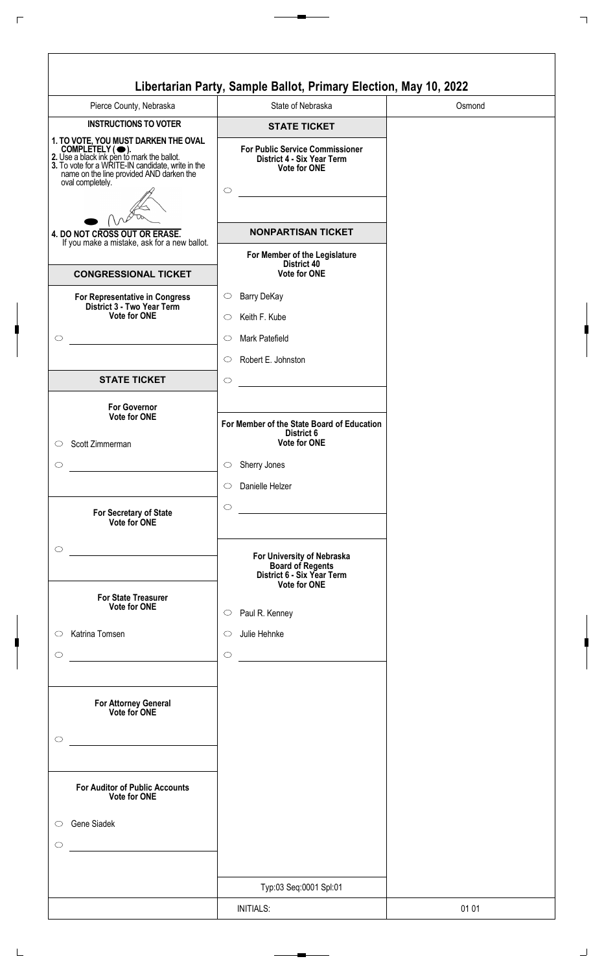|                                                                                                                                                                                                                             | Libertarian Party, Sample Ballot, Primary Election, May 10, 2022                            |        |
|-----------------------------------------------------------------------------------------------------------------------------------------------------------------------------------------------------------------------------|---------------------------------------------------------------------------------------------|--------|
| Pierce County, Nebraska                                                                                                                                                                                                     | State of Nebraska                                                                           | Osmond |
| <b>INSTRUCTIONS TO VOTER</b>                                                                                                                                                                                                | <b>STATE TICKET</b>                                                                         |        |
| 1. TO VOTE, YOU MUST DARKEN THE OVAL<br>COMPLETELY ( •).<br>2. Use a black ink pen to mark the ballot.<br>3. To vote for a WRITE-IN candidate, write in the<br>name on the line provided AND darken the<br>oval completely. | <b>For Public Service Commissioner</b><br>District 4 - Six Year Term<br><b>Vote for ONE</b> |        |
|                                                                                                                                                                                                                             | $\circ$                                                                                     |        |
|                                                                                                                                                                                                                             |                                                                                             |        |
| 4. DO NOT CROSS OUT OR ERASE.<br>If you make a mistake, ask for a new ballot.                                                                                                                                               | <b>NONPARTISAN TICKET</b>                                                                   |        |
| <b>CONGRESSIONAL TICKET</b>                                                                                                                                                                                                 | For Member of the Legislature<br>District 40<br><b>Vote for ONE</b>                         |        |
| For Representative in Congress                                                                                                                                                                                              | Barry DeKay<br>$\circ$                                                                      |        |
| District 3 - Two Year Term<br><b>Vote for ONE</b>                                                                                                                                                                           | Keith F. Kube<br>O                                                                          |        |
|                                                                                                                                                                                                                             | Mark Patefield<br>$\circlearrowright$                                                       |        |
|                                                                                                                                                                                                                             | Robert E. Johnston<br>$\circ$                                                               |        |
| <b>STATE TICKET</b>                                                                                                                                                                                                         | $\circ$                                                                                     |        |
| <b>For Governor</b><br>Vote for ONE                                                                                                                                                                                         |                                                                                             |        |
|                                                                                                                                                                                                                             | For Member of the State Board of Education<br>District 6                                    |        |
| Scott Zimmerman                                                                                                                                                                                                             | <b>Vote for ONE</b>                                                                         |        |
|                                                                                                                                                                                                                             | Sherry Jones<br>$\circ$                                                                     |        |
|                                                                                                                                                                                                                             | Danielle Helzer<br>$\circ$                                                                  |        |
| For Secretary of State<br>Vote for ONE                                                                                                                                                                                      | $\circ$<br><u> 1980 - Johann Barnett, fransk politik (</u>                                  |        |
|                                                                                                                                                                                                                             |                                                                                             |        |
|                                                                                                                                                                                                                             | For University of Nebraska<br><b>Board of Regents<br/>District 6 - Six Year Term</b>        |        |
| <b>For State Treasurer</b><br>Vote for ONE                                                                                                                                                                                  | <b>Vote for ONE</b>                                                                         |        |
|                                                                                                                                                                                                                             | Paul R. Kenney<br>$\circ$                                                                   |        |
| Katrina Tomsen                                                                                                                                                                                                              | Julie Hehnke<br>$\circ$                                                                     |        |
|                                                                                                                                                                                                                             | $\circ$<br><u> 1989 - Johann Stein, mars an t-Amerikaansk kommunister (</u>                 |        |
| <b>For Attorney General</b><br>Vote for ONE                                                                                                                                                                                 |                                                                                             |        |
|                                                                                                                                                                                                                             |                                                                                             |        |
|                                                                                                                                                                                                                             |                                                                                             |        |
| <b>For Auditor of Public Accounts</b><br>Vote for ONE                                                                                                                                                                       |                                                                                             |        |
| Gene Siadek<br>$\circ$                                                                                                                                                                                                      |                                                                                             |        |
|                                                                                                                                                                                                                             |                                                                                             |        |
|                                                                                                                                                                                                                             |                                                                                             |        |
|                                                                                                                                                                                                                             | Typ:03 Seq:0001 Spl:01                                                                      |        |
|                                                                                                                                                                                                                             | <b>INITIALS:</b>                                                                            | 01 01  |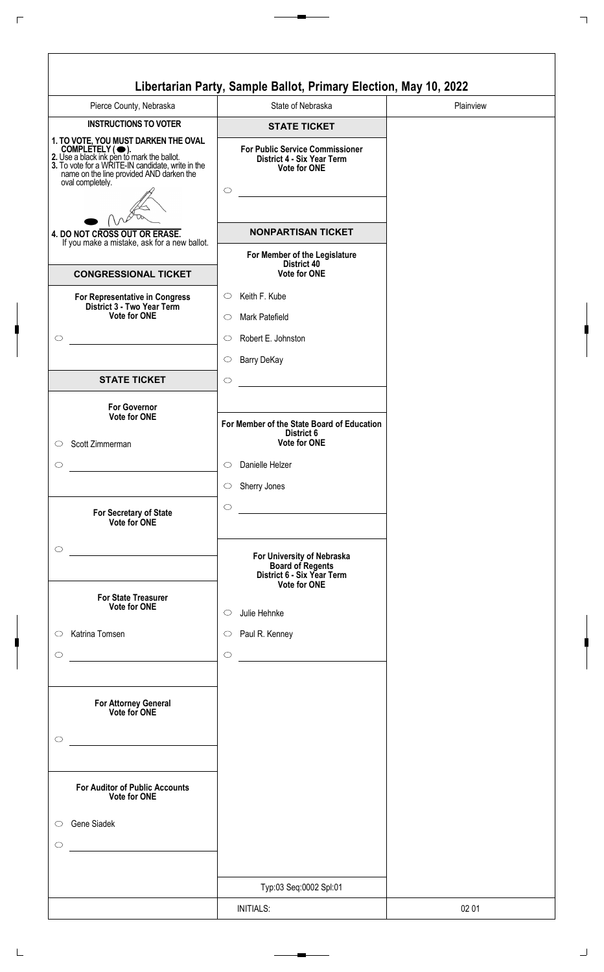|                                                                                                                                                                                                                             | Libertarian Party, Sample Ballot, Primary Election, May 10, 2022                            |           |
|-----------------------------------------------------------------------------------------------------------------------------------------------------------------------------------------------------------------------------|---------------------------------------------------------------------------------------------|-----------|
| Pierce County, Nebraska                                                                                                                                                                                                     | State of Nebraska                                                                           | Plainview |
| <b>INSTRUCTIONS TO VOTER</b>                                                                                                                                                                                                | <b>STATE TICKET</b>                                                                         |           |
| 1. TO VOTE, YOU MUST DARKEN THE OVAL<br>COMPLETELY ( •).<br>2. Use a black ink pen to mark the ballot.<br>3. To vote for a WRITE-IN candidate, write in the<br>name on the line provided AND darken the<br>oval completely. | <b>For Public Service Commissioner</b><br>District 4 - Six Year Term<br><b>Vote for ONE</b> |           |
|                                                                                                                                                                                                                             | $\circ$                                                                                     |           |
|                                                                                                                                                                                                                             |                                                                                             |           |
| 4. DO NOT CROSS OUT OR ERASE.<br>If you make a mistake, ask for a new ballot.                                                                                                                                               | <b>NONPARTISAN TICKET</b>                                                                   |           |
|                                                                                                                                                                                                                             | For Member of the Legislature<br>District 40                                                |           |
| <b>CONGRESSIONAL TICKET</b>                                                                                                                                                                                                 | <b>Vote for ONE</b>                                                                         |           |
| For Representative in Congress                                                                                                                                                                                              | Keith F. Kube<br>$\circ$                                                                    |           |
| District 3 - Two Year Term<br><b>Vote for ONE</b>                                                                                                                                                                           | Mark Patefield<br>◯                                                                         |           |
| $\circlearrowright$                                                                                                                                                                                                         | Robert E. Johnston<br>$\circlearrowright$                                                   |           |
|                                                                                                                                                                                                                             | <b>Barry DeKay</b><br>$\circ$                                                               |           |
| <b>STATE TICKET</b>                                                                                                                                                                                                         | $\circ$                                                                                     |           |
|                                                                                                                                                                                                                             |                                                                                             |           |
| <b>For Governor</b><br>Vote for ONE                                                                                                                                                                                         | For Member of the State Board of Education                                                  |           |
| Scott Zimmerman<br>$\circ$                                                                                                                                                                                                  | District 6<br><b>Vote for ONE</b>                                                           |           |
|                                                                                                                                                                                                                             |                                                                                             |           |
| $\circlearrowright$                                                                                                                                                                                                         | Danielle Helzer<br>$\circ$                                                                  |           |
|                                                                                                                                                                                                                             | Sherry Jones<br>$\circ$                                                                     |           |
| For Secretary of State<br>Vote for ONE                                                                                                                                                                                      | $\circ$                                                                                     |           |
|                                                                                                                                                                                                                             |                                                                                             |           |
| $\circ$                                                                                                                                                                                                                     | For University of Nebraska                                                                  |           |
|                                                                                                                                                                                                                             | <b>Board of Regents<br/>District 6 - Six Year Term</b>                                      |           |
| <b>For State Treasurer</b>                                                                                                                                                                                                  | <b>Vote for ONE</b>                                                                         |           |
| Vote for ONE                                                                                                                                                                                                                | Julie Hehnke<br>$\circ$                                                                     |           |
| Katrina Tomsen<br>$\circ$                                                                                                                                                                                                   | Paul R. Kenney<br>$\circlearrowright$                                                       |           |
| $\circlearrowright$                                                                                                                                                                                                         | $\circ$                                                                                     |           |
|                                                                                                                                                                                                                             |                                                                                             |           |
| For Attorney General                                                                                                                                                                                                        |                                                                                             |           |
| Vote for ONE                                                                                                                                                                                                                |                                                                                             |           |
| $\circ$                                                                                                                                                                                                                     |                                                                                             |           |
|                                                                                                                                                                                                                             |                                                                                             |           |
|                                                                                                                                                                                                                             |                                                                                             |           |
| <b>For Auditor of Public Accounts</b><br>Vote for ONE                                                                                                                                                                       |                                                                                             |           |
| Gene Siadek<br>$\circ$                                                                                                                                                                                                      |                                                                                             |           |
|                                                                                                                                                                                                                             |                                                                                             |           |
| O                                                                                                                                                                                                                           |                                                                                             |           |
|                                                                                                                                                                                                                             |                                                                                             |           |
|                                                                                                                                                                                                                             | Typ:03 Seq:0002 Spl:01                                                                      |           |
|                                                                                                                                                                                                                             | <b>INITIALS:</b>                                                                            | 02 01     |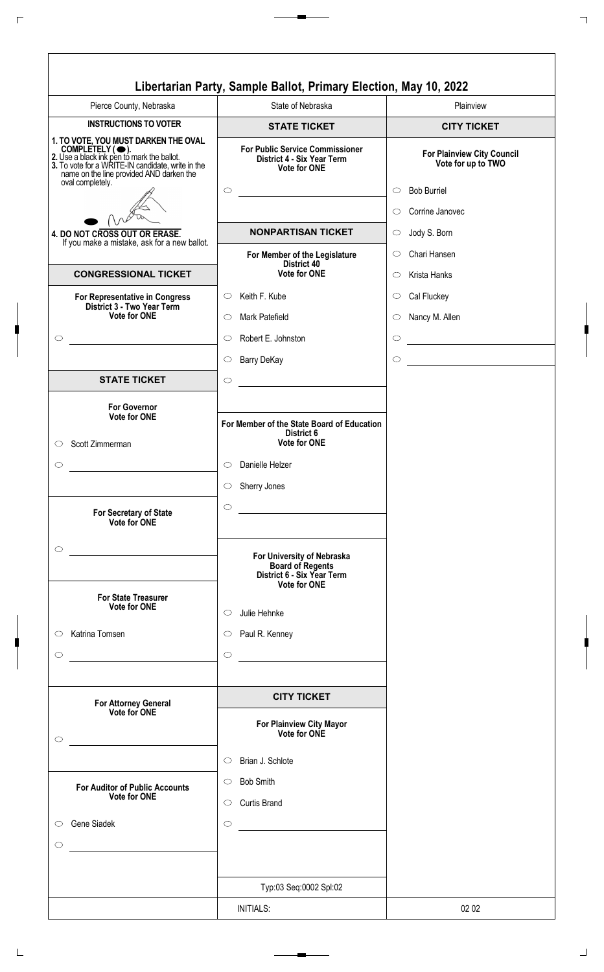| Libertarian Party, Sample Ballot, Primary Election, May 10, 2022<br>Pierce County, Nebraska<br>State of Nebraska<br>Plainview<br><b>INSTRUCTIONS TO VOTER</b><br><b>CITY TICKET</b><br><b>STATE TICKET</b><br>1. TO VOTE, YOU MUST DARKEN THE OVAL<br>COMPLETELY (O).<br>2. Use a black ink pen to mark the ballot.<br>3. To vote for a WRITE-IN candidate, write in the<br><b>For Public Service Commissioner</b><br><b>For Plainview City Council</b><br>District 4 - Six Year Term<br>Vote for up to TWO<br>Vote for ONE<br>name on the line provided AND darken the<br>oval completely.<br>$\circ$<br><b>Bob Burriel</b><br>$\circ$<br>Corrine Janovec<br>$\circ$<br><b>NONPARTISAN TICKET</b><br>Jody S. Born<br>4. DO NOT CROSS OUT OR ERASE.<br>$\circ$<br>If you make a mistake, ask for a new ballot.<br>Chari Hansen<br>$\circlearrowright$<br>For Member of the Legislature<br>District 40<br>Vote for ONE<br><b>CONGRESSIONAL TICKET</b><br>Krista Hanks<br>◯<br>Keith F. Kube<br>Cal Fluckey<br>$\circlearrowright$<br>$\circlearrowright$<br>For Representative in Congress<br>District 3 - Two Year Term<br><b>Vote for ONE</b><br>Mark Patefield<br>Nancy M. Allen<br>$\bigcirc$<br>$\circ$<br>Robert E. Johnston<br>$\circ$<br>$\circ$<br>$\circ$<br><b>Barry DeKay</b><br>$\circ$<br>$\bigcirc$<br><b>STATE TICKET</b><br>$\circ$<br><b>For Governor</b><br>Vote for ONE<br>For Member of the State Board of Education<br>District 6<br><b>Vote for ONE</b><br>Scott Zimmerman<br>O<br>$\circlearrowright$<br>$\circ$<br>Danielle Helzer<br>Sherry Jones<br>$\circlearrowright$<br>$\circ$<br>For Secretary of State<br>Vote for ONE<br>$\circ$<br>For University of Nebraska<br><b>Board of Regents</b><br>District 6 - Six Year Term<br><b>Vote for ONE</b><br><b>For State Treasurer</b><br><b>Vote for ONE</b><br>Julie Hehnke<br>$\circ$<br>Katrina Tomsen<br>Paul R. Kenney<br>$\circ$<br>$\circlearrowright$ |
|---------------------------------------------------------------------------------------------------------------------------------------------------------------------------------------------------------------------------------------------------------------------------------------------------------------------------------------------------------------------------------------------------------------------------------------------------------------------------------------------------------------------------------------------------------------------------------------------------------------------------------------------------------------------------------------------------------------------------------------------------------------------------------------------------------------------------------------------------------------------------------------------------------------------------------------------------------------------------------------------------------------------------------------------------------------------------------------------------------------------------------------------------------------------------------------------------------------------------------------------------------------------------------------------------------------------------------------------------------------------------------------------------------------------------------------------------------------------------------------------------------------------------------------------------------------------------------------------------------------------------------------------------------------------------------------------------------------------------------------------------------------------------------------------------------------------------------------------------------------------------------------------------------------------------------------|
|                                                                                                                                                                                                                                                                                                                                                                                                                                                                                                                                                                                                                                                                                                                                                                                                                                                                                                                                                                                                                                                                                                                                                                                                                                                                                                                                                                                                                                                                                                                                                                                                                                                                                                                                                                                                                                                                                                                                       |
|                                                                                                                                                                                                                                                                                                                                                                                                                                                                                                                                                                                                                                                                                                                                                                                                                                                                                                                                                                                                                                                                                                                                                                                                                                                                                                                                                                                                                                                                                                                                                                                                                                                                                                                                                                                                                                                                                                                                       |
|                                                                                                                                                                                                                                                                                                                                                                                                                                                                                                                                                                                                                                                                                                                                                                                                                                                                                                                                                                                                                                                                                                                                                                                                                                                                                                                                                                                                                                                                                                                                                                                                                                                                                                                                                                                                                                                                                                                                       |
|                                                                                                                                                                                                                                                                                                                                                                                                                                                                                                                                                                                                                                                                                                                                                                                                                                                                                                                                                                                                                                                                                                                                                                                                                                                                                                                                                                                                                                                                                                                                                                                                                                                                                                                                                                                                                                                                                                                                       |
|                                                                                                                                                                                                                                                                                                                                                                                                                                                                                                                                                                                                                                                                                                                                                                                                                                                                                                                                                                                                                                                                                                                                                                                                                                                                                                                                                                                                                                                                                                                                                                                                                                                                                                                                                                                                                                                                                                                                       |
|                                                                                                                                                                                                                                                                                                                                                                                                                                                                                                                                                                                                                                                                                                                                                                                                                                                                                                                                                                                                                                                                                                                                                                                                                                                                                                                                                                                                                                                                                                                                                                                                                                                                                                                                                                                                                                                                                                                                       |
|                                                                                                                                                                                                                                                                                                                                                                                                                                                                                                                                                                                                                                                                                                                                                                                                                                                                                                                                                                                                                                                                                                                                                                                                                                                                                                                                                                                                                                                                                                                                                                                                                                                                                                                                                                                                                                                                                                                                       |
|                                                                                                                                                                                                                                                                                                                                                                                                                                                                                                                                                                                                                                                                                                                                                                                                                                                                                                                                                                                                                                                                                                                                                                                                                                                                                                                                                                                                                                                                                                                                                                                                                                                                                                                                                                                                                                                                                                                                       |
|                                                                                                                                                                                                                                                                                                                                                                                                                                                                                                                                                                                                                                                                                                                                                                                                                                                                                                                                                                                                                                                                                                                                                                                                                                                                                                                                                                                                                                                                                                                                                                                                                                                                                                                                                                                                                                                                                                                                       |
|                                                                                                                                                                                                                                                                                                                                                                                                                                                                                                                                                                                                                                                                                                                                                                                                                                                                                                                                                                                                                                                                                                                                                                                                                                                                                                                                                                                                                                                                                                                                                                                                                                                                                                                                                                                                                                                                                                                                       |
|                                                                                                                                                                                                                                                                                                                                                                                                                                                                                                                                                                                                                                                                                                                                                                                                                                                                                                                                                                                                                                                                                                                                                                                                                                                                                                                                                                                                                                                                                                                                                                                                                                                                                                                                                                                                                                                                                                                                       |
|                                                                                                                                                                                                                                                                                                                                                                                                                                                                                                                                                                                                                                                                                                                                                                                                                                                                                                                                                                                                                                                                                                                                                                                                                                                                                                                                                                                                                                                                                                                                                                                                                                                                                                                                                                                                                                                                                                                                       |
|                                                                                                                                                                                                                                                                                                                                                                                                                                                                                                                                                                                                                                                                                                                                                                                                                                                                                                                                                                                                                                                                                                                                                                                                                                                                                                                                                                                                                                                                                                                                                                                                                                                                                                                                                                                                                                                                                                                                       |
|                                                                                                                                                                                                                                                                                                                                                                                                                                                                                                                                                                                                                                                                                                                                                                                                                                                                                                                                                                                                                                                                                                                                                                                                                                                                                                                                                                                                                                                                                                                                                                                                                                                                                                                                                                                                                                                                                                                                       |
|                                                                                                                                                                                                                                                                                                                                                                                                                                                                                                                                                                                                                                                                                                                                                                                                                                                                                                                                                                                                                                                                                                                                                                                                                                                                                                                                                                                                                                                                                                                                                                                                                                                                                                                                                                                                                                                                                                                                       |
|                                                                                                                                                                                                                                                                                                                                                                                                                                                                                                                                                                                                                                                                                                                                                                                                                                                                                                                                                                                                                                                                                                                                                                                                                                                                                                                                                                                                                                                                                                                                                                                                                                                                                                                                                                                                                                                                                                                                       |
|                                                                                                                                                                                                                                                                                                                                                                                                                                                                                                                                                                                                                                                                                                                                                                                                                                                                                                                                                                                                                                                                                                                                                                                                                                                                                                                                                                                                                                                                                                                                                                                                                                                                                                                                                                                                                                                                                                                                       |
|                                                                                                                                                                                                                                                                                                                                                                                                                                                                                                                                                                                                                                                                                                                                                                                                                                                                                                                                                                                                                                                                                                                                                                                                                                                                                                                                                                                                                                                                                                                                                                                                                                                                                                                                                                                                                                                                                                                                       |
|                                                                                                                                                                                                                                                                                                                                                                                                                                                                                                                                                                                                                                                                                                                                                                                                                                                                                                                                                                                                                                                                                                                                                                                                                                                                                                                                                                                                                                                                                                                                                                                                                                                                                                                                                                                                                                                                                                                                       |
|                                                                                                                                                                                                                                                                                                                                                                                                                                                                                                                                                                                                                                                                                                                                                                                                                                                                                                                                                                                                                                                                                                                                                                                                                                                                                                                                                                                                                                                                                                                                                                                                                                                                                                                                                                                                                                                                                                                                       |
|                                                                                                                                                                                                                                                                                                                                                                                                                                                                                                                                                                                                                                                                                                                                                                                                                                                                                                                                                                                                                                                                                                                                                                                                                                                                                                                                                                                                                                                                                                                                                                                                                                                                                                                                                                                                                                                                                                                                       |
| $\circ$<br>O<br><u> 1986 - Jan Stein Stein Stein Stein Stein Stein Stein Stein Stein Stein Stein Stein Stein Stein Stein Stein S</u>                                                                                                                                                                                                                                                                                                                                                                                                                                                                                                                                                                                                                                                                                                                                                                                                                                                                                                                                                                                                                                                                                                                                                                                                                                                                                                                                                                                                                                                                                                                                                                                                                                                                                                                                                                                                  |
|                                                                                                                                                                                                                                                                                                                                                                                                                                                                                                                                                                                                                                                                                                                                                                                                                                                                                                                                                                                                                                                                                                                                                                                                                                                                                                                                                                                                                                                                                                                                                                                                                                                                                                                                                                                                                                                                                                                                       |
| <b>CITY TICKET</b>                                                                                                                                                                                                                                                                                                                                                                                                                                                                                                                                                                                                                                                                                                                                                                                                                                                                                                                                                                                                                                                                                                                                                                                                                                                                                                                                                                                                                                                                                                                                                                                                                                                                                                                                                                                                                                                                                                                    |
| <b>For Attorney General</b><br>Vote for ONE<br>For Plainview City Mayor<br>Vote for ONE<br>$\circ$                                                                                                                                                                                                                                                                                                                                                                                                                                                                                                                                                                                                                                                                                                                                                                                                                                                                                                                                                                                                                                                                                                                                                                                                                                                                                                                                                                                                                                                                                                                                                                                                                                                                                                                                                                                                                                    |
| Brian J. Schlote<br>$\circ$                                                                                                                                                                                                                                                                                                                                                                                                                                                                                                                                                                                                                                                                                                                                                                                                                                                                                                                                                                                                                                                                                                                                                                                                                                                                                                                                                                                                                                                                                                                                                                                                                                                                                                                                                                                                                                                                                                           |
| <b>Bob Smith</b><br>$\circ$<br><b>For Auditor of Public Accounts</b>                                                                                                                                                                                                                                                                                                                                                                                                                                                                                                                                                                                                                                                                                                                                                                                                                                                                                                                                                                                                                                                                                                                                                                                                                                                                                                                                                                                                                                                                                                                                                                                                                                                                                                                                                                                                                                                                  |
| <b>Vote for ONE</b><br><b>Curtis Brand</b><br>$\circ$                                                                                                                                                                                                                                                                                                                                                                                                                                                                                                                                                                                                                                                                                                                                                                                                                                                                                                                                                                                                                                                                                                                                                                                                                                                                                                                                                                                                                                                                                                                                                                                                                                                                                                                                                                                                                                                                                 |
| Gene Siadek<br>$\circ$<br>$\bigcirc$<br><u> 1980 - Jan Alexandria (h. 1980).</u>                                                                                                                                                                                                                                                                                                                                                                                                                                                                                                                                                                                                                                                                                                                                                                                                                                                                                                                                                                                                                                                                                                                                                                                                                                                                                                                                                                                                                                                                                                                                                                                                                                                                                                                                                                                                                                                      |
| O                                                                                                                                                                                                                                                                                                                                                                                                                                                                                                                                                                                                                                                                                                                                                                                                                                                                                                                                                                                                                                                                                                                                                                                                                                                                                                                                                                                                                                                                                                                                                                                                                                                                                                                                                                                                                                                                                                                                     |
|                                                                                                                                                                                                                                                                                                                                                                                                                                                                                                                                                                                                                                                                                                                                                                                                                                                                                                                                                                                                                                                                                                                                                                                                                                                                                                                                                                                                                                                                                                                                                                                                                                                                                                                                                                                                                                                                                                                                       |
| Typ:03 Seq:0002 Spl:02                                                                                                                                                                                                                                                                                                                                                                                                                                                                                                                                                                                                                                                                                                                                                                                                                                                                                                                                                                                                                                                                                                                                                                                                                                                                                                                                                                                                                                                                                                                                                                                                                                                                                                                                                                                                                                                                                                                |
| <b>INITIALS:</b><br>02 02                                                                                                                                                                                                                                                                                                                                                                                                                                                                                                                                                                                                                                                                                                                                                                                                                                                                                                                                                                                                                                                                                                                                                                                                                                                                                                                                                                                                                                                                                                                                                                                                                                                                                                                                                                                                                                                                                                             |

 $\Gamma$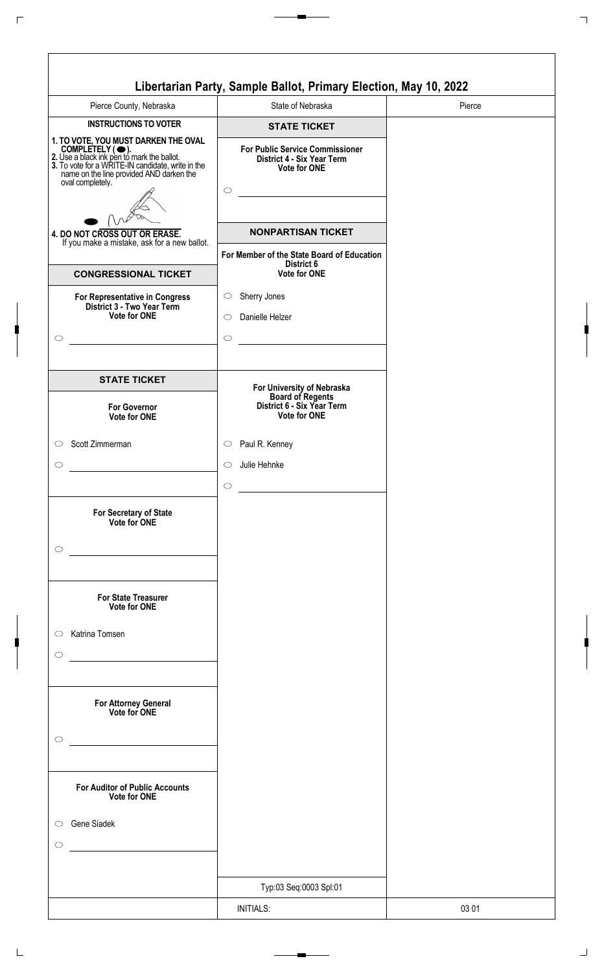|                                                                                                                                                                                                                                       | Libertarian Party, Sample Ballot, Primary Election, May 10, 2022                                       |        |
|---------------------------------------------------------------------------------------------------------------------------------------------------------------------------------------------------------------------------------------|--------------------------------------------------------------------------------------------------------|--------|
| Pierce County, Nebraska                                                                                                                                                                                                               | State of Nebraska                                                                                      | Pierce |
| <b>INSTRUCTIONS TO VOTER</b>                                                                                                                                                                                                          | <b>STATE TICKET</b>                                                                                    |        |
| 1. TO VOTE, YOU MUST DARKEN THE OVAL<br>COMPLETELY ( $\bigcirc$ ).<br>2. Use a black ink pen to mark the ballot.<br>3. To vote for a WRITE-IN candidate, write in the<br>name on the line provided AND darken the<br>oval completely. | <b>For Public Service Commissioner</b><br>District 4 - Six Year Term<br><b>Vote for ONE</b><br>$\circ$ |        |
| 4. DO NOT CROSS OUT OR ERASE.<br>If you make a mistake, ask for a new ballot.                                                                                                                                                         | <b>NONPARTISAN TICKET</b>                                                                              |        |
|                                                                                                                                                                                                                                       | For Member of the State Board of Education<br>District 6                                               |        |
| <b>CONGRESSIONAL TICKET</b>                                                                                                                                                                                                           | Vote for ONE                                                                                           |        |
| For Representative in Congress<br>District 3 - Two Year Term<br><b>Vote for ONE</b><br>$\circlearrowright$                                                                                                                            | Sherry Jones<br>$\circ$<br>Danielle Helzer<br>$\circ$<br>$\circ$                                       |        |
| <b>STATE TICKET</b>                                                                                                                                                                                                                   | For University of Nebraska<br>Board of Regents<br>District 6 - Six Year Term                           |        |
| <b>For Governor</b><br>Vote for ONE                                                                                                                                                                                                   | Vote for ONE                                                                                           |        |
| Scott Zimmerman<br>$\circ$                                                                                                                                                                                                            | Paul R. Kenney<br>$\circ$                                                                              |        |
| O                                                                                                                                                                                                                                     | Julie Hehnke<br>$\circ$<br>$\circ$                                                                     |        |
| For Secretary of State<br>Vote for ONE<br>$\circlearrowright$                                                                                                                                                                         |                                                                                                        |        |
| <b>For State Treasurer</b><br>Vote for ONE<br>Katrina Tomsen<br>$\circ$                                                                                                                                                               |                                                                                                        |        |
| O                                                                                                                                                                                                                                     |                                                                                                        |        |
| For Attorney General<br>Vote for ONE<br>$\circlearrowright$                                                                                                                                                                           |                                                                                                        |        |
| <b>For Auditor of Public Accounts</b><br>Vote for ONE                                                                                                                                                                                 |                                                                                                        |        |
| Gene Siadek<br>$\circ$<br>⌒<br><u> 1989 - Jan Stein Stein Stein Stein Stein Stein Stein Stein Stein Stein Stein Stein Stein Stein Stein Stein S</u>                                                                                   |                                                                                                        |        |
|                                                                                                                                                                                                                                       | Typ:03 Seq:0003 Spl:01                                                                                 |        |
|                                                                                                                                                                                                                                       | <b>INITIALS:</b>                                                                                       | 03 01  |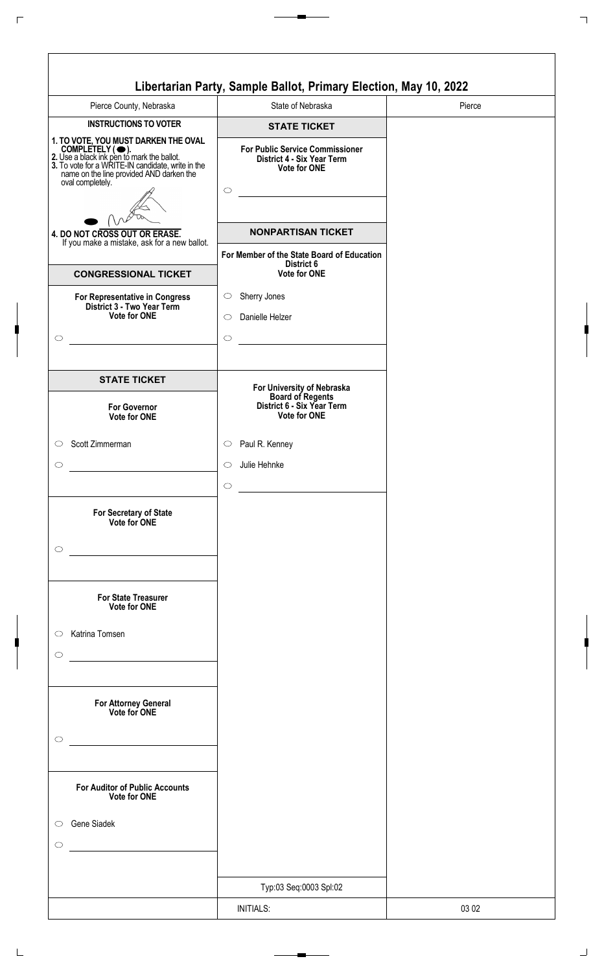| Pierce County, Nebraska                                                                                                                                                                                                               | State of Nebraska                                                                           | Pierce |
|---------------------------------------------------------------------------------------------------------------------------------------------------------------------------------------------------------------------------------------|---------------------------------------------------------------------------------------------|--------|
| <b>INSTRUCTIONS TO VOTER</b>                                                                                                                                                                                                          | <b>STATE TICKET</b>                                                                         |        |
| 1. TO VOTE, YOU MUST DARKEN THE OVAL<br>COMPLETELY ( $\bigcirc$ ).<br>2. Use a black ink pen to mark the ballot.<br>3. To vote for a WRITE-IN candidate, write in the<br>name on the line provided AND darken the<br>oval completely. | <b>For Public Service Commissioner</b><br>District 4 - Six Year Term<br><b>Vote for ONE</b> |        |
|                                                                                                                                                                                                                                       | $\bigcirc$                                                                                  |        |
| 4. DO NOT CROSS OUT OR ERASE.<br>If you make a mistake, ask for a new ballot.                                                                                                                                                         | <b>NONPARTISAN TICKET</b>                                                                   |        |
|                                                                                                                                                                                                                                       | For Member of the State Board of Education<br>District 6                                    |        |
| <b>CONGRESSIONAL TICKET</b>                                                                                                                                                                                                           | <b>Vote for ONE</b>                                                                         |        |
| For Representative in Congress<br>District 3 - Two Year Term<br>Vote for ONE                                                                                                                                                          | Sherry Jones<br>$\circlearrowright$<br>Danielle Helzer<br>$\circ$                           |        |
|                                                                                                                                                                                                                                       | $\circ$                                                                                     |        |
| <b>STATE TICKET</b>                                                                                                                                                                                                                   | For University of Nebraska                                                                  |        |
| <b>For Governor</b><br>Vote for ONE                                                                                                                                                                                                   | <b>Board of Regents</b><br>District 6 - Six Year Term<br>Vote for ONE                       |        |
| Scott Zimmerman                                                                                                                                                                                                                       | Paul R. Kenney<br>$\circ$                                                                   |        |
|                                                                                                                                                                                                                                       | Julie Hehnke<br>$\circ$                                                                     |        |
| For Secretary of State<br>Vote for ONE                                                                                                                                                                                                | $\circ$                                                                                     |        |
|                                                                                                                                                                                                                                       |                                                                                             |        |
| <b>For State Treasurer</b><br>Vote for ONE                                                                                                                                                                                            |                                                                                             |        |
| Katrina Tomsen                                                                                                                                                                                                                        |                                                                                             |        |
|                                                                                                                                                                                                                                       |                                                                                             |        |
| For Attorney General<br>Vote for ONE                                                                                                                                                                                                  |                                                                                             |        |
| <b>For Auditor of Public Accounts</b><br><b>Vote for ONE</b>                                                                                                                                                                          |                                                                                             |        |
| Gene Siadek                                                                                                                                                                                                                           |                                                                                             |        |
| <u> 1989 - Jan Barbara Barbara, masa ka</u>                                                                                                                                                                                           |                                                                                             |        |
|                                                                                                                                                                                                                                       | Typ:03 Seq:0003 Spl:02                                                                      |        |
|                                                                                                                                                                                                                                       | <b>INITIALS:</b>                                                                            | 03 02  |

 $\Box$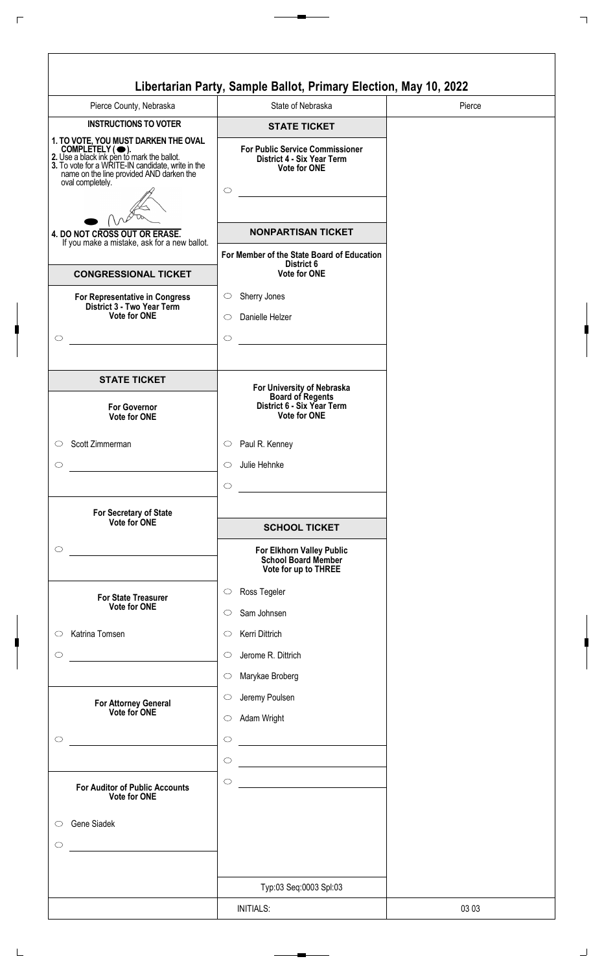| Pierce County, Nebraska                                                                                                                                                                                                    | State of Nebraska                                                                               | Pierce |
|----------------------------------------------------------------------------------------------------------------------------------------------------------------------------------------------------------------------------|-------------------------------------------------------------------------------------------------|--------|
| <b>INSTRUCTIONS TO VOTER</b>                                                                                                                                                                                               | <b>STATE TICKET</b>                                                                             |        |
| 1. TO VOTE, YOU MUST DARKEN THE OVAL<br>COMPLETELY (O).<br>2. Use a black ink pen to mark the ballot.<br>3. To vote for a WRITE-IN candidate, write in the<br>name on the line provided AND darken the<br>oval completely. | <b>For Public Service Commissioner</b><br>District 4 - Six Year Term<br>Vote for ONE<br>$\circ$ |        |
|                                                                                                                                                                                                                            | <b>NONPARTISAN TICKET</b>                                                                       |        |
| 4. DO NOT CROSS OUT OR ERASE.<br>If you make a mistake, ask for a new ballot.                                                                                                                                              |                                                                                                 |        |
| <b>CONGRESSIONAL TICKET</b>                                                                                                                                                                                                | For Member of the State Board of Education<br>District 6<br>Vote for ONE                        |        |
| For Representative in Congress<br>District 3 - Two Year Term                                                                                                                                                               | Sherry Jones<br>$\circ$                                                                         |        |
| <b>Vote for ONE</b>                                                                                                                                                                                                        | Danielle Helzer<br>$\circ$                                                                      |        |
|                                                                                                                                                                                                                            | $\circ$                                                                                         |        |
| <b>STATE TICKET</b>                                                                                                                                                                                                        | For University of Nebraska<br>Board of Regents                                                  |        |
| <b>For Governor</b><br>Vote for ONE                                                                                                                                                                                        | District 6 - Six Year Term<br><b>Vote for ONE</b>                                               |        |
| Scott Zimmerman                                                                                                                                                                                                            | Paul R. Kenney<br>$\circ$                                                                       |        |
|                                                                                                                                                                                                                            | Julie Hehnke<br>◯                                                                               |        |
|                                                                                                                                                                                                                            | $\circ$                                                                                         |        |
|                                                                                                                                                                                                                            |                                                                                                 |        |
| For Secretary of State<br>Vote for ONE                                                                                                                                                                                     | <b>SCHOOL TICKET</b>                                                                            |        |
|                                                                                                                                                                                                                            | For Elkhorn Valley Public<br><b>School Board Member</b>                                         |        |
|                                                                                                                                                                                                                            | Vote for up to THREE                                                                            |        |
| <b>For State Treasurer</b><br><b>Vote for ONE</b>                                                                                                                                                                          | Ross Tegeler<br>$\circ$                                                                         |        |
|                                                                                                                                                                                                                            | Sam Johnsen<br>$\circ$                                                                          |        |
| Katrina Tomsen                                                                                                                                                                                                             | Kerri Dittrich<br>O                                                                             |        |
|                                                                                                                                                                                                                            | Jerome R. Dittrich<br>$\circ$                                                                   |        |
|                                                                                                                                                                                                                            | Marykae Broberg<br>$\circ$                                                                      |        |
|                                                                                                                                                                                                                            | Jeremy Poulsen<br>O                                                                             |        |
| For Attorney General<br>Vote for ONE                                                                                                                                                                                       | Adam Wright<br>$\circ$                                                                          |        |
|                                                                                                                                                                                                                            | $\circ$                                                                                         |        |
|                                                                                                                                                                                                                            |                                                                                                 |        |
|                                                                                                                                                                                                                            | $\circ$                                                                                         |        |
| <b>For Auditor of Public Accounts</b><br><b>Vote for ONE</b>                                                                                                                                                               | $\circ$                                                                                         |        |
| Gene Siadek                                                                                                                                                                                                                |                                                                                                 |        |
|                                                                                                                                                                                                                            |                                                                                                 |        |
| the company of the company of the company                                                                                                                                                                                  |                                                                                                 |        |
|                                                                                                                                                                                                                            |                                                                                                 |        |
|                                                                                                                                                                                                                            | Typ:03 Seq:0003 Spl:03                                                                          |        |
|                                                                                                                                                                                                                            | <b>INITIALS:</b>                                                                                | 03 03  |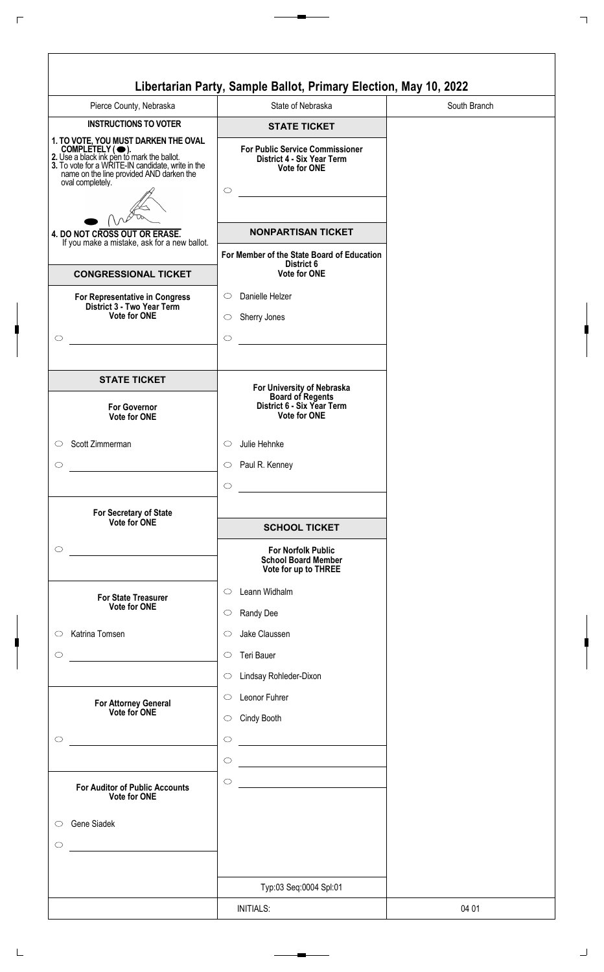|                                                                                                                                                                                                                            | Libertarian Party, Sample Ballot, Primary Election, May 10, 2022                                       |              |
|----------------------------------------------------------------------------------------------------------------------------------------------------------------------------------------------------------------------------|--------------------------------------------------------------------------------------------------------|--------------|
| Pierce County, Nebraska                                                                                                                                                                                                    | State of Nebraska                                                                                      | South Branch |
| <b>INSTRUCTIONS TO VOTER</b>                                                                                                                                                                                               | <b>STATE TICKET</b>                                                                                    |              |
| 1. TO VOTE, YOU MUST DARKEN THE OVAL<br>COMPLETELY (O).<br>2. Use a black ink pen to mark the ballot.<br>3. To vote for a WRITE-IN candidate, write in the<br>name on the line provided AND darken the<br>oval completely. | <b>For Public Service Commissioner</b><br>District 4 - Six Year Term<br><b>Vote for ONE</b><br>$\circ$ |              |
| 4. DO NOT CROSS OUT OR ERASE.                                                                                                                                                                                              | <b>NONPARTISAN TICKET</b>                                                                              |              |
| If you make a mistake, ask for a new ballot.                                                                                                                                                                               | For Member of the State Board of Education                                                             |              |
| <b>CONGRESSIONAL TICKET</b>                                                                                                                                                                                                | District 6<br><b>Vote for ONE</b>                                                                      |              |
| For Representative in Congress<br>District 3 - Two Year Term<br>Vote for ONE<br>$\circlearrowright$                                                                                                                        | Danielle Helzer<br>$\circ$<br>Sherry Jones<br>$\circ$<br>$\circ$                                       |              |
| <b>STATE TICKET</b>                                                                                                                                                                                                        | For University of Nebraska                                                                             |              |
| <b>For Governor</b><br>Vote for ONE                                                                                                                                                                                        | <b>Board of Regents</b><br>District 6 - Six Year Term<br><b>Vote for ONE</b>                           |              |
| Scott Zimmerman<br>$\circ$                                                                                                                                                                                                 | Julie Hehnke<br>O                                                                                      |              |
| $\circlearrowright$                                                                                                                                                                                                        | Paul R. Kenney<br>$\circ$                                                                              |              |
| For Secretary of State<br>Vote for ONE                                                                                                                                                                                     | $\circ$<br><b>SCHOOL TICKET</b>                                                                        |              |
| $\circ$                                                                                                                                                                                                                    | <b>For Norfolk Public</b>                                                                              |              |
|                                                                                                                                                                                                                            | <b>School Board Member</b><br>Vote for up to THREE                                                     |              |
| <b>For State Treasurer</b><br><b>Vote for ONE</b>                                                                                                                                                                          | Leann Widhalm<br>$\circ$<br>Randy Dee<br>$\circ$                                                       |              |
| Katrina Tomsen<br>$\circ$                                                                                                                                                                                                  | Jake Claussen<br>$\circ$                                                                               |              |
| $\circ$                                                                                                                                                                                                                    | Teri Bauer<br>$\circ$                                                                                  |              |
|                                                                                                                                                                                                                            | Lindsay Rohleder-Dixon<br>$\circlearrowright$                                                          |              |
| <b>For Attorney General</b><br>Vote for ONE                                                                                                                                                                                | Leonor Fuhrer<br>$\circ$<br>Cindy Booth<br>$\circ$                                                     |              |
| $\circlearrowright$                                                                                                                                                                                                        | $\circ$<br><u> 1980 - Johann Barn, mars an t-Amerikaansk kommunister (</u><br>$\circ$                  |              |
| <b>For Auditor of Public Accounts</b><br><b>Vote for ONE</b>                                                                                                                                                               | $\circ$                                                                                                |              |
| Gene Siadek<br>$\circ$<br>$\circ$                                                                                                                                                                                          |                                                                                                        |              |
|                                                                                                                                                                                                                            | Typ:03 Seq:0004 Spl:01                                                                                 |              |
|                                                                                                                                                                                                                            | <b>INITIALS:</b>                                                                                       | 04 01        |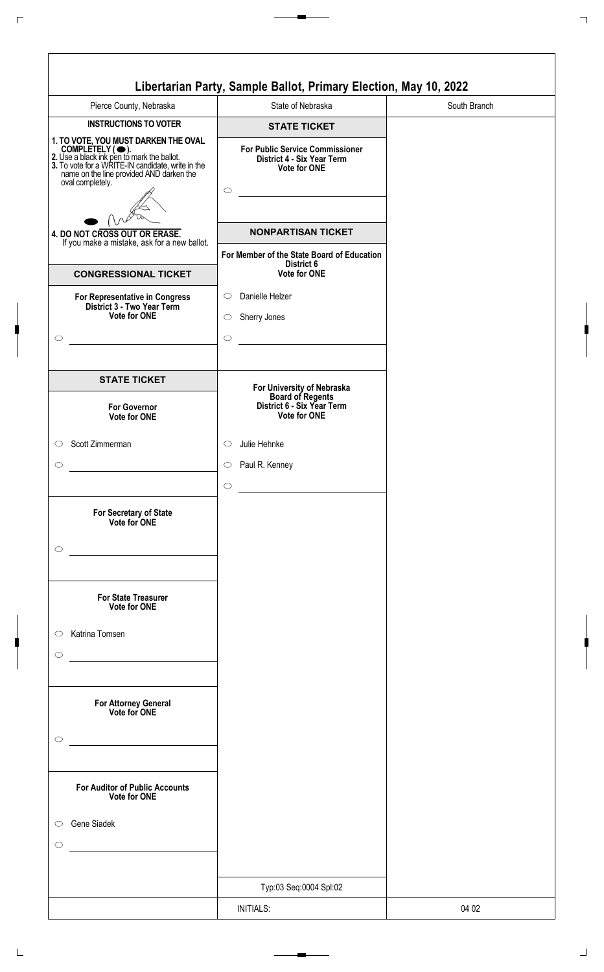| Pierce County, Nebraska                                                                                                                                                                                                               | State of Nebraska                                                                           | South Branch |
|---------------------------------------------------------------------------------------------------------------------------------------------------------------------------------------------------------------------------------------|---------------------------------------------------------------------------------------------|--------------|
| <b>INSTRUCTIONS TO VOTER</b>                                                                                                                                                                                                          | <b>STATE TICKET</b>                                                                         |              |
| 1. TO VOTE, YOU MUST DARKEN THE OVAL<br>COMPLETELY ( $\bigcirc$ ).<br>2. Use a black ink pen to mark the ballot.<br>3. To vote for a WRITE-IN candidate, write in the<br>name on the line provided AND darken the<br>oval completely. | <b>For Public Service Commissioner</b><br>District 4 - Six Year Term<br><b>Vote for ONE</b> |              |
|                                                                                                                                                                                                                                       | $\bigcirc$                                                                                  |              |
| 4. DO NOT CROSS OUT OR ERASE.<br>If you make a mistake, ask for a new ballot.                                                                                                                                                         | <b>NONPARTISAN TICKET</b>                                                                   |              |
|                                                                                                                                                                                                                                       | For Member of the State Board of Education<br>District 6                                    |              |
| <b>CONGRESSIONAL TICKET</b>                                                                                                                                                                                                           | <b>Vote for ONE</b>                                                                         |              |
| For Representative in Congress<br>District 3 - Two Year Term<br>Vote for ONE                                                                                                                                                          | Danielle Helzer<br>$\circ$<br>Sherry Jones<br>$\circ$<br>$\circ$                            |              |
| <b>STATE TICKET</b>                                                                                                                                                                                                                   | For University of Nebraska                                                                  |              |
| <b>For Governor</b><br>Vote for ONE                                                                                                                                                                                                   | <b>Board of Regents</b><br>District 6 - Six Year Term<br>Vote for ONE                       |              |
| Scott Zimmerman<br>$\circ$                                                                                                                                                                                                            | Julie Hehnke<br>$\circ$                                                                     |              |
|                                                                                                                                                                                                                                       | Paul R. Kenney<br>$\circ$<br>$\bigcirc$                                                     |              |
| For Secretary of State<br>Vote for ONE                                                                                                                                                                                                |                                                                                             |              |
| <b>For State Treasurer</b><br>Vote for ONE                                                                                                                                                                                            |                                                                                             |              |
| Katrina Tomsen<br>$\circ$                                                                                                                                                                                                             |                                                                                             |              |
| For Attorney General<br>Vote for ONE                                                                                                                                                                                                  |                                                                                             |              |
| <b>For Auditor of Public Accounts</b><br><b>Vote for ONE</b>                                                                                                                                                                          |                                                                                             |              |
| <b>Gene Siadek</b><br><u> 1989 - Jan Barbara Barbara, prima prima prima prima prima prima prima prima prima prima prima prima prima pri</u>                                                                                           |                                                                                             |              |
|                                                                                                                                                                                                                                       | Typ:03 Seq:0004 Spl:02                                                                      |              |
|                                                                                                                                                                                                                                       |                                                                                             |              |
|                                                                                                                                                                                                                                       | <b>INITIALS:</b>                                                                            | 04 02        |

 $\Box$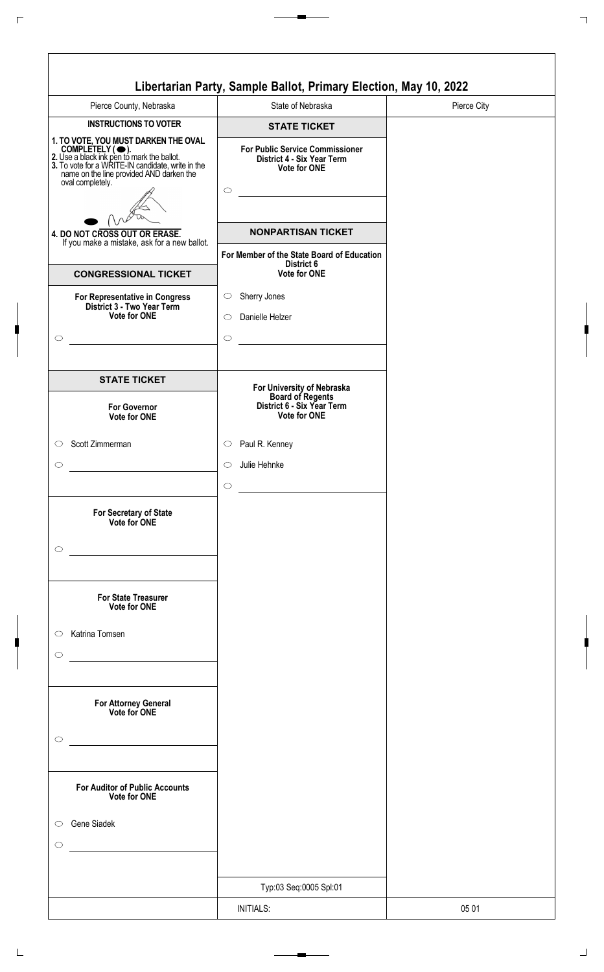| Pierce County, Nebraska                                                                                                                                                                                                               | State of Nebraska                                                                           | Pierce City |
|---------------------------------------------------------------------------------------------------------------------------------------------------------------------------------------------------------------------------------------|---------------------------------------------------------------------------------------------|-------------|
| <b>INSTRUCTIONS TO VOTER</b>                                                                                                                                                                                                          | <b>STATE TICKET</b>                                                                         |             |
| 1. TO VOTE, YOU MUST DARKEN THE OVAL<br>COMPLETELY ( $\bigcirc$ ).<br>2. Use a black ink pen to mark the ballot.<br>3. To vote for a WRITE-IN candidate, write in the<br>name on the line provided AND darken the<br>oval completely. | <b>For Public Service Commissioner</b><br>District 4 - Six Year Term<br><b>Vote for ONE</b> |             |
|                                                                                                                                                                                                                                       | $\bigcirc$                                                                                  |             |
| 4. DO NOT CROSS OUT OR ERASE.<br>If you make a mistake, ask for a new ballot.                                                                                                                                                         | <b>NONPARTISAN TICKET</b>                                                                   |             |
|                                                                                                                                                                                                                                       | For Member of the State Board of Education<br>District 6                                    |             |
| <b>CONGRESSIONAL TICKET</b>                                                                                                                                                                                                           | <b>Vote for ONE</b>                                                                         |             |
| For Representative in Congress<br>District 3 - Two Year Term<br>Vote for ONE                                                                                                                                                          | Sherry Jones<br>$\circlearrowright$<br>Danielle Helzer<br>$\circ$<br>$\circ$                |             |
| <b>STATE TICKET</b>                                                                                                                                                                                                                   | For University of Nebraska                                                                  |             |
| <b>For Governor</b><br>Vote for ONE                                                                                                                                                                                                   | <b>Board of Regents</b><br>District 6 - Six Year Term<br>Vote for ONE                       |             |
| Scott Zimmerman                                                                                                                                                                                                                       | Paul R. Kenney<br>$\circ$                                                                   |             |
|                                                                                                                                                                                                                                       | Julie Hehnke<br>$\circ$<br>$\circ$                                                          |             |
| For Secretary of State<br>Vote for ONE                                                                                                                                                                                                |                                                                                             |             |
| <b>For State Treasurer</b><br>Vote for ONE                                                                                                                                                                                            |                                                                                             |             |
| Katrina Tomsen                                                                                                                                                                                                                        |                                                                                             |             |
| For Attorney General<br>Vote for ONE                                                                                                                                                                                                  |                                                                                             |             |
| <b>For Auditor of Public Accounts</b><br><b>Vote for ONE</b>                                                                                                                                                                          |                                                                                             |             |
| <b>Gene Siadek</b><br><u> 1989 - Jan Barbara Barbara, masa ka</u>                                                                                                                                                                     |                                                                                             |             |
|                                                                                                                                                                                                                                       | Typ:03 Seq:0005 Spl:01                                                                      |             |
|                                                                                                                                                                                                                                       | <b>INITIALS:</b>                                                                            | 05 01       |
|                                                                                                                                                                                                                                       |                                                                                             |             |

 $\Box$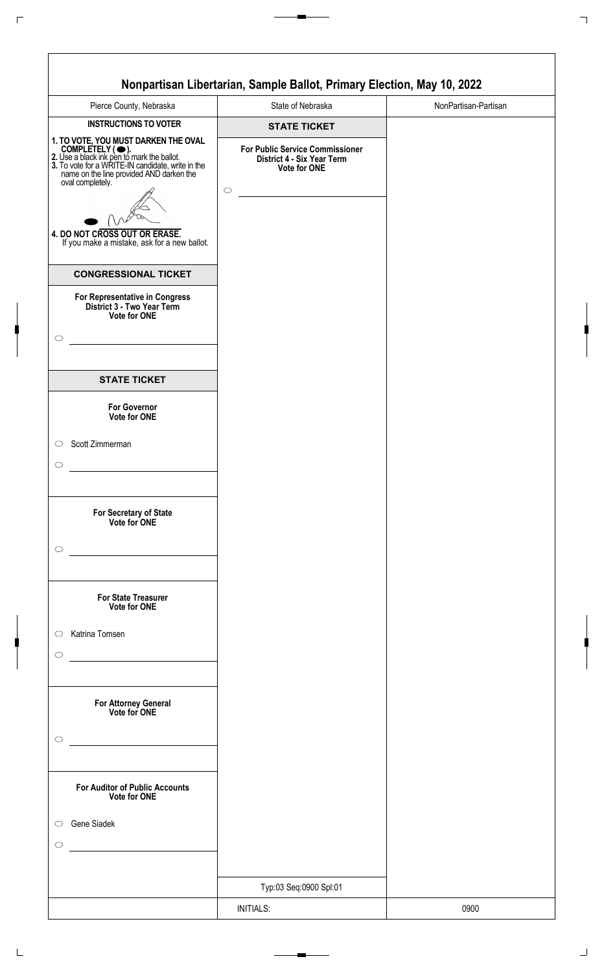|                                                                                                                                                                                                                              | Nonpartisan Libertarian, Sample Ballot, Primary Election, May 10, 2022                      |                      |
|------------------------------------------------------------------------------------------------------------------------------------------------------------------------------------------------------------------------------|---------------------------------------------------------------------------------------------|----------------------|
| Pierce County, Nebraska                                                                                                                                                                                                      | State of Nebraska                                                                           | NonPartisan-Partisan |
| <b>INSTRUCTIONS TO VOTER</b>                                                                                                                                                                                                 | <b>STATE TICKET</b>                                                                         |                      |
| 1. TO VOTE, YOU MUST DARKEN THE OVAL<br>COMPLETELY ( • ).<br>2. Use a black ink pen to mark the ballot.<br>3. To vote for a WRITE-IN candidate, write in the<br>name on the line provided AND darken the<br>oval completely. | <b>For Public Service Commissioner</b><br>District 4 - Six Year Term<br><b>Vote for ONE</b> |                      |
|                                                                                                                                                                                                                              | $\circ$                                                                                     |                      |
|                                                                                                                                                                                                                              |                                                                                             |                      |
| 4. DO NOT CROSS OUT OR ERASE.<br>If you make a mistake, ask for a new ballot.                                                                                                                                                |                                                                                             |                      |
| <b>CONGRESSIONAL TICKET</b>                                                                                                                                                                                                  |                                                                                             |                      |
| For Representative in Congress<br>District 3 - Two Year Term<br>Vote for ONE                                                                                                                                                 |                                                                                             |                      |
|                                                                                                                                                                                                                              |                                                                                             |                      |
| <b>STATE TICKET</b>                                                                                                                                                                                                          |                                                                                             |                      |
| <b>For Governor</b><br>Vote for ONE                                                                                                                                                                                          |                                                                                             |                      |
| Scott Zimmerman                                                                                                                                                                                                              |                                                                                             |                      |
|                                                                                                                                                                                                                              |                                                                                             |                      |
|                                                                                                                                                                                                                              |                                                                                             |                      |
| For Secretary of State<br>Vote for ONE                                                                                                                                                                                       |                                                                                             |                      |
| <u> 1990 - Johann Barbara, martin a</u>                                                                                                                                                                                      |                                                                                             |                      |
|                                                                                                                                                                                                                              |                                                                                             |                      |
| <b>For State Treasurer</b><br>Vote for ONE                                                                                                                                                                                   |                                                                                             |                      |
| Katrina Tomsen<br>$\circ$                                                                                                                                                                                                    |                                                                                             |                      |
|                                                                                                                                                                                                                              |                                                                                             |                      |
|                                                                                                                                                                                                                              |                                                                                             |                      |
|                                                                                                                                                                                                                              |                                                                                             |                      |
| For Attorney General<br>Vote for ONE                                                                                                                                                                                         |                                                                                             |                      |
|                                                                                                                                                                                                                              |                                                                                             |                      |
| <u> 1980 - Johann Barbara, martxa</u>                                                                                                                                                                                        |                                                                                             |                      |
| <b>For Auditor of Public Accounts</b><br>Vote for ONE                                                                                                                                                                        |                                                                                             |                      |
| Gene Siadek<br>$\circ$                                                                                                                                                                                                       |                                                                                             |                      |
| <u> 1989 - Jan Stein Stein Stein Stein Stein Stein Stein Stein Stein Stein Stein Stein Stein Stein Stein Stein S</u>                                                                                                         |                                                                                             |                      |
|                                                                                                                                                                                                                              |                                                                                             |                      |
|                                                                                                                                                                                                                              | Typ:03 Seq:0900 Spl:01                                                                      |                      |
|                                                                                                                                                                                                                              | <b>INITIALS:</b>                                                                            | 0900                 |
|                                                                                                                                                                                                                              |                                                                                             |                      |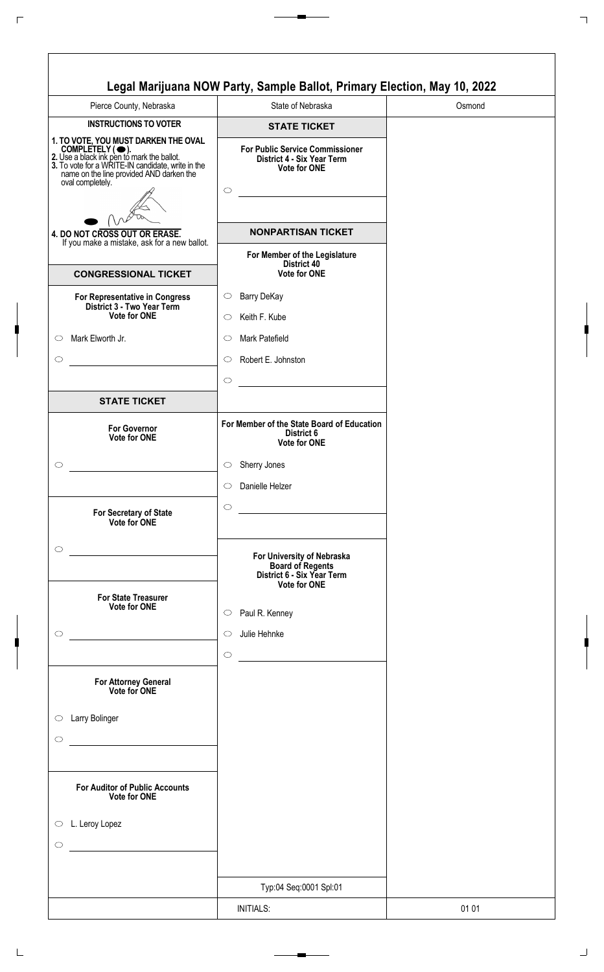| <b>INSTRUCTIONS TO VOTER</b><br><b>STATE TICKET</b><br>1. TO VOTE, YOU MUST DARKEN THE OVAL<br>COMPLETELY ( $\bigcirc$ ).<br>2. Use a black ink pen to mark the ballot.<br>3. To vote for a WRITE-IN candidate, write in the<br>name on the line provided AND darken the<br><b>For Public Service Commissioner</b><br>District 4 - Six Year Term<br><b>Vote for ONE</b><br>oval completely.<br>$\circ$<br><b>NONPARTISAN TICKET</b><br>4. DO NOT CROSS OUT OR ERASE.<br>If you make a mistake, ask for a new ballot.<br>For Member of the Legislature<br>District 40<br><b>Vote for ONE</b><br><b>CONGRESSIONAL TICKET</b><br>Barry DeKay<br>For Representative in Congress<br>$\circ$<br>District 3 - Two Year Term<br>Vote for ONE<br>Keith F. Kube<br>$\circ$<br>Mark Elworth Jr.<br>Mark Patefield<br>O<br>Robert E. Johnston<br>$\circ$<br>$\circ$<br><b>STATE TICKET</b><br>For Member of the State Board of Education<br><b>For Governor</b><br>District 6<br><b>Vote for ONE</b><br><b>Vote for ONE</b><br>Sherry Jones<br>$\circ$<br>Danielle Helzer<br>$\circ$<br>$\circ$<br><u> 1989 - Johann Barbara, martxa a</u><br>For Secretary of State<br>Vote for ONE<br>For University of Nebraska<br><b>Board of Regents</b><br>District 6 - Six Year Term<br><b>Vote for ONE</b><br><b>For State Treasurer</b><br><b>Vote for ONE</b><br>Paul R. Kenney<br>$\circ$<br>Julie Hehnke<br>◯<br>$\circ$<br>For Attorney General<br>Vote for ONE<br>Larry Bolinger<br><b>For Auditor of Public Accounts</b><br>Vote for ONE<br>L. Leroy Lopez | Pierce County, Nebraska | State of Nebraska      | Osmond |
|-----------------------------------------------------------------------------------------------------------------------------------------------------------------------------------------------------------------------------------------------------------------------------------------------------------------------------------------------------------------------------------------------------------------------------------------------------------------------------------------------------------------------------------------------------------------------------------------------------------------------------------------------------------------------------------------------------------------------------------------------------------------------------------------------------------------------------------------------------------------------------------------------------------------------------------------------------------------------------------------------------------------------------------------------------------------------------------------------------------------------------------------------------------------------------------------------------------------------------------------------------------------------------------------------------------------------------------------------------------------------------------------------------------------------------------------------------------------------------------------------------------------------------------------------|-------------------------|------------------------|--------|
|                                                                                                                                                                                                                                                                                                                                                                                                                                                                                                                                                                                                                                                                                                                                                                                                                                                                                                                                                                                                                                                                                                                                                                                                                                                                                                                                                                                                                                                                                                                                               |                         |                        |        |
|                                                                                                                                                                                                                                                                                                                                                                                                                                                                                                                                                                                                                                                                                                                                                                                                                                                                                                                                                                                                                                                                                                                                                                                                                                                                                                                                                                                                                                                                                                                                               |                         |                        |        |
|                                                                                                                                                                                                                                                                                                                                                                                                                                                                                                                                                                                                                                                                                                                                                                                                                                                                                                                                                                                                                                                                                                                                                                                                                                                                                                                                                                                                                                                                                                                                               |                         |                        |        |
|                                                                                                                                                                                                                                                                                                                                                                                                                                                                                                                                                                                                                                                                                                                                                                                                                                                                                                                                                                                                                                                                                                                                                                                                                                                                                                                                                                                                                                                                                                                                               |                         |                        |        |
|                                                                                                                                                                                                                                                                                                                                                                                                                                                                                                                                                                                                                                                                                                                                                                                                                                                                                                                                                                                                                                                                                                                                                                                                                                                                                                                                                                                                                                                                                                                                               |                         |                        |        |
|                                                                                                                                                                                                                                                                                                                                                                                                                                                                                                                                                                                                                                                                                                                                                                                                                                                                                                                                                                                                                                                                                                                                                                                                                                                                                                                                                                                                                                                                                                                                               |                         |                        |        |
|                                                                                                                                                                                                                                                                                                                                                                                                                                                                                                                                                                                                                                                                                                                                                                                                                                                                                                                                                                                                                                                                                                                                                                                                                                                                                                                                                                                                                                                                                                                                               |                         |                        |        |
|                                                                                                                                                                                                                                                                                                                                                                                                                                                                                                                                                                                                                                                                                                                                                                                                                                                                                                                                                                                                                                                                                                                                                                                                                                                                                                                                                                                                                                                                                                                                               |                         |                        |        |
|                                                                                                                                                                                                                                                                                                                                                                                                                                                                                                                                                                                                                                                                                                                                                                                                                                                                                                                                                                                                                                                                                                                                                                                                                                                                                                                                                                                                                                                                                                                                               |                         |                        |        |
|                                                                                                                                                                                                                                                                                                                                                                                                                                                                                                                                                                                                                                                                                                                                                                                                                                                                                                                                                                                                                                                                                                                                                                                                                                                                                                                                                                                                                                                                                                                                               |                         |                        |        |
|                                                                                                                                                                                                                                                                                                                                                                                                                                                                                                                                                                                                                                                                                                                                                                                                                                                                                                                                                                                                                                                                                                                                                                                                                                                                                                                                                                                                                                                                                                                                               |                         |                        |        |
|                                                                                                                                                                                                                                                                                                                                                                                                                                                                                                                                                                                                                                                                                                                                                                                                                                                                                                                                                                                                                                                                                                                                                                                                                                                                                                                                                                                                                                                                                                                                               |                         |                        |        |
|                                                                                                                                                                                                                                                                                                                                                                                                                                                                                                                                                                                                                                                                                                                                                                                                                                                                                                                                                                                                                                                                                                                                                                                                                                                                                                                                                                                                                                                                                                                                               |                         |                        |        |
|                                                                                                                                                                                                                                                                                                                                                                                                                                                                                                                                                                                                                                                                                                                                                                                                                                                                                                                                                                                                                                                                                                                                                                                                                                                                                                                                                                                                                                                                                                                                               |                         |                        |        |
|                                                                                                                                                                                                                                                                                                                                                                                                                                                                                                                                                                                                                                                                                                                                                                                                                                                                                                                                                                                                                                                                                                                                                                                                                                                                                                                                                                                                                                                                                                                                               |                         |                        |        |
|                                                                                                                                                                                                                                                                                                                                                                                                                                                                                                                                                                                                                                                                                                                                                                                                                                                                                                                                                                                                                                                                                                                                                                                                                                                                                                                                                                                                                                                                                                                                               |                         |                        |        |
|                                                                                                                                                                                                                                                                                                                                                                                                                                                                                                                                                                                                                                                                                                                                                                                                                                                                                                                                                                                                                                                                                                                                                                                                                                                                                                                                                                                                                                                                                                                                               |                         |                        |        |
|                                                                                                                                                                                                                                                                                                                                                                                                                                                                                                                                                                                                                                                                                                                                                                                                                                                                                                                                                                                                                                                                                                                                                                                                                                                                                                                                                                                                                                                                                                                                               |                         |                        |        |
|                                                                                                                                                                                                                                                                                                                                                                                                                                                                                                                                                                                                                                                                                                                                                                                                                                                                                                                                                                                                                                                                                                                                                                                                                                                                                                                                                                                                                                                                                                                                               |                         |                        |        |
|                                                                                                                                                                                                                                                                                                                                                                                                                                                                                                                                                                                                                                                                                                                                                                                                                                                                                                                                                                                                                                                                                                                                                                                                                                                                                                                                                                                                                                                                                                                                               |                         |                        |        |
|                                                                                                                                                                                                                                                                                                                                                                                                                                                                                                                                                                                                                                                                                                                                                                                                                                                                                                                                                                                                                                                                                                                                                                                                                                                                                                                                                                                                                                                                                                                                               |                         |                        |        |
|                                                                                                                                                                                                                                                                                                                                                                                                                                                                                                                                                                                                                                                                                                                                                                                                                                                                                                                                                                                                                                                                                                                                                                                                                                                                                                                                                                                                                                                                                                                                               |                         |                        |        |
|                                                                                                                                                                                                                                                                                                                                                                                                                                                                                                                                                                                                                                                                                                                                                                                                                                                                                                                                                                                                                                                                                                                                                                                                                                                                                                                                                                                                                                                                                                                                               |                         |                        |        |
|                                                                                                                                                                                                                                                                                                                                                                                                                                                                                                                                                                                                                                                                                                                                                                                                                                                                                                                                                                                                                                                                                                                                                                                                                                                                                                                                                                                                                                                                                                                                               |                         |                        |        |
|                                                                                                                                                                                                                                                                                                                                                                                                                                                                                                                                                                                                                                                                                                                                                                                                                                                                                                                                                                                                                                                                                                                                                                                                                                                                                                                                                                                                                                                                                                                                               |                         |                        |        |
|                                                                                                                                                                                                                                                                                                                                                                                                                                                                                                                                                                                                                                                                                                                                                                                                                                                                                                                                                                                                                                                                                                                                                                                                                                                                                                                                                                                                                                                                                                                                               |                         |                        |        |
|                                                                                                                                                                                                                                                                                                                                                                                                                                                                                                                                                                                                                                                                                                                                                                                                                                                                                                                                                                                                                                                                                                                                                                                                                                                                                                                                                                                                                                                                                                                                               |                         |                        |        |
|                                                                                                                                                                                                                                                                                                                                                                                                                                                                                                                                                                                                                                                                                                                                                                                                                                                                                                                                                                                                                                                                                                                                                                                                                                                                                                                                                                                                                                                                                                                                               |                         |                        |        |
|                                                                                                                                                                                                                                                                                                                                                                                                                                                                                                                                                                                                                                                                                                                                                                                                                                                                                                                                                                                                                                                                                                                                                                                                                                                                                                                                                                                                                                                                                                                                               |                         |                        |        |
|                                                                                                                                                                                                                                                                                                                                                                                                                                                                                                                                                                                                                                                                                                                                                                                                                                                                                                                                                                                                                                                                                                                                                                                                                                                                                                                                                                                                                                                                                                                                               |                         | Typ:04 Seq:0001 Spl:01 |        |
| <b>INITIALS:</b>                                                                                                                                                                                                                                                                                                                                                                                                                                                                                                                                                                                                                                                                                                                                                                                                                                                                                                                                                                                                                                                                                                                                                                                                                                                                                                                                                                                                                                                                                                                              |                         |                        | 01 01  |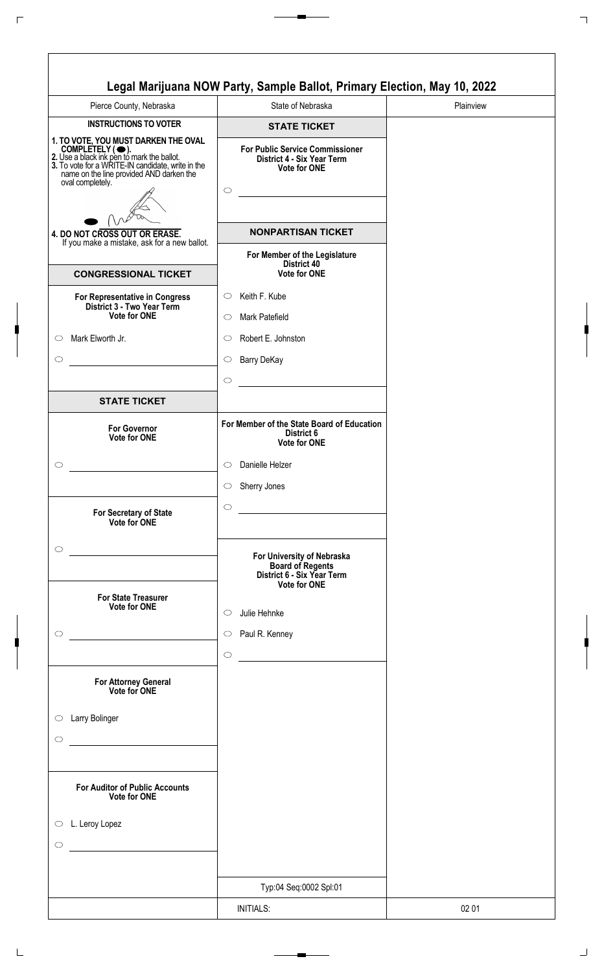| Pierce County, Nebraska                                                       | State of Nebraska                                                                                      |
|-------------------------------------------------------------------------------|--------------------------------------------------------------------------------------------------------|
| <b>INSTRUCTIONS TO VOTER</b>                                                  | <b>STATE TICKET</b>                                                                                    |
| 1. TO VOTE, YOU MUST DARKEN THE OVAL<br>oval completely.                      | <b>For Public Service Commissioner</b><br>District 4 - Six Year Term<br><b>Vote for ONE</b><br>$\circ$ |
|                                                                               | <b>NONPARTISAN TICKET</b>                                                                              |
| 4. DO NOT CROSS OUT OR ERASE.<br>If you make a mistake, ask for a new ballot. | For Member of the Legislature                                                                          |
| <b>CONGRESSIONAL TICKET</b>                                                   | District 40<br>Vote for ONE                                                                            |
| For Representative in Congress<br>District 3 - Two Year Term                  | Keith F. Kube<br>$\circ$                                                                               |
| Vote for ONE                                                                  | Mark Patefield<br>$\circ$                                                                              |
| Mark Elworth Jr.                                                              | Robert E. Johnston<br>$\circ$                                                                          |
|                                                                               | <b>Barry DeKay</b><br>$\circ$                                                                          |
| <b>STATE TICKET</b>                                                           | $\circ$                                                                                                |
|                                                                               | For Member of the State Board of Education                                                             |
| <b>For Governor</b><br><b>Vote for ONE</b>                                    | District 6<br>Vote for ONE                                                                             |
|                                                                               | Danielle Helzer<br>$\circ$                                                                             |
|                                                                               | Sherry Jones<br>$\circ$                                                                                |
| For Secretary of State<br>Vote for ONE                                        | $\circ$<br><u> 1980 - Johann Barnett, fransk politik (</u>                                             |
| $\circ$                                                                       |                                                                                                        |
|                                                                               | For University of Nebraska<br><b>Board of Regents<br/>District 6 - Six Year Term</b>                   |
| <b>For State Treasurer</b><br><b>Vote for ONE</b>                             | <b>Vote for ONE</b>                                                                                    |
| $\circ$                                                                       | Julie Hehnke<br>$\circ$                                                                                |
|                                                                               | Paul R. Kenney<br>$\circ$                                                                              |
|                                                                               | $\circ$                                                                                                |
| For Attorney General<br>Vote for ONE                                          |                                                                                                        |
| Larry Bolinger                                                                |                                                                                                        |
|                                                                               |                                                                                                        |
|                                                                               |                                                                                                        |
| <b>For Auditor of Public Accounts</b><br><b>Vote for ONE</b>                  |                                                                                                        |
| $\circ$ L. Leroy Lopez                                                        |                                                                                                        |
|                                                                               |                                                                                                        |
|                                                                               |                                                                                                        |
|                                                                               | Typ:04 Seq:0002 Spl:01                                                                                 |
|                                                                               | <b>INITIALS:</b>                                                                                       |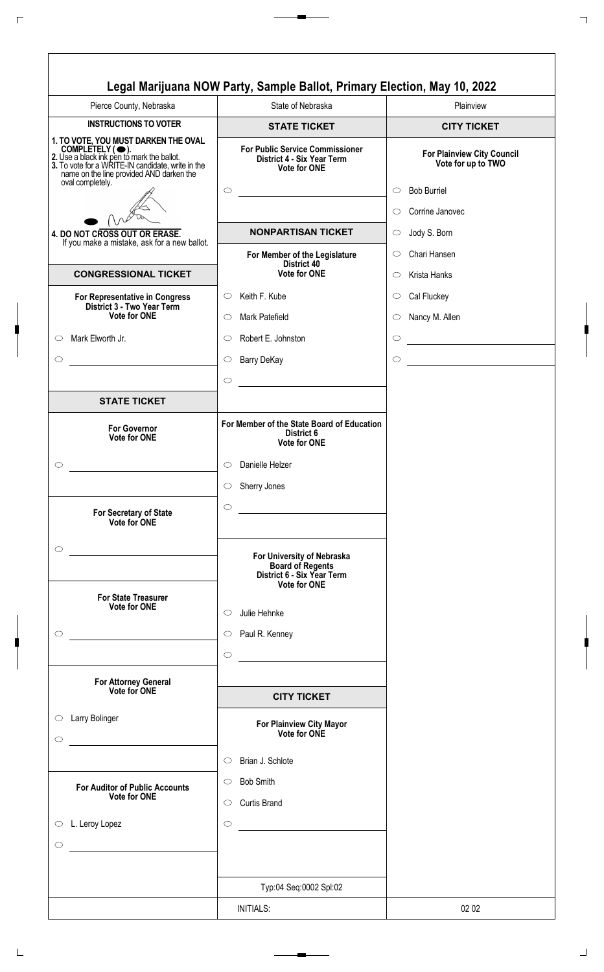| Pierce County, Nebraska                                                                                                                                                                                | State of Nebraska                                                                                                                 | Plainview                                        |
|--------------------------------------------------------------------------------------------------------------------------------------------------------------------------------------------------------|-----------------------------------------------------------------------------------------------------------------------------------|--------------------------------------------------|
| <b>INSTRUCTIONS TO VOTER</b>                                                                                                                                                                           | <b>STATE TICKET</b>                                                                                                               | <b>CITY TICKET</b>                               |
| 1. TO VOTE, YOU MUST DARKEN THE OVAL<br>COMPLETELY (O).<br>2. Use a black ink pen to mark the ballot.<br>3. To vote for a WRITE-IN candidate, write in the<br>name on the line provided AND darken the | <b>For Public Service Commissioner</b><br>District 4 - Six Year Term<br><b>Vote for ONE</b>                                       | For Plainview City Council<br>Vote for up to TWO |
| oval completely.                                                                                                                                                                                       | $\circ$                                                                                                                           | <b>Bob Burriel</b><br>$\circ$                    |
|                                                                                                                                                                                                        |                                                                                                                                   | Corrine Janovec<br>$\circ$                       |
| 4. DO NOT CROSS OUT OR ERASE.                                                                                                                                                                          | <b>NONPARTISAN TICKET</b>                                                                                                         | Jody S. Born<br>$\circ$                          |
| If you make a mistake, ask for a new ballot.                                                                                                                                                           | For Member of the Legislature                                                                                                     | Chari Hansen<br>$\circlearrowright$              |
| <b>CONGRESSIONAL TICKET</b>                                                                                                                                                                            | <b>District 40</b><br><b>Vote for ONE</b>                                                                                         | Krista Hanks<br>$\circ$                          |
| <b>For Representative in Congress</b>                                                                                                                                                                  | Keith F. Kube<br>$\circ$                                                                                                          | Cal Fluckey<br>$\circ$                           |
| District 3 - Two Year Term<br>Vote for ONE                                                                                                                                                             | Mark Patefield<br>$\circ$                                                                                                         | Nancy M. Allen<br>$\circ$                        |
| Mark Elworth Jr.                                                                                                                                                                                       | Robert E. Johnston<br>$\circ$                                                                                                     | $\circlearrowright$                              |
| $\circlearrowright$                                                                                                                                                                                    |                                                                                                                                   | $\circ$                                          |
| $\circ$                                                                                                                                                                                                | <b>Barry DeKay</b><br>$\circ$                                                                                                     | <u> 1989 - Johann Barbara, martxa a</u>          |
|                                                                                                                                                                                                        | $\bigcirc$                                                                                                                        |                                                  |
| <b>STATE TICKET</b>                                                                                                                                                                                    |                                                                                                                                   |                                                  |
| <b>For Governor</b><br><b>Vote for ONE</b>                                                                                                                                                             | For Member of the State Board of Education<br>District 6<br><b>Vote for ONE</b>                                                   |                                                  |
|                                                                                                                                                                                                        | Danielle Helzer<br>$\circ$                                                                                                        |                                                  |
|                                                                                                                                                                                                        | Sherry Jones<br>$\circ$                                                                                                           |                                                  |
| For Secretary of State<br>Vote for ONE                                                                                                                                                                 | $\circ$<br><u> 1989 - Johann Barn, mars eta bainar eta idazlea (</u>                                                              |                                                  |
| $\circlearrowright$                                                                                                                                                                                    | For University of Nebraska<br><b>Board of Regents</b><br>District 6 - Six Year Term<br><b>Vote for ONE</b>                        |                                                  |
| <b>For State Treasurer</b><br>Vote for ONE                                                                                                                                                             |                                                                                                                                   |                                                  |
|                                                                                                                                                                                                        | Julie Hehnke<br>$\circ$                                                                                                           |                                                  |
| $\circlearrowright$                                                                                                                                                                                    | $\circ$ Paul R. Kenney                                                                                                            |                                                  |
|                                                                                                                                                                                                        | $\bigcirc$                                                                                                                        |                                                  |
| <b>For Attorney General</b><br>Vote for ONE                                                                                                                                                            |                                                                                                                                   |                                                  |
|                                                                                                                                                                                                        | <b>CITY TICKET</b>                                                                                                                |                                                  |
| Larry Bolinger<br>$\circ$<br>$\circlearrowright$                                                                                                                                                       | For Plainview City Mayor<br>Vote for ONE                                                                                          |                                                  |
|                                                                                                                                                                                                        | Brian J. Schlote<br>$\circ$                                                                                                       |                                                  |
| <b>For Auditor of Public Accounts</b>                                                                                                                                                                  | <b>Bob Smith</b><br>$\circ$                                                                                                       |                                                  |
| <b>Vote for ONE</b>                                                                                                                                                                                    | <b>Curtis Brand</b><br>$\circ$                                                                                                    |                                                  |
| L. Leroy Lopez<br>$\bigcirc$                                                                                                                                                                           | $\circ$<br><u> 1980 - Jan Barbara Barat, prima popular popular popular popular popular popular popular popular popular popula</u> |                                                  |
|                                                                                                                                                                                                        |                                                                                                                                   |                                                  |
| $\circ$                                                                                                                                                                                                |                                                                                                                                   |                                                  |
|                                                                                                                                                                                                        |                                                                                                                                   |                                                  |
|                                                                                                                                                                                                        | Typ:04 Seq:0002 Spl:02                                                                                                            |                                                  |
|                                                                                                                                                                                                        | <b>INITIALS:</b>                                                                                                                  | 02 02                                            |

 $\Gamma$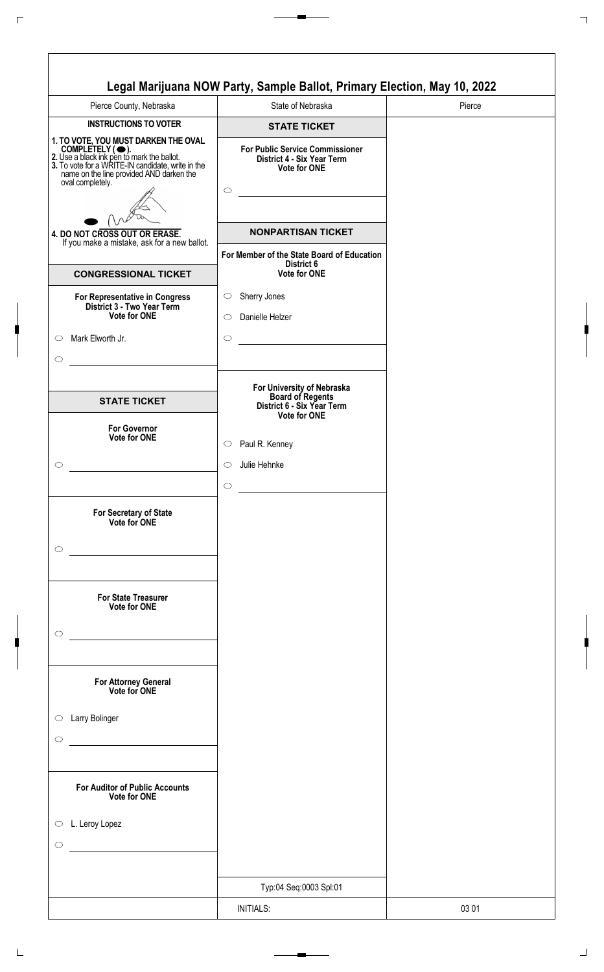| Pierce County, Nebraska                                                                                                                                                                                                    | State of Nebraska                                                                                      | Pierce |
|----------------------------------------------------------------------------------------------------------------------------------------------------------------------------------------------------------------------------|--------------------------------------------------------------------------------------------------------|--------|
| <b>INSTRUCTIONS TO VOTER</b>                                                                                                                                                                                               | <b>STATE TICKET</b>                                                                                    |        |
| 1. TO VOTE, YOU MUST DARKEN THE OVAL<br>COMPLETELY (C).<br>2. Use a black ink pen to mark the ballot.<br>3. To vote for a WRITE-IN candidate, write in the<br>name on the line provided AND darken the<br>oval completely. | <b>For Public Service Commissioner</b><br>District 4 - Six Year Term<br><b>Vote for ONE</b><br>$\circ$ |        |
|                                                                                                                                                                                                                            |                                                                                                        |        |
| 4. DO NOT CROSS OUT OR ERASE.<br>If you make a mistake, ask for a new ballot.                                                                                                                                              | <b>NONPARTISAN TICKET</b>                                                                              |        |
|                                                                                                                                                                                                                            | For Member of the State Board of Education<br>District 6                                               |        |
| <b>CONGRESSIONAL TICKET</b>                                                                                                                                                                                                | Vote for ONE                                                                                           |        |
| For Representative in Congress<br>District 3 - Two Year Term<br><b>Vote for ONE</b>                                                                                                                                        | Sherry Jones<br>$\circ$<br>Danielle Helzer<br>◯                                                        |        |
| Mark Elworth Jr.                                                                                                                                                                                                           | $\circ$                                                                                                |        |
| <b>STATE TICKET</b>                                                                                                                                                                                                        | For University of Nebraska<br>Board of Regents                                                         |        |
|                                                                                                                                                                                                                            | District 6 - Six Year Term<br><b>Vote for ONE</b>                                                      |        |
| <b>For Governor</b><br>Vote for ONE                                                                                                                                                                                        | Paul R. Kenney<br>$\circ$                                                                              |        |
|                                                                                                                                                                                                                            | Julie Hehnke<br>$\circlearrowright$                                                                    |        |
|                                                                                                                                                                                                                            | $\circlearrowright$                                                                                    |        |
| For Secretary of State<br>Vote for ONE                                                                                                                                                                                     |                                                                                                        |        |
| <b>For State Treasurer</b>                                                                                                                                                                                                 |                                                                                                        |        |
| Vote for ONE                                                                                                                                                                                                               |                                                                                                        |        |
| For Attorney General<br>Vote for ONE                                                                                                                                                                                       |                                                                                                        |        |
| Larry Bolinger                                                                                                                                                                                                             |                                                                                                        |        |
| <b>For Auditor of Public Accounts</b><br>Vote for ONE                                                                                                                                                                      |                                                                                                        |        |
| L. Leroy Lopez                                                                                                                                                                                                             |                                                                                                        |        |
|                                                                                                                                                                                                                            | Typ:04 Seq:0003 Spl:01                                                                                 |        |
|                                                                                                                                                                                                                            |                                                                                                        |        |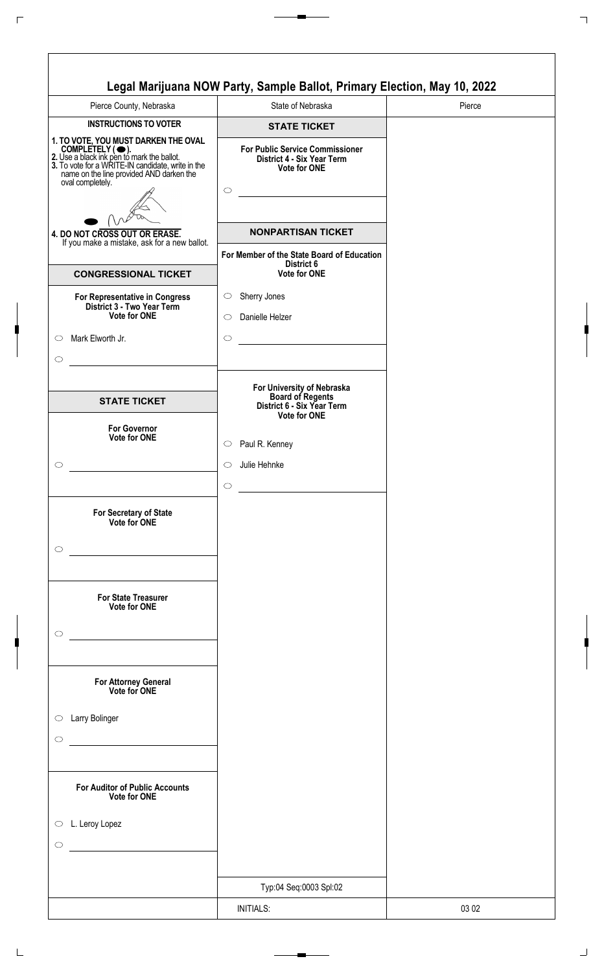| Pierce County, Nebraska                                                                                                                                                                                                    | State of Nebraska                                                                                      | Pierce |
|----------------------------------------------------------------------------------------------------------------------------------------------------------------------------------------------------------------------------|--------------------------------------------------------------------------------------------------------|--------|
| <b>INSTRUCTIONS TO VOTER</b>                                                                                                                                                                                               | <b>STATE TICKET</b>                                                                                    |        |
| 1. TO VOTE, YOU MUST DARKEN THE OVAL<br>COMPLETELY (C).<br>2. Use a black ink pen to mark the ballot.<br>3. To vote for a WRITE-IN candidate, write in the<br>name on the line provided AND darken the<br>oval completely. | <b>For Public Service Commissioner</b><br>District 4 - Six Year Term<br><b>Vote for ONE</b><br>$\circ$ |        |
| 4. DO NOT CROSS OUT OR ERASE.                                                                                                                                                                                              | <b>NONPARTISAN TICKET</b>                                                                              |        |
| If you make a mistake, ask for a new ballot.                                                                                                                                                                               | For Member of the State Board of Education                                                             |        |
| <b>CONGRESSIONAL TICKET</b>                                                                                                                                                                                                | District 6<br>Vote for ONE                                                                             |        |
| For Representative in Congress<br>District 3 - Two Year Term<br><b>Vote for ONE</b>                                                                                                                                        | Sherry Jones<br>$\circlearrowright$<br>Danielle Helzer<br>◯                                            |        |
| Mark Elworth Jr.                                                                                                                                                                                                           | $\circ$                                                                                                |        |
| <b>STATE TICKET</b>                                                                                                                                                                                                        | For University of Nebraska<br>Board of Regents<br>District 6 - Six Year Term<br><b>Vote for ONE</b>    |        |
| <b>For Governor</b><br>Vote for ONE                                                                                                                                                                                        | Paul R. Kenney<br>$\circ$                                                                              |        |
|                                                                                                                                                                                                                            | Julie Hehnke<br>$\circlearrowright$                                                                    |        |
| For Secretary of State<br>Vote for ONE                                                                                                                                                                                     | $\circlearrowright$                                                                                    |        |
| <b>For State Treasurer</b><br>Vote for ONE                                                                                                                                                                                 |                                                                                                        |        |
| For Attorney General<br>Vote for ONE                                                                                                                                                                                       |                                                                                                        |        |
| Larry Bolinger                                                                                                                                                                                                             |                                                                                                        |        |
| <b>For Auditor of Public Accounts</b><br>Vote for ONE                                                                                                                                                                      |                                                                                                        |        |
| L. Leroy Lopez                                                                                                                                                                                                             |                                                                                                        |        |
|                                                                                                                                                                                                                            |                                                                                                        |        |
|                                                                                                                                                                                                                            | Typ:04 Seq:0003 Spl:02                                                                                 |        |
|                                                                                                                                                                                                                            | <b>INITIALS:</b>                                                                                       | 03 02  |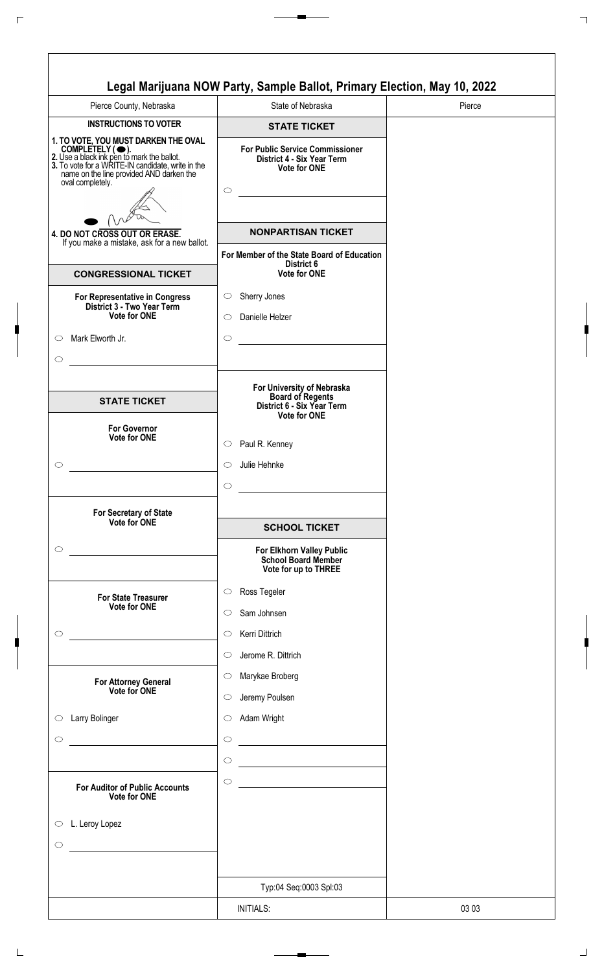| Pierce County, Nebraska                                                                                                                                                                                                    | State of Nebraska                                                                           | Pierce |
|----------------------------------------------------------------------------------------------------------------------------------------------------------------------------------------------------------------------------|---------------------------------------------------------------------------------------------|--------|
| <b>INSTRUCTIONS TO VOTER</b>                                                                                                                                                                                               | <b>STATE TICKET</b>                                                                         |        |
| 1. TO VOTE, YOU MUST DARKEN THE OVAL<br>COMPLETELY (C).<br>2. Use a black ink pen to mark the ballot.<br>3. To vote for a WRITE-IN candidate, write in the<br>name on the line provided AND darken the<br>oval completely. | <b>For Public Service Commissioner</b><br>District 4 - Six Year Term<br><b>Vote for ONE</b> |        |
|                                                                                                                                                                                                                            | $\circ$                                                                                     |        |
|                                                                                                                                                                                                                            |                                                                                             |        |
| 4. DO NOT CROSS OUT OR ERASE.<br>If you make a mistake, ask for a new ballot.                                                                                                                                              | <b>NONPARTISAN TICKET</b>                                                                   |        |
|                                                                                                                                                                                                                            | For Member of the State Board of Education<br>District 6                                    |        |
| <b>CONGRESSIONAL TICKET</b>                                                                                                                                                                                                | <b>Vote for ONE</b>                                                                         |        |
| For Representative in Congress<br>District 3 - Two Year Term                                                                                                                                                               | Sherry Jones<br>$\circ$                                                                     |        |
| Vote for ONE                                                                                                                                                                                                               | Danielle Helzer<br>$\circ$                                                                  |        |
| Mark Elworth Jr.                                                                                                                                                                                                           | $\circ$                                                                                     |        |
|                                                                                                                                                                                                                            |                                                                                             |        |
| <b>STATE TICKET</b>                                                                                                                                                                                                        | For University of Nebraska<br><b>Board of Regents</b><br>District 6 - Six Year Term         |        |
| <b>For Governor</b>                                                                                                                                                                                                        | <b>Vote for ONE</b>                                                                         |        |
| Vote for ONE                                                                                                                                                                                                               | Paul R. Kenney<br>$\circ$                                                                   |        |
|                                                                                                                                                                                                                            | Julie Hehnke<br>O                                                                           |        |
|                                                                                                                                                                                                                            | $\bigcirc$                                                                                  |        |
| For Secretary of State                                                                                                                                                                                                     |                                                                                             |        |
| Vote for ONE                                                                                                                                                                                                               | <b>SCHOOL TICKET</b>                                                                        |        |
|                                                                                                                                                                                                                            | For Elkhorn Valley Public<br>School Board Member<br>Vote for up to THREE                    |        |
| <b>For State Treasurer</b>                                                                                                                                                                                                 | Ross Tegeler<br>$\circlearrowright$                                                         |        |
| Vote for ONE                                                                                                                                                                                                               | Sam Johnsen<br>O                                                                            |        |
|                                                                                                                                                                                                                            | Kerri Dittrich<br>$\circ$                                                                   |        |
|                                                                                                                                                                                                                            | Jerome R. Dittrich<br>$\circ$                                                               |        |
| For Attorney General<br>Vote for ONE                                                                                                                                                                                       | Marykae Broberg<br>$\circ$                                                                  |        |
|                                                                                                                                                                                                                            | Jeremy Poulsen<br>$\circlearrowright$                                                       |        |
| Larry Bolinger                                                                                                                                                                                                             | Adam Wright<br>$\circ$                                                                      |        |
| $\mathcal{L}^{\mathcal{L}}(\mathcal{L}^{\mathcal{L}})$ and $\mathcal{L}^{\mathcal{L}}(\mathcal{L}^{\mathcal{L}})$ . In the contract of $\mathcal{L}^{\mathcal{L}}$                                                         | $\circ$<br><u> 1980 - Johann Barbara, martxa al</u>                                         |        |
|                                                                                                                                                                                                                            | $\circ$                                                                                     |        |
| <b>For Auditor of Public Accounts</b><br>Vote for ONE                                                                                                                                                                      | $\circ$                                                                                     |        |
| L. Leroy Lopez                                                                                                                                                                                                             |                                                                                             |        |
|                                                                                                                                                                                                                            |                                                                                             |        |
|                                                                                                                                                                                                                            |                                                                                             |        |
|                                                                                                                                                                                                                            | Typ:04 Seq:0003 Spl:03                                                                      |        |
|                                                                                                                                                                                                                            | <b>INITIALS:</b>                                                                            | 03 03  |
|                                                                                                                                                                                                                            |                                                                                             |        |

 $\sqrt{2}$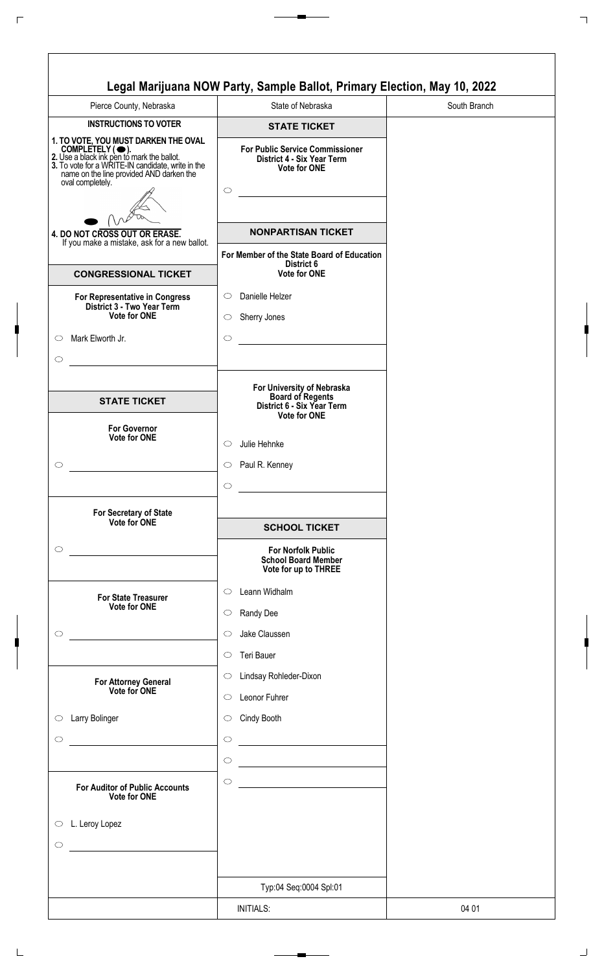| Pierce County, Nebraska                                      | State of Nebraska                                                                                   | South Branch |
|--------------------------------------------------------------|-----------------------------------------------------------------------------------------------------|--------------|
| <b>INSTRUCTIONS TO VOTER</b>                                 | <b>STATE TICKET</b>                                                                                 |              |
| 1. TO VOTE, YOU MUST DARKEN THE OVAL<br>oval completely.     | <b>For Public Service Commissioner</b><br>District 4 - Six Year Term<br><b>Vote for ONE</b>         |              |
|                                                              | $\circ$                                                                                             |              |
|                                                              |                                                                                                     |              |
| 4. DO NOT CROSS OUT OR ERASE.                                | <b>NONPARTISAN TICKET</b>                                                                           |              |
| If you make a mistake, ask for a new ballot.                 | For Member of the State Board of Education                                                          |              |
| <b>CONGRESSIONAL TICKET</b>                                  | District 6<br>Vote for ONE                                                                          |              |
| For Representative in Congress                               | Danielle Helzer<br>$\circ$                                                                          |              |
| District 3 - Two Year Term<br>Vote for ONE                   | Sherry Jones<br>$\circ$                                                                             |              |
| Mark Elworth Jr.                                             | $\circ$                                                                                             |              |
|                                                              |                                                                                                     |              |
|                                                              |                                                                                                     |              |
| <b>STATE TICKET</b>                                          | For University of Nebraska<br><b>Board of Regents</b><br>District 6 - Six Year Term<br>Vote for ONE |              |
| <b>For Governor</b><br>Vote for ONE                          |                                                                                                     |              |
|                                                              | Julie Hehnke<br>O                                                                                   |              |
|                                                              | Paul R. Kenney<br>O                                                                                 |              |
|                                                              | $\circ$                                                                                             |              |
| For Secretary of State                                       |                                                                                                     |              |
| Vote for ONE                                                 | <b>SCHOOL TICKET</b>                                                                                |              |
| <u> 1980 - Johann Barbara, martxa al</u>                     | <b>For Norfolk Public</b><br><b>School Board Member</b><br>Vote for up to THREE                     |              |
| <b>For State Treasurer</b>                                   | Leann Widhalm<br>◯                                                                                  |              |
| <b>Vote for ONE</b>                                          | Randy Dee<br>$\circ$                                                                                |              |
|                                                              | Jake Claussen<br>$\circ$                                                                            |              |
|                                                              | Teri Bauer<br>$\circ$                                                                               |              |
|                                                              | Lindsay Rohleder-Dixon<br>$\circlearrowright$                                                       |              |
| For Attorney General<br>Vote for ONE                         | Leonor Fuhrer<br>$\circ$                                                                            |              |
|                                                              |                                                                                                     |              |
| Larry Bolinger                                               | Cindy Booth<br>$\circ$                                                                              |              |
|                                                              | $\circ$<br><u> 1980 - Johann Barbara, martxa al</u>                                                 |              |
|                                                              | $\circ$<br><u> 1989 - Johann Barn, mars eta bainar eta idazlea (</u>                                |              |
| <b>For Auditor of Public Accounts</b><br><b>Vote for ONE</b> | $\circ$                                                                                             |              |
| $\circ$ L. Leroy Lopez                                       |                                                                                                     |              |
|                                                              |                                                                                                     |              |
|                                                              |                                                                                                     |              |
|                                                              |                                                                                                     |              |
|                                                              | Typ:04 Seq:0004 Spl:01                                                                              |              |
|                                                              | <b>INITIALS:</b>                                                                                    | 04 01        |

 $\sqrt{2}$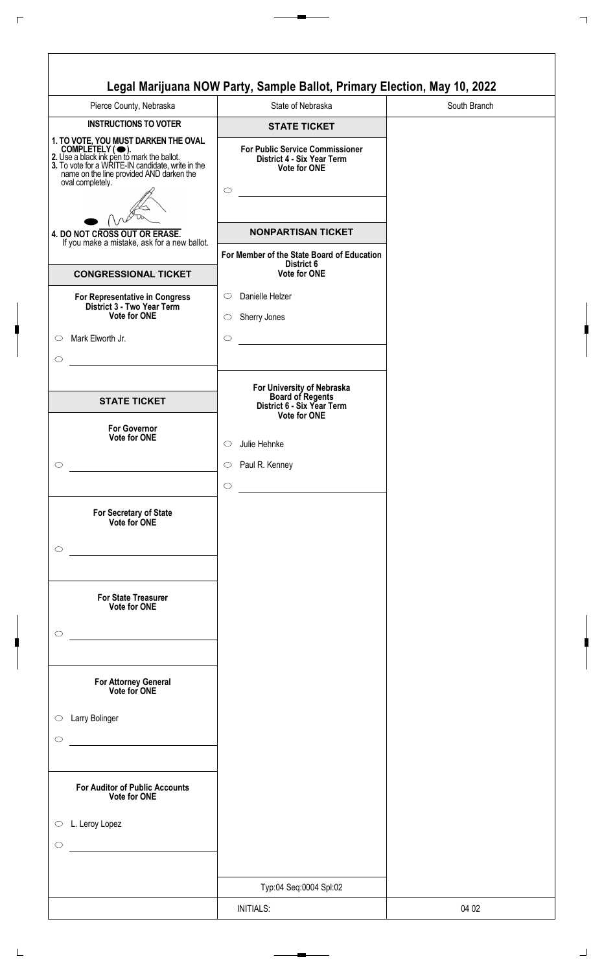| Pierce County, Nebraska                                                                                                                                                                                                    | State of Nebraska                                                                                         | South Branch |
|----------------------------------------------------------------------------------------------------------------------------------------------------------------------------------------------------------------------------|-----------------------------------------------------------------------------------------------------------|--------------|
| <b>INSTRUCTIONS TO VOTER</b>                                                                                                                                                                                               | <b>STATE TICKET</b>                                                                                       |              |
| 1. TO VOTE, YOU MUST DARKEN THE OVAL<br>COMPLETELY (C).<br>2. Use a black ink pen to mark the ballot.<br>3. To vote for a WRITE-IN candidate, write in the<br>hame on the line provided AND darken the<br>oval completely. | <b>For Public Service Commissioner</b><br>District 4 - Six Year Term<br><b>Vote for ONE</b><br>$\bigcirc$ |              |
|                                                                                                                                                                                                                            |                                                                                                           |              |
| 4. DO NOT CROSS OUT OR ERASE.<br>If you make a mistake, ask for a new ballot.                                                                                                                                              | <b>NONPARTISAN TICKET</b>                                                                                 |              |
| <b>CONGRESSIONAL TICKET</b>                                                                                                                                                                                                | For Member of the State Board of Education<br>District 6<br><b>Vote for ONE</b>                           |              |
|                                                                                                                                                                                                                            | Danielle Helzer<br>$\circ$                                                                                |              |
| For Representative in Congress<br>District 3 - Two Year Term<br><b>Vote for ONE</b>                                                                                                                                        | Sherry Jones<br>$\circ$                                                                                   |              |
| Mark Elworth Jr.                                                                                                                                                                                                           | $\circ$                                                                                                   |              |
|                                                                                                                                                                                                                            |                                                                                                           |              |
| <b>STATE TICKET</b>                                                                                                                                                                                                        | For University of Nebraska<br>Board of Regents<br>District 6 - Six Year Term                              |              |
| <b>For Governor</b><br><b>Vote for ONE</b>                                                                                                                                                                                 | <b>Vote for ONE</b>                                                                                       |              |
|                                                                                                                                                                                                                            | Julie Hehnke<br>$\circ$                                                                                   |              |
|                                                                                                                                                                                                                            | Paul R. Kenney<br>O<br>$\circ$                                                                            |              |
| For Secretary of State<br>Vote for ONE                                                                                                                                                                                     |                                                                                                           |              |
|                                                                                                                                                                                                                            |                                                                                                           |              |
| <b>For State Treasurer</b><br>Vote for ONE                                                                                                                                                                                 |                                                                                                           |              |
|                                                                                                                                                                                                                            |                                                                                                           |              |
| For Attorney General<br>Vote for ONE                                                                                                                                                                                       |                                                                                                           |              |
| Larry Bolinger                                                                                                                                                                                                             |                                                                                                           |              |
|                                                                                                                                                                                                                            |                                                                                                           |              |
| <b>For Auditor of Public Accounts</b>                                                                                                                                                                                      |                                                                                                           |              |
| Vote for ONE                                                                                                                                                                                                               |                                                                                                           |              |
| L. Leroy Lopez                                                                                                                                                                                                             |                                                                                                           |              |
|                                                                                                                                                                                                                            |                                                                                                           |              |
|                                                                                                                                                                                                                            | Typ:04 Seq:0004 Spl:02                                                                                    |              |
|                                                                                                                                                                                                                            | <b>INITIALS:</b>                                                                                          | 04 02        |

┓

L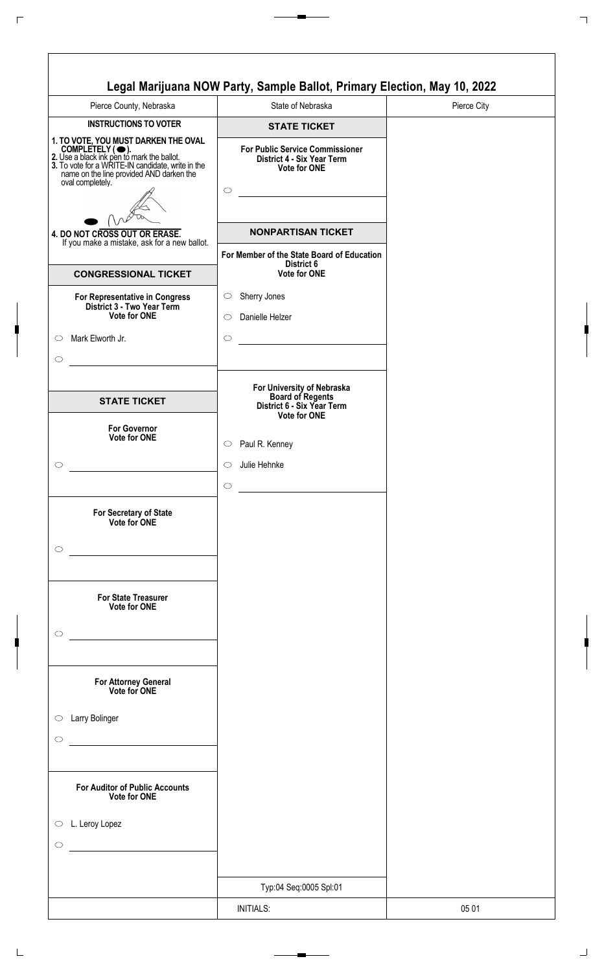| Pierce County, Nebraska                                                                                                                                                                                                    | State of Nebraska                                                                                         | Pierce City |
|----------------------------------------------------------------------------------------------------------------------------------------------------------------------------------------------------------------------------|-----------------------------------------------------------------------------------------------------------|-------------|
| <b>INSTRUCTIONS TO VOTER</b>                                                                                                                                                                                               | <b>STATE TICKET</b>                                                                                       |             |
| 1. TO VOTE, YOU MUST DARKEN THE OVAL<br>COMPLETELY (C).<br>2. Use a black ink pen to mark the ballot.<br>3. To vote for a WRITE-IN candidate, write in the<br>hame on the line provided AND darken the<br>oval completely. | <b>For Public Service Commissioner</b><br>District 4 - Six Year Term<br><b>Vote for ONE</b><br>$\bigcirc$ |             |
| 4. DO NOT CROSS OUT OR ERASE.                                                                                                                                                                                              | <b>NONPARTISAN TICKET</b>                                                                                 |             |
| If you make a mistake, ask for a new ballot.                                                                                                                                                                               | For Member of the State Board of Education                                                                |             |
| <b>CONGRESSIONAL TICKET</b>                                                                                                                                                                                                | District 6<br><b>Vote for ONE</b>                                                                         |             |
| For Representative in Congress<br>District 3 - Two Year Term<br><b>Vote for ONE</b>                                                                                                                                        | Sherry Jones<br>$\circ$<br>Danielle Helzer<br>$\circ$                                                     |             |
| Mark Elworth Jr.                                                                                                                                                                                                           | $\circ$                                                                                                   |             |
| <b>STATE TICKET</b>                                                                                                                                                                                                        | For University of Nebraska<br>Board of Regents<br>District 6 - Six Year Term<br><b>Vote for ONE</b>       |             |
| <b>For Governor</b><br><b>Vote for ONE</b>                                                                                                                                                                                 | Paul R. Kenney<br>$\circ$                                                                                 |             |
|                                                                                                                                                                                                                            | Julie Hehnke<br>◯                                                                                         |             |
| For Secretary of State<br>Vote for ONE                                                                                                                                                                                     | $\circ$                                                                                                   |             |
| <b>For State Treasurer</b><br>Vote for ONE                                                                                                                                                                                 |                                                                                                           |             |
| For Attorney General<br>Vote for ONE                                                                                                                                                                                       |                                                                                                           |             |
| Larry Bolinger                                                                                                                                                                                                             |                                                                                                           |             |
| <b>For Auditor of Public Accounts</b><br>Vote for ONE                                                                                                                                                                      |                                                                                                           |             |
| L. Leroy Lopez<br>$\circ$                                                                                                                                                                                                  |                                                                                                           |             |
|                                                                                                                                                                                                                            | Typ:04 Seq:0005 Spl:01                                                                                    |             |
|                                                                                                                                                                                                                            |                                                                                                           |             |
|                                                                                                                                                                                                                            | <b>INITIALS:</b>                                                                                          | 05 01       |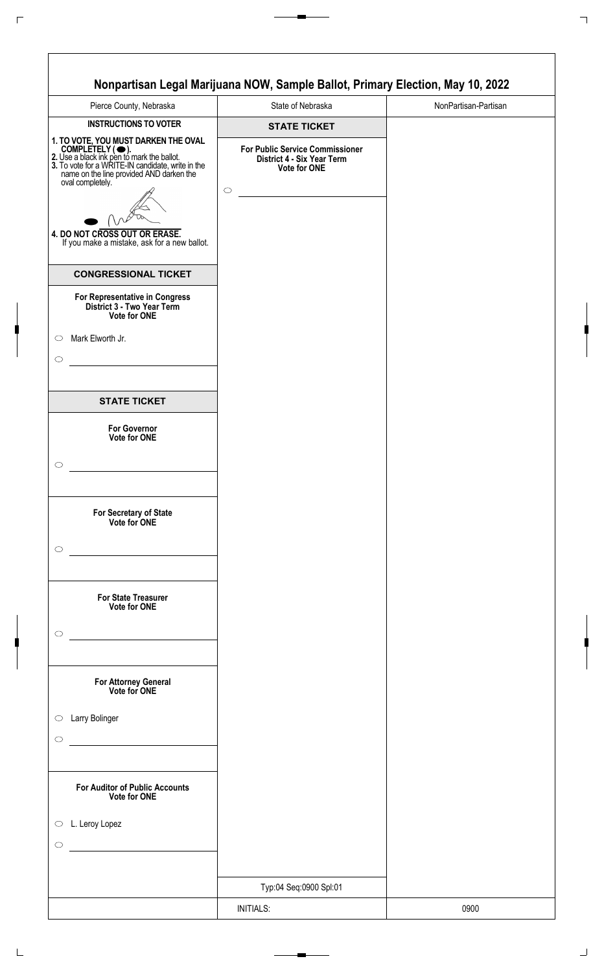| Pierce County, Nebraska                                                                                                                                                                                                     | State of Nebraska                                                                           | NonPartisan-Partisan |
|-----------------------------------------------------------------------------------------------------------------------------------------------------------------------------------------------------------------------------|---------------------------------------------------------------------------------------------|----------------------|
| <b>INSTRUCTIONS TO VOTER</b>                                                                                                                                                                                                | <b>STATE TICKET</b>                                                                         |                      |
| 1. TO VOTE, YOU MUST DARKEN THE OVAL<br>COMPLETELY ( •).<br>2. Use a black ink pen to mark the ballot.<br>3. To vote for a WRITE-IN candidate, write in the<br>name on the line provided AND darken the<br>oval completely. | <b>For Public Service Commissioner</b><br>District 4 - Six Year Term<br><b>Vote for ONE</b> |                      |
| 4. DO NOT CROSS OUT OR ERASE.<br>If you make a mistake, ask for a new ballot.                                                                                                                                               | $\circ$                                                                                     |                      |
| <b>CONGRESSIONAL TICKET</b>                                                                                                                                                                                                 |                                                                                             |                      |
| For Representative in Congress<br>District 3 - Two Year Term<br>Vote for ONE                                                                                                                                                |                                                                                             |                      |
| Mark Elworth Jr.<br>$\circ$<br>$\circ$                                                                                                                                                                                      |                                                                                             |                      |
| <b>STATE TICKET</b>                                                                                                                                                                                                         |                                                                                             |                      |
| <b>For Governor</b><br>Vote for ONE                                                                                                                                                                                         |                                                                                             |                      |
| O                                                                                                                                                                                                                           |                                                                                             |                      |
| For Secretary of State<br>Vote for ONE<br>$\circ$                                                                                                                                                                           |                                                                                             |                      |
| <b>For State Treasurer</b><br>Vote for ONE<br>$\circ$<br><u> 1980 - Andrea Station, amerikansk politik (</u>                                                                                                                |                                                                                             |                      |
| For Attorney General<br>Vote for ONE                                                                                                                                                                                        |                                                                                             |                      |
| Larry Bolinger<br>$\circ$<br>$\circ$                                                                                                                                                                                        |                                                                                             |                      |
| <b>For Auditor of Public Accounts</b><br>Vote for ONE                                                                                                                                                                       |                                                                                             |                      |
| L. Leroy Lopez<br>$\circ$<br>$\circ$                                                                                                                                                                                        |                                                                                             |                      |
|                                                                                                                                                                                                                             |                                                                                             |                      |
|                                                                                                                                                                                                                             | Typ:04 Seq:0900 Spl:01                                                                      |                      |
|                                                                                                                                                                                                                             | <b>INITIALS:</b>                                                                            | 0900                 |

ן

 $\sqrt{2}$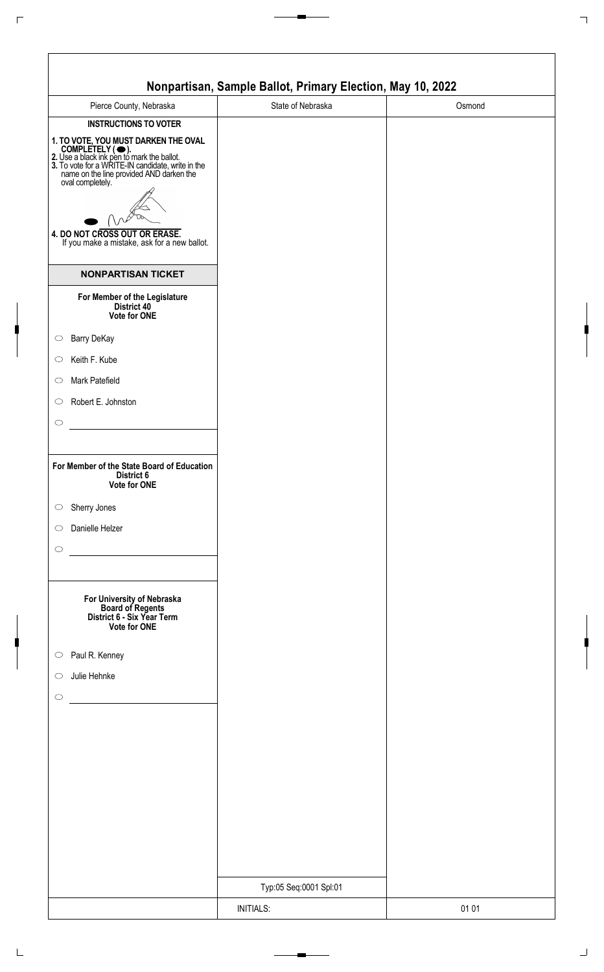|                                                                                                                                                                                                                                                                                                              | Nonpartisan, Sample Ballot, Primary Election, May 10, 2022 |        |
|--------------------------------------------------------------------------------------------------------------------------------------------------------------------------------------------------------------------------------------------------------------------------------------------------------------|------------------------------------------------------------|--------|
| Pierce County, Nebraska                                                                                                                                                                                                                                                                                      | State of Nebraska                                          | Osmond |
| <b>INSTRUCTIONS TO VOTER</b>                                                                                                                                                                                                                                                                                 |                                                            |        |
| 1. TO VOTE, YOU MUST DARKEN THE OVAL<br>COMPLETELY ( •).<br>2. Use a black ink pen to mark the ballot.<br>3. To vote for a WRITE-IN candidate, write in the<br>name on the line provided AND darken the<br>oval completely.<br>4. DO NOT CROSS OUT OR ERASE.<br>If you make a mistake, ask for a new ballot. |                                                            |        |
| <b>NONPARTISAN TICKET</b>                                                                                                                                                                                                                                                                                    |                                                            |        |
| For Member of the Legislature<br>District 40<br>Vote for ONE                                                                                                                                                                                                                                                 |                                                            |        |
| Barry DeKay<br>$\circ$                                                                                                                                                                                                                                                                                       |                                                            |        |
| Keith F. Kube<br>$\circ$                                                                                                                                                                                                                                                                                     |                                                            |        |
| Mark Patefield<br>$\circ$                                                                                                                                                                                                                                                                                    |                                                            |        |
| Robert E. Johnston<br>$\circ$                                                                                                                                                                                                                                                                                |                                                            |        |
| $\circ$                                                                                                                                                                                                                                                                                                      |                                                            |        |
| For Member of the State Board of Education<br>District 6<br>Vote for ONE                                                                                                                                                                                                                                     |                                                            |        |
| Sherry Jones<br>$\bigcirc$                                                                                                                                                                                                                                                                                   |                                                            |        |
| Danielle Helzer<br>$\circ$                                                                                                                                                                                                                                                                                   |                                                            |        |
| $\circ$                                                                                                                                                                                                                                                                                                      |                                                            |        |
| For University of Nebraska<br>Board of Regents<br>District 6 - Six Year Term<br>Vote for ONE                                                                                                                                                                                                                 |                                                            |        |
| Paul R. Kenney<br>$\circ$                                                                                                                                                                                                                                                                                    |                                                            |        |
| Julie Hehnke<br>$\circ$                                                                                                                                                                                                                                                                                      |                                                            |        |
| $\circ$                                                                                                                                                                                                                                                                                                      |                                                            |        |
|                                                                                                                                                                                                                                                                                                              |                                                            |        |
|                                                                                                                                                                                                                                                                                                              |                                                            |        |
|                                                                                                                                                                                                                                                                                                              |                                                            |        |
|                                                                                                                                                                                                                                                                                                              |                                                            |        |
|                                                                                                                                                                                                                                                                                                              |                                                            |        |
|                                                                                                                                                                                                                                                                                                              |                                                            |        |
|                                                                                                                                                                                                                                                                                                              |                                                            |        |
|                                                                                                                                                                                                                                                                                                              | Typ:05 Seq:0001 Spl:01                                     |        |
|                                                                                                                                                                                                                                                                                                              | <b>INITIALS:</b>                                           | 01 01  |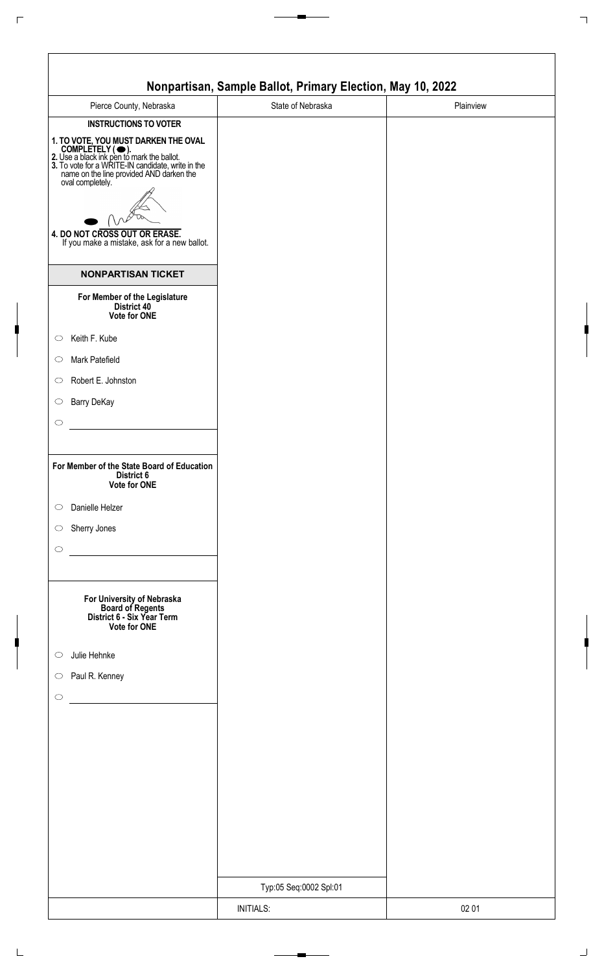|                                                                                                                                                                                                                                                                                                                                              | Nonpartisan, Sample Ballot, Primary Election, May 10, 2022 |           |
|----------------------------------------------------------------------------------------------------------------------------------------------------------------------------------------------------------------------------------------------------------------------------------------------------------------------------------------------|------------------------------------------------------------|-----------|
| Pierce County, Nebraska                                                                                                                                                                                                                                                                                                                      | State of Nebraska                                          | Plainview |
| <b>INSTRUCTIONS TO VOTER</b><br>1. TO VOTE, YOU MUST DARKEN THE OVAL<br>COMPLETELY ( •).<br>2. Use a black ink pen to mark the ballot.<br>3. To vote for a WRITE-IN candidate, write in the<br>name on the line provided AND darken the<br>oval completely.<br>4. DO NOT CROSS OUT OR ERASE.<br>If you make a mistake, ask for a new ballot. |                                                            |           |
| <b>NONPARTISAN TICKET</b>                                                                                                                                                                                                                                                                                                                    |                                                            |           |
| For Member of the Legislature<br>District 40<br>Vote for ONE                                                                                                                                                                                                                                                                                 |                                                            |           |
| Keith F. Kube<br>$\circ$                                                                                                                                                                                                                                                                                                                     |                                                            |           |
| Mark Patefield<br>$\circ$                                                                                                                                                                                                                                                                                                                    |                                                            |           |
| Robert E. Johnston<br>$\circ$                                                                                                                                                                                                                                                                                                                |                                                            |           |
| Barry DeKay<br>$\circ$                                                                                                                                                                                                                                                                                                                       |                                                            |           |
| $\circ$                                                                                                                                                                                                                                                                                                                                      |                                                            |           |
| For Member of the State Board of Education<br>District 6<br>Vote for ONE<br>Danielle Helzer<br>$\circ$<br>Sherry Jones<br>$\circ$                                                                                                                                                                                                            |                                                            |           |
| $\circ$                                                                                                                                                                                                                                                                                                                                      |                                                            |           |
| For University of Nebraska<br>Board of Regents<br>District 6 - Six Year Term<br>Vote for ONE                                                                                                                                                                                                                                                 |                                                            |           |
| Julie Hehnke<br>$\circ$                                                                                                                                                                                                                                                                                                                      |                                                            |           |
| Paul R. Kenney<br>$\bigcirc$                                                                                                                                                                                                                                                                                                                 |                                                            |           |
| $\circ$                                                                                                                                                                                                                                                                                                                                      |                                                            |           |
|                                                                                                                                                                                                                                                                                                                                              |                                                            |           |
|                                                                                                                                                                                                                                                                                                                                              |                                                            |           |
|                                                                                                                                                                                                                                                                                                                                              |                                                            |           |
|                                                                                                                                                                                                                                                                                                                                              |                                                            |           |
|                                                                                                                                                                                                                                                                                                                                              |                                                            |           |
|                                                                                                                                                                                                                                                                                                                                              |                                                            |           |
|                                                                                                                                                                                                                                                                                                                                              |                                                            |           |
|                                                                                                                                                                                                                                                                                                                                              | Typ:05 Seq:0002 Spl:01                                     |           |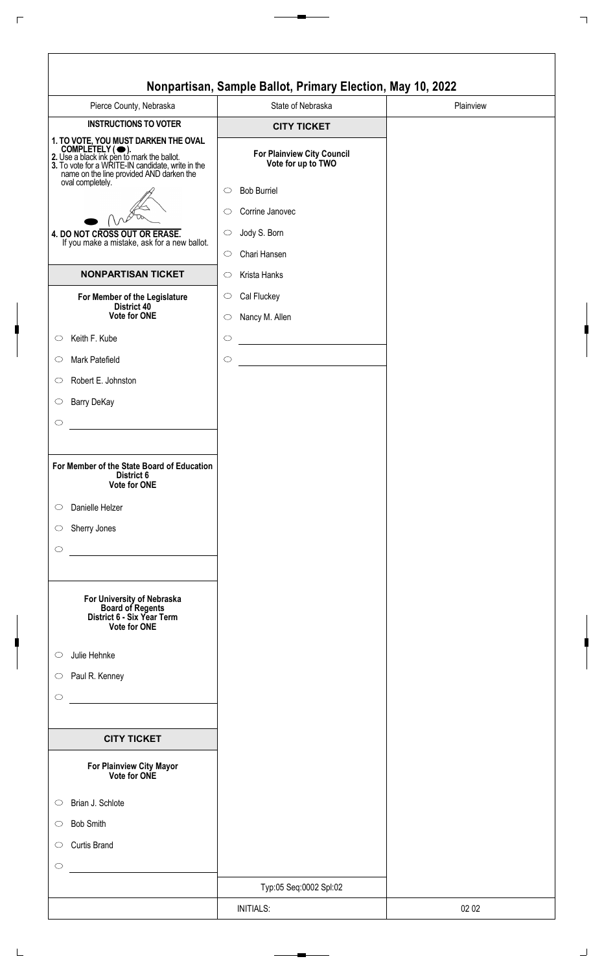| Pierce County, Nebraska                                                                                                                                                                                                                                                                                                                                                                                                                                                                                                                                                                                                                                                | State of Nebraska                                                                                                                                                                                                                                    | Plainview |
|------------------------------------------------------------------------------------------------------------------------------------------------------------------------------------------------------------------------------------------------------------------------------------------------------------------------------------------------------------------------------------------------------------------------------------------------------------------------------------------------------------------------------------------------------------------------------------------------------------------------------------------------------------------------|------------------------------------------------------------------------------------------------------------------------------------------------------------------------------------------------------------------------------------------------------|-----------|
| <b>INSTRUCTIONS TO VOTER</b>                                                                                                                                                                                                                                                                                                                                                                                                                                                                                                                                                                                                                                           | <b>CITY TICKET</b>                                                                                                                                                                                                                                   |           |
| 1. TO VOTE, YOU MUST DARKEN THE OVAL<br>COMPLETELY ( $\bigcirc$ ).<br>2. Use a black ink pen to mark the ballot.<br>3. To vote for a WRITE-IN candidate, write in the<br>name on the line provided AND darken the<br>oval completely.                                                                                                                                                                                                                                                                                                                                                                                                                                  | For Plainview City Council<br>Vote for up to TWO                                                                                                                                                                                                     |           |
| 4. DO NOT CROSS OUT OR ERASE.<br>If you make a mistake, ask for a new ballot.<br><b>NONPARTISAN TICKET</b><br>For Member of the Legislature<br>District 40<br><b>Vote for ONE</b><br>Keith F. Kube<br>Mark Patefield<br>Robert E. Johnston<br><b>Barry DeKay</b><br>For Member of the State Board of Education<br>District 6<br>Vote for ONE<br>Danielle Helzer<br>Sherry Jones<br>For University of Nebraska<br><b>Board of Regents</b><br>District 6 - Six Year Term<br>Vote for ONE<br>Julie Hehnke<br>Paul R. Kenney<br><u> 1990 - Jan Stein Stein Stein Stein Stein Stein Stein Stein Stein Stein Stein Stein Stein Stein Stein Stein S</u><br><b>CITY TICKET</b> | <b>Bob Burriel</b><br>$\circ$<br>Corrine Janovec<br>$\bigcirc$<br>Jody S. Born<br>$\circ$<br>Chari Hansen<br>$\circ$<br>Krista Hanks<br>$\circ$<br>Cal Fluckey<br>$\circlearrowright$<br>Nancy M. Allen<br>$\circ$<br>$\circlearrowright$<br>$\circ$ |           |
| For Plainview City Mayor<br>Vote for ONE                                                                                                                                                                                                                                                                                                                                                                                                                                                                                                                                                                                                                               |                                                                                                                                                                                                                                                      |           |
|                                                                                                                                                                                                                                                                                                                                                                                                                                                                                                                                                                                                                                                                        |                                                                                                                                                                                                                                                      |           |
| Brian J. Schlote                                                                                                                                                                                                                                                                                                                                                                                                                                                                                                                                                                                                                                                       |                                                                                                                                                                                                                                                      |           |
| <b>Bob Smith</b>                                                                                                                                                                                                                                                                                                                                                                                                                                                                                                                                                                                                                                                       |                                                                                                                                                                                                                                                      |           |
| <b>Curtis Brand</b>                                                                                                                                                                                                                                                                                                                                                                                                                                                                                                                                                                                                                                                    |                                                                                                                                                                                                                                                      |           |
|                                                                                                                                                                                                                                                                                                                                                                                                                                                                                                                                                                                                                                                                        |                                                                                                                                                                                                                                                      |           |
|                                                                                                                                                                                                                                                                                                                                                                                                                                                                                                                                                                                                                                                                        | Typ:05 Seq:0002 Spl:02                                                                                                                                                                                                                               |           |
|                                                                                                                                                                                                                                                                                                                                                                                                                                                                                                                                                                                                                                                                        | <b>INITIALS:</b>                                                                                                                                                                                                                                     | 02 02     |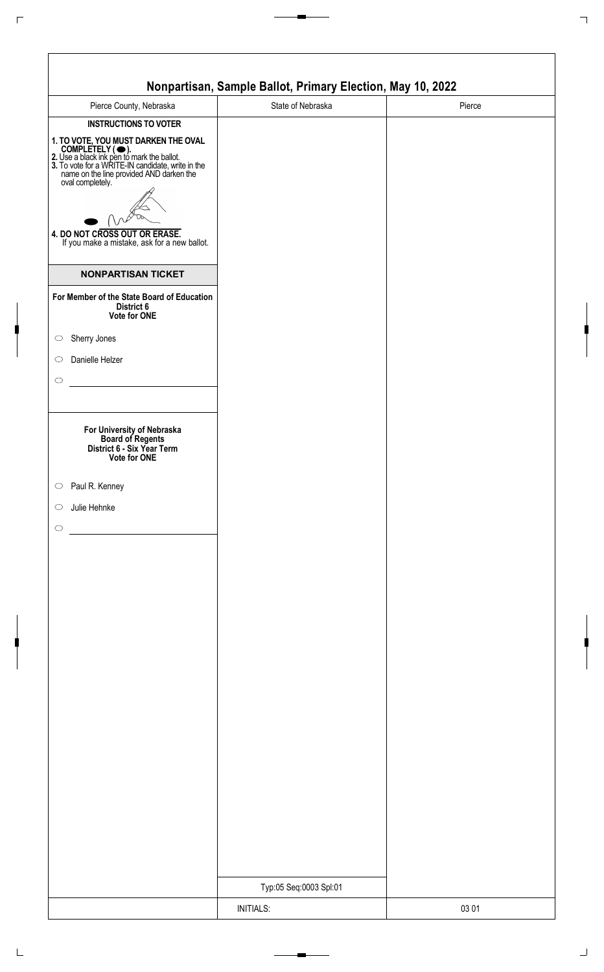|                                                                                                                                                                                                                                                                                                                                               | Nonpartisan, Sample Ballot, Primary Election, May 10, 2022 |        |
|-----------------------------------------------------------------------------------------------------------------------------------------------------------------------------------------------------------------------------------------------------------------------------------------------------------------------------------------------|------------------------------------------------------------|--------|
| Pierce County, Nebraska                                                                                                                                                                                                                                                                                                                       | State of Nebraska                                          | Pierce |
| <b>INSTRUCTIONS TO VOTER</b><br>1. TO VOTE, YOU MUST DARKEN THE OVAL<br>COMPLETELY ( • ).<br>2. Use a black ink pen to mark the ballot.<br>3. To vote for a WRITE-IN candidate, write in the<br>name on the line provided AND darken the<br>oval completely.<br>4. DO NOT CROSS OUT OR ERASE.<br>If you make a mistake, ask for a new ballot. |                                                            |        |
| <b>NONPARTISAN TICKET</b>                                                                                                                                                                                                                                                                                                                     |                                                            |        |
| For Member of the State Board of Education<br>District 6<br>Vote for ONE                                                                                                                                                                                                                                                                      |                                                            |        |
| Sherry Jones                                                                                                                                                                                                                                                                                                                                  |                                                            |        |
| Danielle Helzer                                                                                                                                                                                                                                                                                                                               |                                                            |        |
| For University of Nebraska<br>Board of Regents<br>District 6 - Six Year Term<br>Vote for ONE                                                                                                                                                                                                                                                  |                                                            |        |
| Paul R. Kenney                                                                                                                                                                                                                                                                                                                                |                                                            |        |
| Julie Hehnke                                                                                                                                                                                                                                                                                                                                  |                                                            |        |
|                                                                                                                                                                                                                                                                                                                                               |                                                            |        |
|                                                                                                                                                                                                                                                                                                                                               |                                                            |        |
|                                                                                                                                                                                                                                                                                                                                               |                                                            |        |
|                                                                                                                                                                                                                                                                                                                                               |                                                            |        |
|                                                                                                                                                                                                                                                                                                                                               |                                                            |        |
|                                                                                                                                                                                                                                                                                                                                               |                                                            |        |
|                                                                                                                                                                                                                                                                                                                                               |                                                            |        |
|                                                                                                                                                                                                                                                                                                                                               |                                                            |        |
|                                                                                                                                                                                                                                                                                                                                               |                                                            |        |
|                                                                                                                                                                                                                                                                                                                                               |                                                            |        |
|                                                                                                                                                                                                                                                                                                                                               |                                                            |        |
|                                                                                                                                                                                                                                                                                                                                               |                                                            |        |
|                                                                                                                                                                                                                                                                                                                                               |                                                            |        |
|                                                                                                                                                                                                                                                                                                                                               |                                                            |        |
|                                                                                                                                                                                                                                                                                                                                               |                                                            |        |
|                                                                                                                                                                                                                                                                                                                                               |                                                            |        |
|                                                                                                                                                                                                                                                                                                                                               | Typ:05 Seq:0003 Spl:01                                     |        |
|                                                                                                                                                                                                                                                                                                                                               | <b>INITIALS:</b>                                           | 03 01  |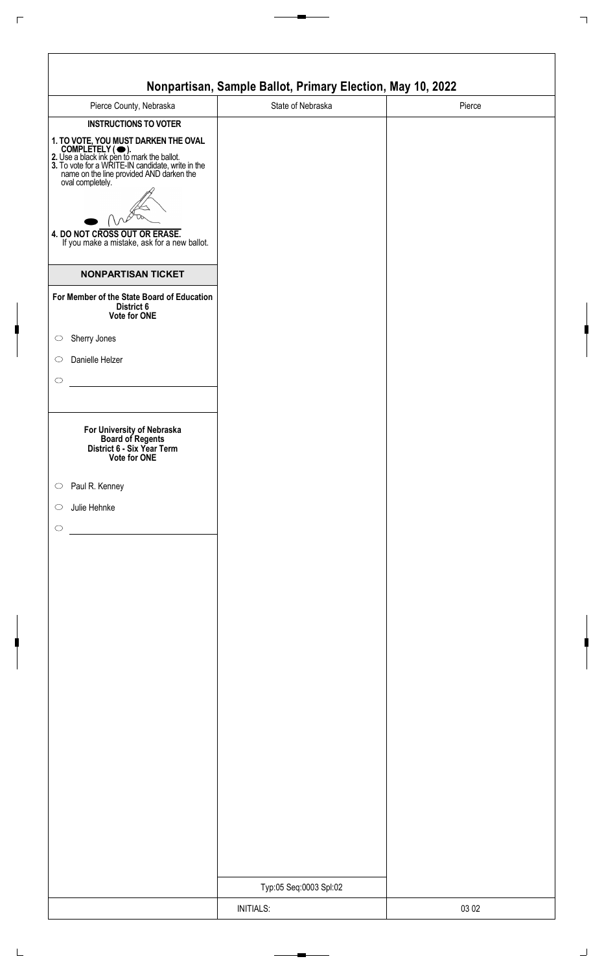|                                                                                                                                                                                                                                                                                                                                               | Nonpartisan, Sample Ballot, Primary Election, May 10, 2022 |        |
|-----------------------------------------------------------------------------------------------------------------------------------------------------------------------------------------------------------------------------------------------------------------------------------------------------------------------------------------------|------------------------------------------------------------|--------|
| Pierce County, Nebraska                                                                                                                                                                                                                                                                                                                       | State of Nebraska                                          | Pierce |
| <b>INSTRUCTIONS TO VOTER</b><br>1. TO VOTE, YOU MUST DARKEN THE OVAL<br>COMPLETELY ( • ).<br>2. Use a black ink pen to mark the ballot.<br>3. To vote for a WRITE-IN candidate, write in the<br>name on the line provided AND darken the<br>oval completely.<br>4. DO NOT CROSS OUT OR ERASE.<br>If you make a mistake, ask for a new ballot. |                                                            |        |
| <b>NONPARTISAN TICKET</b>                                                                                                                                                                                                                                                                                                                     |                                                            |        |
| For Member of the State Board of Education<br>District 6<br>Vote for ONE                                                                                                                                                                                                                                                                      |                                                            |        |
| Sherry Jones                                                                                                                                                                                                                                                                                                                                  |                                                            |        |
| Danielle Helzer                                                                                                                                                                                                                                                                                                                               |                                                            |        |
| For University of Nebraska<br>Board of Regents<br>District 6 - Six Year Term<br>Vote for ONE                                                                                                                                                                                                                                                  |                                                            |        |
| Paul R. Kenney                                                                                                                                                                                                                                                                                                                                |                                                            |        |
| Julie Hehnke                                                                                                                                                                                                                                                                                                                                  |                                                            |        |
|                                                                                                                                                                                                                                                                                                                                               |                                                            |        |
|                                                                                                                                                                                                                                                                                                                                               |                                                            |        |
|                                                                                                                                                                                                                                                                                                                                               |                                                            |        |
|                                                                                                                                                                                                                                                                                                                                               |                                                            |        |
|                                                                                                                                                                                                                                                                                                                                               |                                                            |        |
|                                                                                                                                                                                                                                                                                                                                               |                                                            |        |
|                                                                                                                                                                                                                                                                                                                                               |                                                            |        |
|                                                                                                                                                                                                                                                                                                                                               |                                                            |        |
|                                                                                                                                                                                                                                                                                                                                               |                                                            |        |
|                                                                                                                                                                                                                                                                                                                                               |                                                            |        |
|                                                                                                                                                                                                                                                                                                                                               |                                                            |        |
|                                                                                                                                                                                                                                                                                                                                               |                                                            |        |
|                                                                                                                                                                                                                                                                                                                                               |                                                            |        |
|                                                                                                                                                                                                                                                                                                                                               |                                                            |        |
|                                                                                                                                                                                                                                                                                                                                               |                                                            |        |
|                                                                                                                                                                                                                                                                                                                                               |                                                            |        |
|                                                                                                                                                                                                                                                                                                                                               | Typ:05 Seq:0003 Spl:02                                     |        |
|                                                                                                                                                                                                                                                                                                                                               | <b>INITIALS:</b>                                           | 03 02  |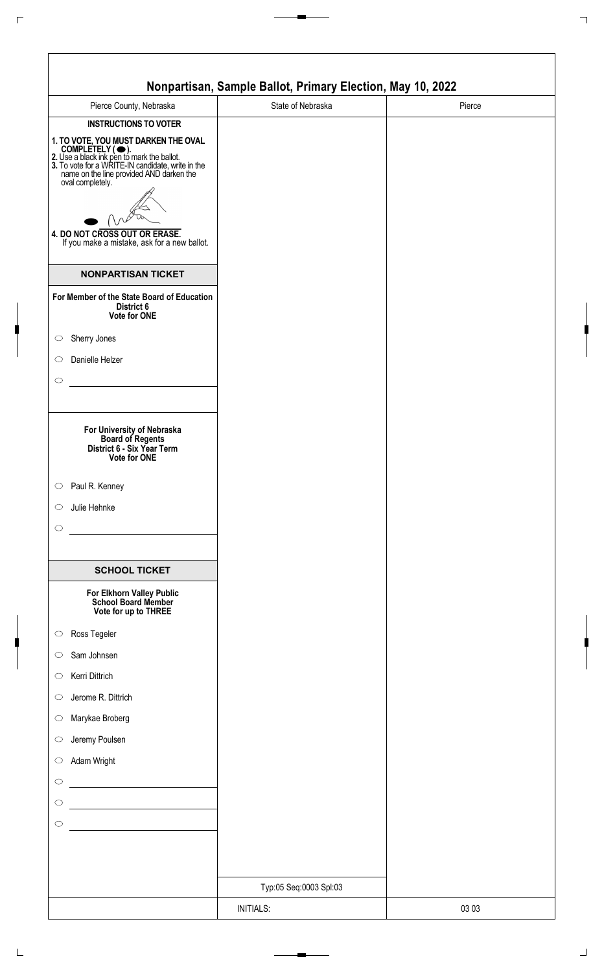|                                                                                                                                                                                                                                                                                                                        | Nonpartisan, Sample Ballot, Primary Election, May 10, 2022 |        |
|------------------------------------------------------------------------------------------------------------------------------------------------------------------------------------------------------------------------------------------------------------------------------------------------------------------------|------------------------------------------------------------|--------|
| Pierce County, Nebraska                                                                                                                                                                                                                                                                                                | State of Nebraska                                          | Pierce |
| <b>INSTRUCTIONS TO VOTER</b>                                                                                                                                                                                                                                                                                           |                                                            |        |
| 1. TO VOTE, YOU MUST DARKEN THE OVAL<br>COMPLETELY ( $\bigcirc$ ).<br>2. Use a black ink pen to mark the ballot.<br>3. To vote for a WRITE-IN candidate, write in the<br>name on the line provided AND darken the<br>oval completely.<br>4. DO NOT CROSS OUT OR ERASE.<br>If you make a mistake, ask for a new ballot. |                                                            |        |
| <b>NONPARTISAN TICKET</b>                                                                                                                                                                                                                                                                                              |                                                            |        |
| For Member of the State Board of Education<br>District 6<br>Vote for ONE                                                                                                                                                                                                                                               |                                                            |        |
| Sherry Jones<br>$\circ$                                                                                                                                                                                                                                                                                                |                                                            |        |
| Danielle Helzer<br>$\circ$                                                                                                                                                                                                                                                                                             |                                                            |        |
| $\circ$                                                                                                                                                                                                                                                                                                                |                                                            |        |
| For University of Nebraska<br>Board of Regents<br>District 6 - Six Year Term<br>Vote for ONE                                                                                                                                                                                                                           |                                                            |        |
| Paul R. Kenney<br>$\circ$                                                                                                                                                                                                                                                                                              |                                                            |        |
| Julie Hehnke<br>$\circlearrowright$                                                                                                                                                                                                                                                                                    |                                                            |        |
| $\circ$                                                                                                                                                                                                                                                                                                                |                                                            |        |
| <b>SCHOOL TICKET</b>                                                                                                                                                                                                                                                                                                   |                                                            |        |
| For Elkhorn Valley Public<br>School Board Member<br>Vote for up to THREE                                                                                                                                                                                                                                               |                                                            |        |
| Ross Tegeler<br>$\circ$                                                                                                                                                                                                                                                                                                |                                                            |        |
| Sam Johnsen<br>$\circ$                                                                                                                                                                                                                                                                                                 |                                                            |        |
| Kerri Dittrich<br>$\circ$                                                                                                                                                                                                                                                                                              |                                                            |        |
| Jerome R. Dittrich<br>$\circ$                                                                                                                                                                                                                                                                                          |                                                            |        |
| Marykae Broberg<br>$\circ$                                                                                                                                                                                                                                                                                             |                                                            |        |
| Jeremy Poulsen<br>$\circ$                                                                                                                                                                                                                                                                                              |                                                            |        |
| Adam Wright<br>$\bigcirc$                                                                                                                                                                                                                                                                                              |                                                            |        |
| $\circ$<br>$\circ$                                                                                                                                                                                                                                                                                                     |                                                            |        |
| <u>and the community of the community of the community of the community of the community of the community of the community of the community of the community of the community of the community of the community of the community</u><br>$\circ$                                                                        |                                                            |        |
|                                                                                                                                                                                                                                                                                                                        |                                                            |        |
|                                                                                                                                                                                                                                                                                                                        |                                                            |        |
|                                                                                                                                                                                                                                                                                                                        | Typ:05 Seq:0003 Spl:03                                     |        |
|                                                                                                                                                                                                                                                                                                                        | <b>INITIALS:</b>                                           | 03 03  |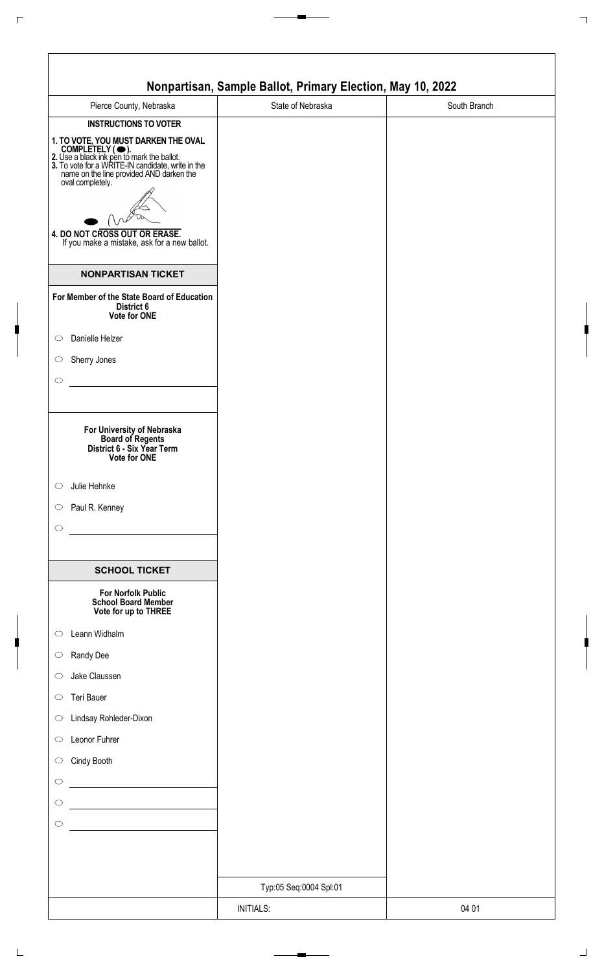| Pierce County, Nebraska                                                                                                                                                                                                     | State of Nebraska      | South Branch |
|-----------------------------------------------------------------------------------------------------------------------------------------------------------------------------------------------------------------------------|------------------------|--------------|
| <b>INSTRUCTIONS TO VOTER</b>                                                                                                                                                                                                |                        |              |
| 1. TO VOTE, YOU MUST DARKEN THE OVAL<br>COMPLETELY ( •).<br>2. Use a black ink pen to mark the ballot.<br>3. To vote for a WRITE-IN candidate, write in the<br>name on the line provided AND darken the<br>oval completely. |                        |              |
| 4. DO NOT CROSS OUT OR ERASE.<br>If you make a mistake, ask for a new ballot.                                                                                                                                               |                        |              |
| <b>NONPARTISAN TICKET</b>                                                                                                                                                                                                   |                        |              |
| For Member of the State Board of Education<br>District 6<br>Vote for ONE                                                                                                                                                    |                        |              |
| Danielle Helzer<br>$\circ$                                                                                                                                                                                                  |                        |              |
| Sherry Jones<br>$\circ$<br>$\circ$                                                                                                                                                                                          |                        |              |
| For University of Nebraska<br>Board of Regents<br>District 6 - Six Year Term<br>Vote for ONE                                                                                                                                |                        |              |
| Julie Hehnke<br>$\circ$                                                                                                                                                                                                     |                        |              |
| Paul R. Kenney<br>$\circ$                                                                                                                                                                                                   |                        |              |
| $\bigcirc$                                                                                                                                                                                                                  |                        |              |
| <b>SCHOOL TICKET</b>                                                                                                                                                                                                        |                        |              |
| <b>For Norfolk Public</b><br><b>School Board Member</b><br>Vote for up to THREE                                                                                                                                             |                        |              |
| Leann Widhalm<br>$\circ$                                                                                                                                                                                                    |                        |              |
| Randy Dee<br>$\circ$                                                                                                                                                                                                        |                        |              |
| Jake Claussen<br>$\circ$                                                                                                                                                                                                    |                        |              |
| Teri Bauer<br>$\circ$<br>Lindsay Rohleder-Dixon<br>$\circ$                                                                                                                                                                  |                        |              |
| Leonor Fuhrer<br>$\circ$                                                                                                                                                                                                    |                        |              |
| Cindy Booth<br>$\bigcirc$                                                                                                                                                                                                   |                        |              |
| $\circ$                                                                                                                                                                                                                     |                        |              |
| $\circ$                                                                                                                                                                                                                     |                        |              |
| $\circ$                                                                                                                                                                                                                     |                        |              |
|                                                                                                                                                                                                                             |                        |              |
|                                                                                                                                                                                                                             | Typ:05 Seq:0004 Spl:01 |              |
|                                                                                                                                                                                                                             | <b>INITIALS:</b>       | 04 01        |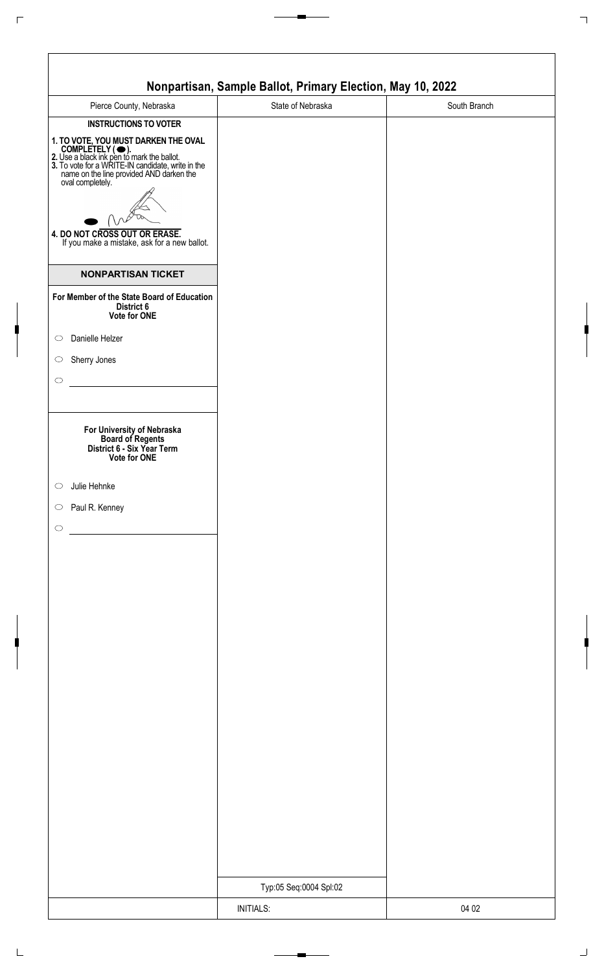| Pierce County, Nebraska                                                                                                                                                                                                                                                                                      | State of Nebraska      | South Branch |
|--------------------------------------------------------------------------------------------------------------------------------------------------------------------------------------------------------------------------------------------------------------------------------------------------------------|------------------------|--------------|
| <b>INSTRUCTIONS TO VOTER</b>                                                                                                                                                                                                                                                                                 |                        |              |
| 1. TO VOTE, YOU MUST DARKEN THE OVAL<br>COMPLETELY ( •).<br>2. Use a black ink pen to mark the ballot.<br>3. To vote for a WRITE-IN candidate, write in the<br>name on the line provided AND darken the<br>oval completely.<br>4. DO NOT CROSS OUT OR ERASE.<br>If you make a mistake, ask for a new ballot. |                        |              |
| <b>NONPARTISAN TICKET</b>                                                                                                                                                                                                                                                                                    |                        |              |
| For Member of the State Board of Education<br>District 6<br>Vote for ONE                                                                                                                                                                                                                                     |                        |              |
| Danielle Helzer<br>$\circ$                                                                                                                                                                                                                                                                                   |                        |              |
| Sherry Jones<br>$\circ$                                                                                                                                                                                                                                                                                      |                        |              |
|                                                                                                                                                                                                                                                                                                              |                        |              |
| For University of Nebraska<br>Board of Regents<br>District 6 - Six Year Term<br><b>Vote for ONE</b>                                                                                                                                                                                                          |                        |              |
| Julie Hehnke                                                                                                                                                                                                                                                                                                 |                        |              |
| Paul R. Kenney                                                                                                                                                                                                                                                                                               |                        |              |
|                                                                                                                                                                                                                                                                                                              |                        |              |
|                                                                                                                                                                                                                                                                                                              |                        |              |
|                                                                                                                                                                                                                                                                                                              |                        |              |
|                                                                                                                                                                                                                                                                                                              |                        |              |
|                                                                                                                                                                                                                                                                                                              |                        |              |
|                                                                                                                                                                                                                                                                                                              |                        |              |
|                                                                                                                                                                                                                                                                                                              |                        |              |
|                                                                                                                                                                                                                                                                                                              |                        |              |
|                                                                                                                                                                                                                                                                                                              |                        |              |
|                                                                                                                                                                                                                                                                                                              |                        |              |
|                                                                                                                                                                                                                                                                                                              |                        |              |
|                                                                                                                                                                                                                                                                                                              |                        |              |
|                                                                                                                                                                                                                                                                                                              |                        |              |
|                                                                                                                                                                                                                                                                                                              |                        |              |
|                                                                                                                                                                                                                                                                                                              | Typ:05 Seq:0004 Spl:02 |              |
|                                                                                                                                                                                                                                                                                                              | <b>INITIALS:</b>       | 04 02        |